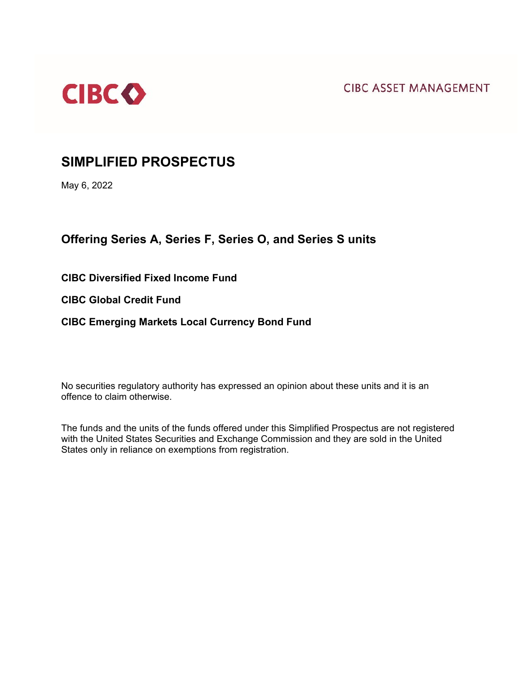**CIBC ASSET MANAGEMENT** 



# **SIMPLIFIED PROSPECTUS**

May 6, 2022

# **Offering Series A, Series F, Series O, and Series S units**

**CIBC Diversified Fixed Income Fund**

**CIBC Global Credit Fund**

# **CIBC Emerging Markets Local Currency Bond Fund**

No securities regulatory authority has expressed an opinion about these units and it is an offence to claim otherwise.

The funds and the units of the funds offered under this Simplified Prospectus are not registered with the United States Securities and Exchange Commission and they are sold in the United States only in reliance on exemptions from registration.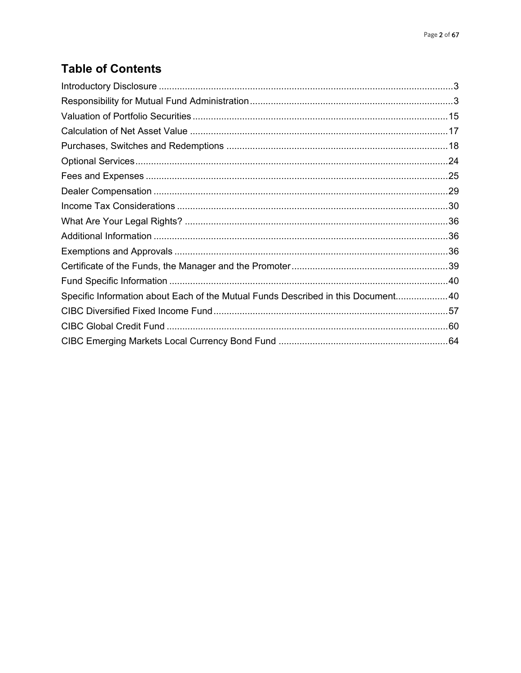# **Table of Contents**

| Specific Information about Each of the Mutual Funds Described in this Document40 |  |
|----------------------------------------------------------------------------------|--|
|                                                                                  |  |
|                                                                                  |  |
|                                                                                  |  |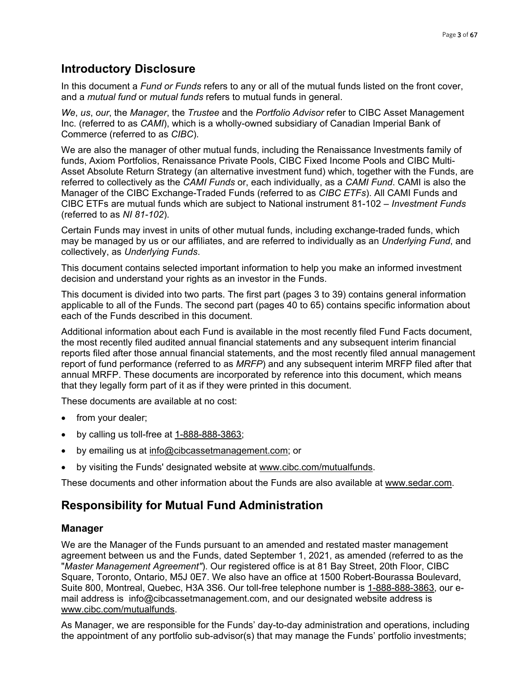# <span id="page-2-0"></span>**Introductory Disclosure**

In this document a *Fund or Funds* refers to any or all of the mutual funds listed on the front cover, and a *mutual fund* or *mutual funds* refers to mutual funds in general.

*We*, *us*, *our*, the *Manager*, the *Trustee* and the *Portfolio Advisor* refer to CIBC Asset Management Inc. (referred to as *CAMI*), which is a wholly-owned subsidiary of Canadian Imperial Bank of Commerce (referred to as *CIBC*).

We are also the manager of other mutual funds, including the Renaissance Investments family of funds, Axiom Portfolios, Renaissance Private Pools, CIBC Fixed Income Pools and CIBC Multi-Asset Absolute Return Strategy (an alternative investment fund) which, together with the Funds, are referred to collectively as the *CAMI Funds* or, each individually, as a *CAMI Fund*. CAMI is also the Manager of the CIBC Exchange-Traded Funds (referred to as *CIBC ETFs*). All CAMI Funds and CIBC ETFs are mutual funds which are subject to National instrument 81-102 – *Investment Funds* (referred to as *NI 81-102*).

Certain Funds may invest in units of other mutual funds, including exchange-traded funds, which may be managed by us or our affiliates, and are referred to individually as an *Underlying Fund*, and collectively, as *Underlying Funds*.

This document contains selected important information to help you make an informed investment decision and understand your rights as an investor in the Funds.

This document is divided into two parts. The first part (pages 3 to 39) contains general information applicable to all of the Funds. The second part (pages 40 to 65) contains specific information about each of the Funds described in this document.

Additional information about each Fund is available in the most recently filed Fund Facts document, the most recently filed audited annual financial statements and any subsequent interim financial reports filed after those annual financial statements, and the most recently filed annual management report of fund performance (referred to as *MRFP*) and any subsequent interim MRFP filed after that annual MRFP. These documents are incorporated by reference into this document, which means that they legally form part of it as if they were printed in this document.

These documents are available at no cost:

- from your dealer;
- by calling us toll-free at [1-888-888-3863;](tel:18888883863)
- by emailing us at [info@cibcassetmanagement.com;](file://tocs2001/wthmips_ds/CAM%20Regulatory/Point%20of%20Sale/_2010-/_2022/20220204_EMD_PIMCO_P_PRO1320NR/1_SP%20AIF/SP/info@cibcassetmanagement.com) or
- by visiting the Funds' designated website at [www.cibc.com/mutualfunds.](http://www.cibc.com/mutualfunds)

These documents and other information about the Funds are also available at [www.sedar.com.](file://tocs2001/wthmips_ds/CAM%20Regulatory/Point%20of%20Sale/_2010-/_2022/20220304_EMD_PIMCO_P_PRO1320NR/1_SP%20AIF/SP/www.sedar.com)

# <span id="page-2-1"></span>**Responsibility for Mutual Fund Administration**

## **Manager**

We are the Manager of the Funds pursuant to an amended and restated master management agreement between us and the Funds, dated September 1, 2021, as amended (referred to as the "*Master Management Agreement"*). Our registered office is at 81 Bay Street, 20th Floor, CIBC Square, Toronto, Ontario, M5J 0E7. We also have an office at 1500 Robert-Bourassa Boulevard, Suite 800, Montreal, Quebec, H3A 3S6. Our toll-free telephone number is [1-888-888-3863,](mailto:1-888-888-3863) our email address is info@cibcassetmanagement.com, and our designated website address is [www.cibc.com/mutualfunds.](http://www.cibc.com/mutualfunds)

As Manager, we are responsible for the Funds' day-to-day administration and operations, including the appointment of any portfolio sub-advisor(s) that may manage the Funds' portfolio investments;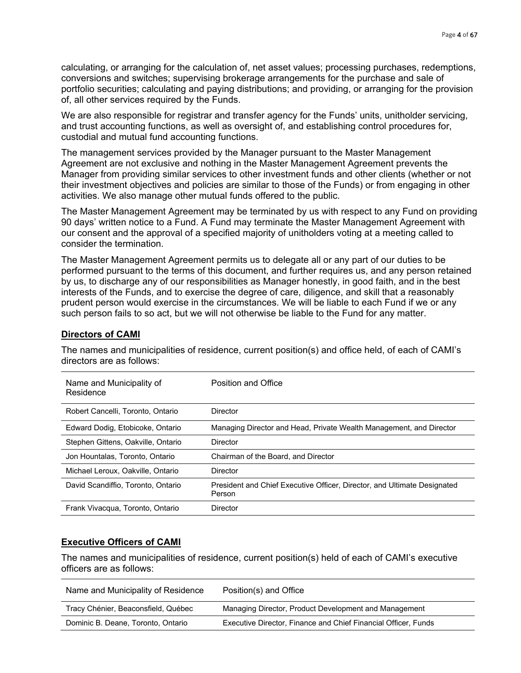calculating, or arranging for the calculation of, net asset values; processing purchases, redemptions, conversions and switches; supervising brokerage arrangements for the purchase and sale of portfolio securities; calculating and paying distributions; and providing, or arranging for the provision of, all other services required by the Funds.

We are also responsible for registrar and transfer agency for the Funds' units, unitholder servicing, and trust accounting functions, as well as oversight of, and establishing control procedures for, custodial and mutual fund accounting functions.

The management services provided by the Manager pursuant to the Master Management Agreement are not exclusive and nothing in the Master Management Agreement prevents the Manager from providing similar services to other investment funds and other clients (whether or not their investment objectives and policies are similar to those of the Funds) or from engaging in other activities. We also manage other mutual funds offered to the public.

The Master Management Agreement may be terminated by us with respect to any Fund on providing 90 days' written notice to a Fund. A Fund may terminate the Master Management Agreement with our consent and the approval of a specified majority of unitholders voting at a meeting called to consider the termination.

The Master Management Agreement permits us to delegate all or any part of our duties to be performed pursuant to the terms of this document, and further requires us, and any person retained by us, to discharge any of our responsibilities as Manager honestly, in good faith, and in the best interests of the Funds, and to exercise the degree of care, diligence, and skill that a reasonably prudent person would exercise in the circumstances. We will be liable to each Fund if we or any such person fails to so act, but we will not otherwise be liable to the Fund for any matter.

### **Directors of CAMI**

| Name and Municipality of<br>Residence | Position and Office                                                                |
|---------------------------------------|------------------------------------------------------------------------------------|
| Robert Cancelli, Toronto, Ontario     | Director                                                                           |
| Edward Dodig, Etobicoke, Ontario      | Managing Director and Head, Private Wealth Management, and Director                |
| Stephen Gittens, Oakville, Ontario    | Director                                                                           |
| Jon Hountalas, Toronto, Ontario       | Chairman of the Board, and Director                                                |
| Michael Leroux, Oakville, Ontario     | Director                                                                           |
| David Scandiffio, Toronto, Ontario    | President and Chief Executive Officer, Director, and Ultimate Designated<br>Person |
| Frank Vivacqua, Toronto, Ontario      | Director                                                                           |

The names and municipalities of residence, current position(s) and office held, of each of CAMI's directors are as follows:

## **Executive Officers of CAMI**

The names and municipalities of residence, current position(s) held of each of CAMI's executive officers are as follows:

| Name and Municipality of Residence  | Position(s) and Office                                         |
|-------------------------------------|----------------------------------------------------------------|
| Tracy Chénier, Beaconsfield, Québec | Managing Director, Product Development and Management          |
| Dominic B. Deane, Toronto, Ontario  | Executive Director, Finance and Chief Financial Officer, Funds |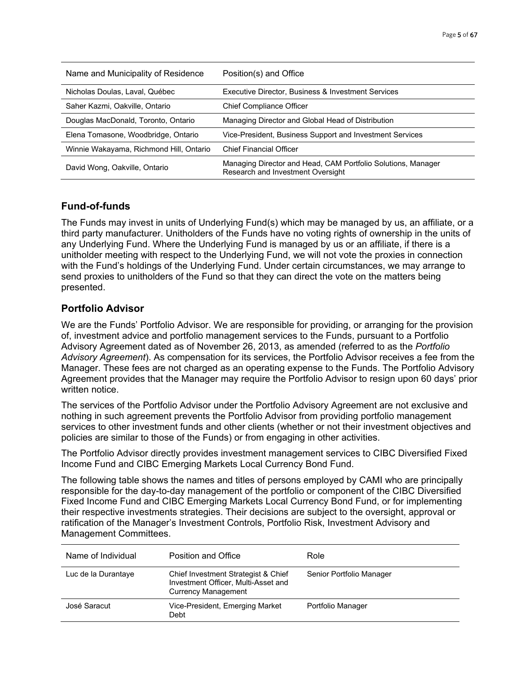| Name and Municipality of Residence      | Position(s) and Office                                                                            |
|-----------------------------------------|---------------------------------------------------------------------------------------------------|
| Nicholas Doulas, Laval, Québec          | Executive Director, Business & Investment Services                                                |
| Saher Kazmi, Oakville, Ontario          | <b>Chief Compliance Officer</b>                                                                   |
| Douglas MacDonald, Toronto, Ontario     | Managing Director and Global Head of Distribution                                                 |
| Elena Tomasone, Woodbridge, Ontario     | Vice-President, Business Support and Investment Services                                          |
| Winnie Wakayama, Richmond Hill, Ontario | <b>Chief Financial Officer</b>                                                                    |
| David Wong, Oakville, Ontario           | Managing Director and Head, CAM Portfolio Solutions, Manager<br>Research and Investment Oversight |

# **Fund-of-funds**

The Funds may invest in units of Underlying Fund(s) which may be managed by us, an affiliate, or a third party manufacturer. Unitholders of the Funds have no voting rights of ownership in the units of any Underlying Fund. Where the Underlying Fund is managed by us or an affiliate, if there is a unitholder meeting with respect to the Underlying Fund, we will not vote the proxies in connection with the Fund's holdings of the Underlying Fund. Under certain circumstances, we may arrange to send proxies to unitholders of the Fund so that they can direct the vote on the matters being presented.

# **Portfolio Advisor**

We are the Funds' Portfolio Advisor. We are responsible for providing, or arranging for the provision of, investment advice and portfolio management services to the Funds, pursuant to a Portfolio Advisory Agreement dated as of November 26, 2013, as amended (referred to as the *Portfolio Advisory Agreement*). As compensation for its services, the Portfolio Advisor receives a fee from the Manager. These fees are not charged as an operating expense to the Funds. The Portfolio Advisory Agreement provides that the Manager may require the Portfolio Advisor to resign upon 60 days' prior written notice.

The services of the Portfolio Advisor under the Portfolio Advisory Agreement are not exclusive and nothing in such agreement prevents the Portfolio Advisor from providing portfolio management services to other investment funds and other clients (whether or not their investment objectives and policies are similar to those of the Funds) or from engaging in other activities.

The Portfolio Advisor directly provides investment management services to CIBC Diversified Fixed Income Fund and CIBC Emerging Markets Local Currency Bond Fund.

The following table shows the names and titles of persons employed by CAMI who are principally responsible for the day-to-day management of the portfolio or component of the CIBC Diversified Fixed Income Fund and CIBC Emerging Markets Local Currency Bond Fund, or for implementing their respective investments strategies. Their decisions are subject to the oversight, approval or ratification of the Manager's Investment Controls, Portfolio Risk, Investment Advisory and Management Committees.

| Name of Individual  | Position and Office                                                                                      | Role                     |
|---------------------|----------------------------------------------------------------------------------------------------------|--------------------------|
| Luc de la Durantaye | Chief Investment Strategist & Chief<br>Investment Officer, Multi-Asset and<br><b>Currency Management</b> | Senior Portfolio Manager |
| José Saracut        | Vice-President, Emerging Market<br>Debt                                                                  | Portfolio Manager        |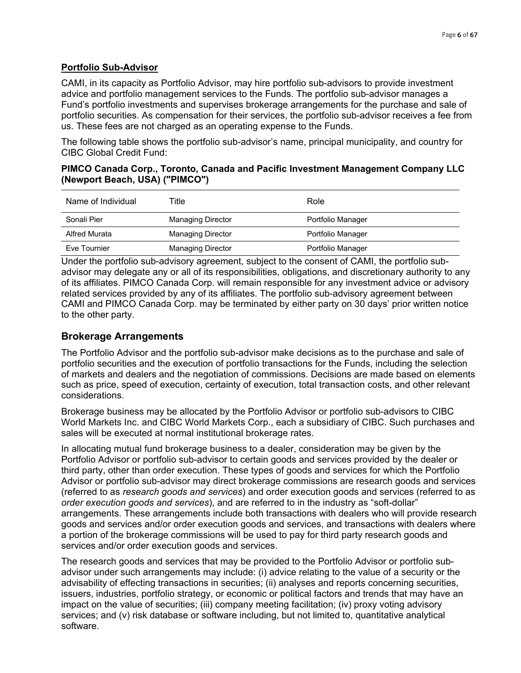### **Portfolio Sub-Advisor**

CAMI, in its capacity as Portfolio Advisor, may hire portfolio sub-advisors to provide investment advice and portfolio management services to the Funds. The portfolio sub-advisor manages a Fund's portfolio investments and supervises brokerage arrangements for the purchase and sale of portfolio securities. As compensation for their services, the portfolio sub-advisor receives a fee from us. These fees are not charged as an operating expense to the Funds.

The following table shows the portfolio sub-advisor's name, principal municipality, and country for CIBC Global Credit Fund:

### **PIMCO Canada Corp., Toronto, Canada and Pacific Investment Management Company LLC (Newport Beach, USA) ("PIMCO")**

| Name of Individual | ™itle                    | Role              |
|--------------------|--------------------------|-------------------|
| Sonali Pier        | <b>Managing Director</b> | Portfolio Manager |
| Alfred Murata      | <b>Managing Director</b> | Portfolio Manager |
| Eve Tournier       | <b>Managing Director</b> | Portfolio Manager |

Under the portfolio sub-advisory agreement, subject to the consent of CAMI, the portfolio subadvisor may delegate any or all of its responsibilities, obligations, and discretionary authority to any of its affiliates. PIMCO Canada Corp. will remain responsible for any investment advice or advisory related services provided by any of its affiliates. The portfolio sub-advisory agreement between CAMI and PIMCO Canada Corp. may be terminated by either party on 30 days' prior written notice to the other party.

# **Brokerage Arrangements**

The Portfolio Advisor and the portfolio sub-advisor make decisions as to the purchase and sale of portfolio securities and the execution of portfolio transactions for the Funds, including the selection of markets and dealers and the negotiation of commissions. Decisions are made based on elements such as price, speed of execution, certainty of execution, total transaction costs, and other relevant considerations.

Brokerage business may be allocated by the Portfolio Advisor or portfolio sub-advisors to CIBC World Markets Inc. and CIBC World Markets Corp., each a subsidiary of CIBC. Such purchases and sales will be executed at normal institutional brokerage rates.

In allocating mutual fund brokerage business to a dealer, consideration may be given by the Portfolio Advisor or portfolio sub-advisor to certain goods and services provided by the dealer or third party, other than order execution. These types of goods and services for which the Portfolio Advisor or portfolio sub-advisor may direct brokerage commissions are research goods and services (referred to as *research goods and services*) and order execution goods and services (referred to as *order execution goods and services*), and are referred to in the industry as "soft-dollar" arrangements. These arrangements include both transactions with dealers who will provide research goods and services and/or order execution goods and services, and transactions with dealers where a portion of the brokerage commissions will be used to pay for third party research goods and services and/or order execution goods and services.

The research goods and services that may be provided to the Portfolio Advisor or portfolio subadvisor under such arrangements may include: (i) advice relating to the value of a security or the advisability of effecting transactions in securities; (ii) analyses and reports concerning securities, issuers, industries, portfolio strategy, or economic or political factors and trends that may have an impact on the value of securities; (iii) company meeting facilitation; (iv) proxy voting advisory services; and (v) risk database or software including, but not limited to, quantitative analytical software.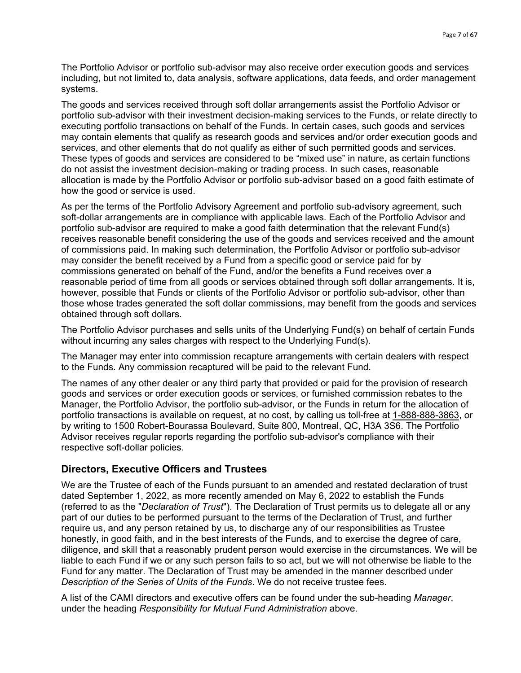The Portfolio Advisor or portfolio sub-advisor may also receive order execution goods and services including, but not limited to, data analysis, software applications, data feeds, and order management systems.

The goods and services received through soft dollar arrangements assist the Portfolio Advisor or portfolio sub-advisor with their investment decision-making services to the Funds, or relate directly to executing portfolio transactions on behalf of the Funds. In certain cases, such goods and services may contain elements that qualify as research goods and services and/or order execution goods and services, and other elements that do not qualify as either of such permitted goods and services. These types of goods and services are considered to be "mixed use" in nature, as certain functions do not assist the investment decision-making or trading process. In such cases, reasonable allocation is made by the Portfolio Advisor or portfolio sub-advisor based on a good faith estimate of how the good or service is used.

As per the terms of the Portfolio Advisory Agreement and portfolio sub-advisory agreement, such soft-dollar arrangements are in compliance with applicable laws. Each of the Portfolio Advisor and portfolio sub-advisor are required to make a good faith determination that the relevant Fund(s) receives reasonable benefit considering the use of the goods and services received and the amount of commissions paid. In making such determination, the Portfolio Advisor or portfolio sub-advisor may consider the benefit received by a Fund from a specific good or service paid for by commissions generated on behalf of the Fund, and/or the benefits a Fund receives over a reasonable period of time from all goods or services obtained through soft dollar arrangements. It is, however, possible that Funds or clients of the Portfolio Advisor or portfolio sub-advisor, other than those whose trades generated the soft dollar commissions, may benefit from the goods and services obtained through soft dollars.

The Portfolio Advisor purchases and sells units of the Underlying Fund(s) on behalf of certain Funds without incurring any sales charges with respect to the Underlying Fund(s).

The Manager may enter into commission recapture arrangements with certain dealers with respect to the Funds. Any commission recaptured will be paid to the relevant Fund.

The names of any other dealer or any third party that provided or paid for the provision of research goods and services or order execution goods or services, or furnished commission rebates to the Manager, the Portfolio Advisor, the portfolio sub-advisor, or the Funds in return for the allocation of portfolio transactions is available on request, at no cost, by calling us toll-free at [1-888-888-3863,](tel:1-888-888-3863) or by writing to 1500 Robert-Bourassa Boulevard, Suite 800, Montreal, QC, H3A 3S6. The Portfolio Advisor receives regular reports regarding the portfolio sub-advisor's compliance with their respective soft-dollar policies.

## **Directors, Executive Officers and Trustees**

We are the Trustee of each of the Funds pursuant to an amended and restated declaration of trust dated September 1, 2022, as more recently amended on May 6, 2022 to establish the Funds (referred to as the "*Declaration of Trust*"). The Declaration of Trust permits us to delegate all or any part of our duties to be performed pursuant to the terms of the Declaration of Trust, and further require us, and any person retained by us, to discharge any of our responsibilities as Trustee honestly, in good faith, and in the best interests of the Funds, and to exercise the degree of care, diligence, and skill that a reasonably prudent person would exercise in the circumstances. We will be liable to each Fund if we or any such person fails to so act, but we will not otherwise be liable to the Fund for any matter. The Declaration of Trust may be amended in the manner described under *Description of the Series of Units of the Funds*. We do not receive trustee fees.

A list of the CAMI directors and executive offers can be found under the sub-heading *Manager*, under the heading *Responsibility for Mutual Fund Administration* above.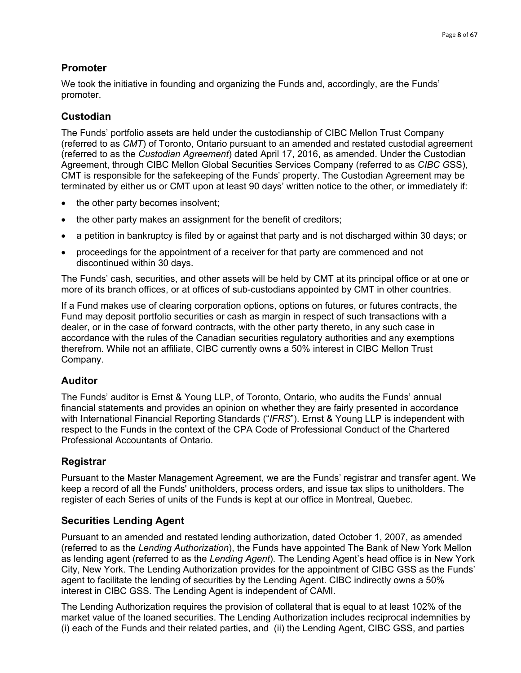# **Promoter**

We took the initiative in founding and organizing the Funds and, accordingly, are the Funds' promoter.

# **Custodian**

The Funds' portfolio assets are held under the custodianship of CIBC Mellon Trust Company (referred to as *CMT*) of Toronto, Ontario pursuant to an amended and restated custodial agreement (referred to as the *Custodian Agreement*) dated April 17, 2016, as amended. Under the Custodian Agreement, through CIBC Mellon Global Securities Services Company (referred to as *CIBC G*SS), CMT is responsible for the safekeeping of the Funds' property. The Custodian Agreement may be terminated by either us or CMT upon at least 90 days' written notice to the other, or immediately if:

- the other party becomes insolvent;
- the other party makes an assignment for the benefit of creditors;
- a petition in bankruptcy is filed by or against that party and is not discharged within 30 days; or
- proceedings for the appointment of a receiver for that party are commenced and not discontinued within 30 days.

The Funds' cash, securities, and other assets will be held by CMT at its principal office or at one or more of its branch offices, or at offices of sub-custodians appointed by CMT in other countries.

If a Fund makes use of clearing corporation options, options on futures, or futures contracts, the Fund may deposit portfolio securities or cash as margin in respect of such transactions with a dealer, or in the case of forward contracts, with the other party thereto, in any such case in accordance with the rules of the Canadian securities regulatory authorities and any exemptions therefrom. While not an affiliate, CIBC currently owns a 50% interest in CIBC Mellon Trust Company.

# **Auditor**

The Funds' auditor is Ernst & Young LLP, of Toronto, Ontario, who audits the Funds' annual financial statements and provides an opinion on whether they are fairly presented in accordance with International Financial Reporting Standards ("*IFRS*"). Ernst & Young LLP is independent with respect to the Funds in the context of the CPA Code of Professional Conduct of the Chartered Professional Accountants of Ontario.

# **Registrar**

Pursuant to the Master Management Agreement, we are the Funds' registrar and transfer agent. We keep a record of all the Funds' unitholders, process orders, and issue tax slips to unitholders. The register of each Series of units of the Funds is kept at our office in Montreal, Quebec.

# **Securities Lending Agent**

Pursuant to an amended and restated lending authorization, dated October 1, 2007, as amended (referred to as the *Lending Authorization*), the Funds have appointed The Bank of New York Mellon as lending agent (referred to as the *Lending Agent*). The Lending Agent's head office is in New York City, New York. The Lending Authorization provides for the appointment of CIBC GSS as the Funds' agent to facilitate the lending of securities by the Lending Agent. CIBC indirectly owns a 50% interest in CIBC GSS. The Lending Agent is independent of CAMI.

The Lending Authorization requires the provision of collateral that is equal to at least 102% of the market value of the loaned securities. The Lending Authorization includes reciprocal indemnities by (i) each of the Funds and their related parties, and (ii) the Lending Agent, CIBC GSS, and parties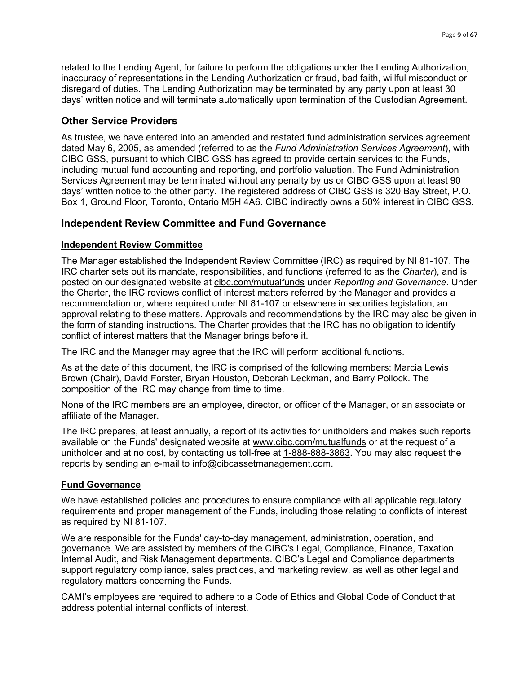related to the Lending Agent, for failure to perform the obligations under the Lending Authorization, inaccuracy of representations in the Lending Authorization or fraud, bad faith, willful misconduct or disregard of duties. The Lending Authorization may be terminated by any party upon at least 30 days' written notice and will terminate automatically upon termination of the Custodian Agreement.

# **Other Service Providers**

As trustee, we have entered into an amended and restated fund administration services agreement dated May 6, 2005, as amended (referred to as the *Fund Administration Services Agreement*), with CIBC GSS, pursuant to which CIBC GSS has agreed to provide certain services to the Funds, including mutual fund accounting and reporting, and portfolio valuation. The Fund Administration Services Agreement may be terminated without any penalty by us or CIBC GSS upon at least 90 days' written notice to the other party. The registered address of CIBC GSS is 320 Bay Street, P.O. Box 1, Ground Floor, Toronto, Ontario M5H 4A6. CIBC indirectly owns a 50% interest in CIBC GSS.

# **Independent Review Committee and Fund Governance**

### **Independent Review Committee**

The Manager established the Independent Review Committee (IRC) as required by NI 81-107. The IRC charter sets out its mandate, responsibilities, and functions (referred to as the *Charter*), and is posted on our designated website at [cibc.com/mutualfunds](http://www.cibc.com/mutualfunds) under *Reporting and Governance*. Under the Charter, the IRC reviews conflict of interest matters referred by the Manager and provides a recommendation or, where required under NI 81-107 or elsewhere in securities legislation, an approval relating to these matters. Approvals and recommendations by the IRC may also be given in the form of standing instructions. The Charter provides that the IRC has no obligation to identify conflict of interest matters that the Manager brings before it.

The IRC and the Manager may agree that the IRC will perform additional functions.

As at the date of this document, the IRC is comprised of the following members: Marcia Lewis Brown (Chair), David Forster, Bryan Houston, Deborah Leckman, and Barry Pollock. The composition of the IRC may change from time to time.

None of the IRC members are an employee, director, or officer of the Manager, or an associate or affiliate of the Manager.

The IRC prepares, at least annually, a report of its activities for unitholders and makes such reports available on the Funds' designated website at [www.cibc.com/mutualfunds](http://www.cibc.com/mutualfunds) or at the request of a unitholder and at no cost, by contacting us toll-free at [1-888-888-3863.](tel:1-888-888-3863) You may also request the reports by sending an e-mail to info@cibcassetmanagement.com.

#### **Fund Governance**

We have established policies and procedures to ensure compliance with all applicable regulatory requirements and proper management of the Funds, including those relating to conflicts of interest as required by NI 81-107.

We are responsible for the Funds' day-to-day management, administration, operation, and governance. We are assisted by members of the CIBC's Legal, Compliance, Finance, Taxation, Internal Audit, and Risk Management departments. CIBC's Legal and Compliance departments support regulatory compliance, sales practices, and marketing review, as well as other legal and regulatory matters concerning the Funds.

CAMI's employees are required to adhere to a Code of Ethics and Global Code of Conduct that address potential internal conflicts of interest.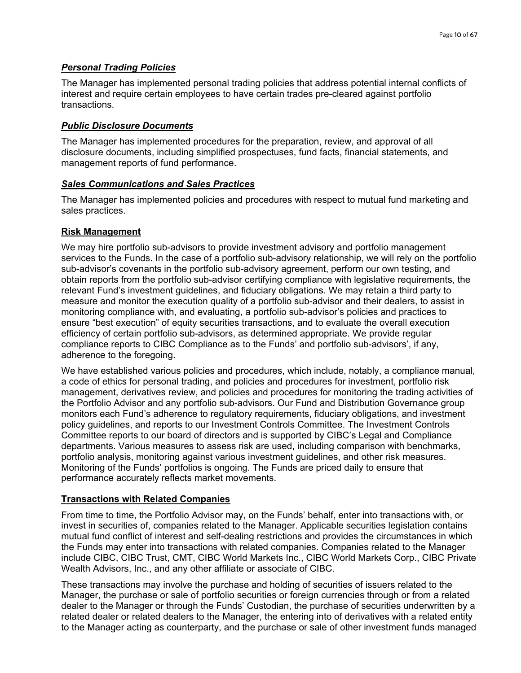# *Personal Trading Policies*

The Manager has implemented personal trading policies that address potential internal conflicts of interest and require certain employees to have certain trades pre-cleared against portfolio transactions.

## *Public Disclosure Documents*

The Manager has implemented procedures for the preparation, review, and approval of all disclosure documents, including simplified prospectuses, fund facts, financial statements, and management reports of fund performance.

# *Sales Communications and Sales Practices*

The Manager has implemented policies and procedures with respect to mutual fund marketing and sales practices.

# **Risk Management**

We may hire portfolio sub-advisors to provide investment advisory and portfolio management services to the Funds. In the case of a portfolio sub-advisory relationship, we will rely on the portfolio sub-advisor's covenants in the portfolio sub-advisory agreement, perform our own testing, and obtain reports from the portfolio sub-advisor certifying compliance with legislative requirements, the relevant Fund's investment guidelines, and fiduciary obligations. We may retain a third party to measure and monitor the execution quality of a portfolio sub-advisor and their dealers, to assist in monitoring compliance with, and evaluating, a portfolio sub-advisor's policies and practices to ensure "best execution" of equity securities transactions, and to evaluate the overall execution efficiency of certain portfolio sub-advisors, as determined appropriate. We provide regular compliance reports to CIBC Compliance as to the Funds' and portfolio sub-advisors', if any, adherence to the foregoing.

We have established various policies and procedures, which include, notably, a compliance manual, a code of ethics for personal trading, and policies and procedures for investment, portfolio risk management, derivatives review, and policies and procedures for monitoring the trading activities of the Portfolio Advisor and any portfolio sub-advisors. Our Fund and Distribution Governance group monitors each Fund's adherence to regulatory requirements, fiduciary obligations, and investment policy guidelines, and reports to our Investment Controls Committee. The Investment Controls Committee reports to our board of directors and is supported by CIBC's Legal and Compliance departments. Various measures to assess risk are used, including comparison with benchmarks, portfolio analysis, monitoring against various investment guidelines, and other risk measures. Monitoring of the Funds' portfolios is ongoing. The Funds are priced daily to ensure that performance accurately reflects market movements.

## **Transactions with Related Companies**

From time to time, the Portfolio Advisor may, on the Funds' behalf, enter into transactions with, or invest in securities of, companies related to the Manager. Applicable securities legislation contains mutual fund conflict of interest and self-dealing restrictions and provides the circumstances in which the Funds may enter into transactions with related companies. Companies related to the Manager include CIBC, CIBC Trust, CMT, CIBC World Markets Inc., CIBC World Markets Corp., CIBC Private Wealth Advisors, Inc., and any other affiliate or associate of CIBC.

These transactions may involve the purchase and holding of securities of issuers related to the Manager, the purchase or sale of portfolio securities or foreign currencies through or from a related dealer to the Manager or through the Funds' Custodian, the purchase of securities underwritten by a related dealer or related dealers to the Manager, the entering into of derivatives with a related entity to the Manager acting as counterparty, and the purchase or sale of other investment funds managed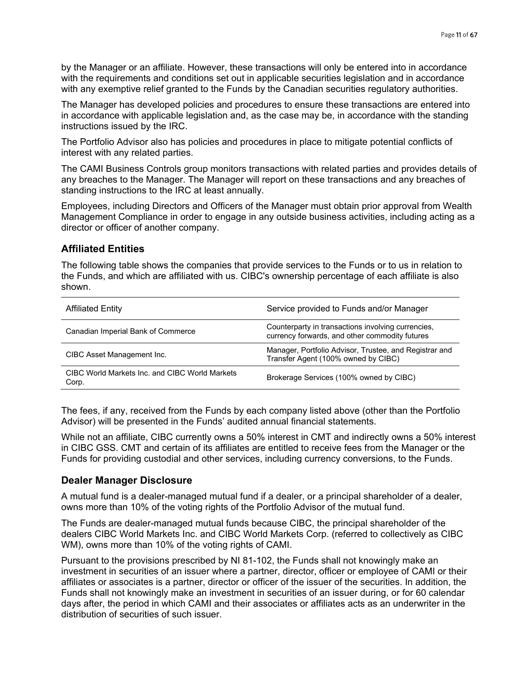by the Manager or an affiliate. However, these transactions will only be entered into in accordance with the requirements and conditions set out in applicable securities legislation and in accordance with any exemptive relief granted to the Funds by the Canadian securities regulatory authorities.

The Manager has developed policies and procedures to ensure these transactions are entered into in accordance with applicable legislation and, as the case may be, in accordance with the standing instructions issued by the IRC.

The Portfolio Advisor also has policies and procedures in place to mitigate potential conflicts of interest with any related parties.

The CAMI Business Controls group monitors transactions with related parties and provides details of any breaches to the Manager. The Manager will report on these transactions and any breaches of standing instructions to the IRC at least annually.

Employees, including Directors and Officers of the Manager must obtain prior approval from Wealth Management Compliance in order to engage in any outside business activities, including acting as a director or officer of another company.

# **Affiliated Entities**

The following table shows the companies that provide services to the Funds or to us in relation to the Funds, and which are affiliated with us. CIBC's ownership percentage of each affiliate is also shown.

| <b>Affiliated Entity</b>                                | Service provided to Funds and/or Manager                                                             |
|---------------------------------------------------------|------------------------------------------------------------------------------------------------------|
| Canadian Imperial Bank of Commerce                      | Counterparty in transactions involving currencies,<br>currency forwards, and other commodity futures |
| CIBC Asset Management Inc.                              | Manager, Portfolio Advisor, Trustee, and Registrar and<br>Transfer Agent (100% owned by CIBC)        |
| CIBC World Markets Inc. and CIBC World Markets<br>Corp. | Brokerage Services (100% owned by CIBC)                                                              |

The fees, if any, received from the Funds by each company listed above (other than the Portfolio Advisor) will be presented in the Funds' audited annual financial statements.

While not an affiliate, CIBC currently owns a 50% interest in CMT and indirectly owns a 50% interest in CIBC GSS. CMT and certain of its affiliates are entitled to receive fees from the Manager or the Funds for providing custodial and other services, including currency conversions, to the Funds.

## **Dealer Manager Disclosure**

A mutual fund is a dealer-managed mutual fund if a dealer, or a principal shareholder of a dealer, owns more than 10% of the voting rights of the Portfolio Advisor of the mutual fund.

The Funds are dealer-managed mutual funds because CIBC, the principal shareholder of the dealers CIBC World Markets Inc. and CIBC World Markets Corp. (referred to collectively as CIBC WM), owns more than 10% of the voting rights of CAMI.

Pursuant to the provisions prescribed by NI 81-102, the Funds shall not knowingly make an investment in securities of an issuer where a partner, director, officer or employee of CAMI or their affiliates or associates is a partner, director or officer of the issuer of the securities. In addition, the Funds shall not knowingly make an investment in securities of an issuer during, or for 60 calendar days after, the period in which CAMI and their associates or affiliates acts as an underwriter in the distribution of securities of such issuer.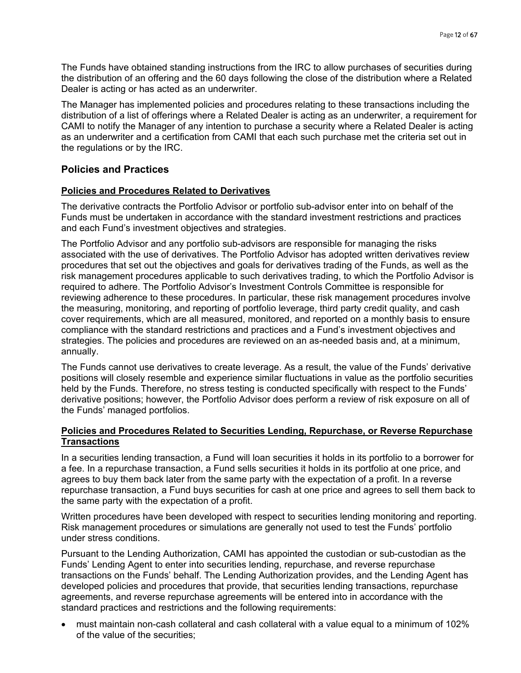The Funds have obtained standing instructions from the IRC to allow purchases of securities during the distribution of an offering and the 60 days following the close of the distribution where a Related Dealer is acting or has acted as an underwriter.

The Manager has implemented policies and procedures relating to these transactions including the distribution of a list of offerings where a Related Dealer is acting as an underwriter, a requirement for CAMI to notify the Manager of any intention to purchase a security where a Related Dealer is acting as an underwriter and a certification from CAMI that each such purchase met the criteria set out in the regulations or by the IRC.

# **Policies and Practices**

### **Policies and Procedures Related to Derivatives**

The derivative contracts the Portfolio Advisor or portfolio sub-advisor enter into on behalf of the Funds must be undertaken in accordance with the standard investment restrictions and practices and each Fund's investment objectives and strategies.

The Portfolio Advisor and any portfolio sub-advisors are responsible for managing the risks associated with the use of derivatives. The Portfolio Advisor has adopted written derivatives review procedures that set out the objectives and goals for derivatives trading of the Funds, as well as the risk management procedures applicable to such derivatives trading, to which the Portfolio Advisor is required to adhere. The Portfolio Advisor's Investment Controls Committee is responsible for reviewing adherence to these procedures. In particular, these risk management procedures involve the measuring, monitoring, and reporting of portfolio leverage, third party credit quality, and cash cover requirements, which are all measured, monitored, and reported on a monthly basis to ensure compliance with the standard restrictions and practices and a Fund's investment objectives and strategies. The policies and procedures are reviewed on an as-needed basis and, at a minimum, annually.

The Funds cannot use derivatives to create leverage. As a result, the value of the Funds' derivative positions will closely resemble and experience similar fluctuations in value as the portfolio securities held by the Funds. Therefore, no stress testing is conducted specifically with respect to the Funds' derivative positions; however, the Portfolio Advisor does perform a review of risk exposure on all of the Funds' managed portfolios.

### **Policies and Procedures Related to Securities Lending, Repurchase, or Reverse Repurchase Transactions**

In a securities lending transaction, a Fund will loan securities it holds in its portfolio to a borrower for a fee. In a repurchase transaction, a Fund sells securities it holds in its portfolio at one price, and agrees to buy them back later from the same party with the expectation of a profit. In a reverse repurchase transaction, a Fund buys securities for cash at one price and agrees to sell them back to the same party with the expectation of a profit.

Written procedures have been developed with respect to securities lending monitoring and reporting. Risk management procedures or simulations are generally not used to test the Funds' portfolio under stress conditions.

Pursuant to the Lending Authorization, CAMI has appointed the custodian or sub-custodian as the Funds' Lending Agent to enter into securities lending, repurchase, and reverse repurchase transactions on the Funds' behalf. The Lending Authorization provides, and the Lending Agent has developed policies and procedures that provide, that securities lending transactions, repurchase agreements, and reverse repurchase agreements will be entered into in accordance with the standard practices and restrictions and the following requirements:

• must maintain non-cash collateral and cash collateral with a value equal to a minimum of 102% of the value of the securities;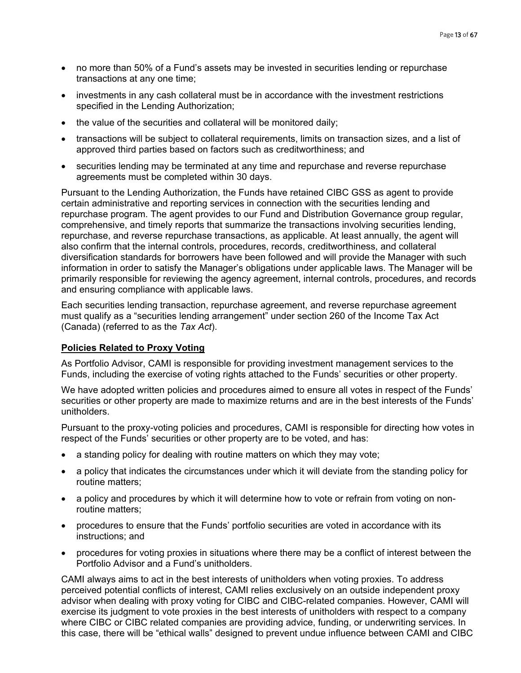- no more than 50% of a Fund's assets may be invested in securities lending or repurchase transactions at any one time;
- investments in any cash collateral must be in accordance with the investment restrictions specified in the Lending Authorization;
- the value of the securities and collateral will be monitored daily;
- transactions will be subject to collateral requirements, limits on transaction sizes, and a list of approved third parties based on factors such as creditworthiness; and
- securities lending may be terminated at any time and repurchase and reverse repurchase agreements must be completed within 30 days.

Pursuant to the Lending Authorization, the Funds have retained CIBC GSS as agent to provide certain administrative and reporting services in connection with the securities lending and repurchase program. The agent provides to our Fund and Distribution Governance group regular, comprehensive, and timely reports that summarize the transactions involving securities lending, repurchase, and reverse repurchase transactions, as applicable. At least annually, the agent will also confirm that the internal controls, procedures, records, creditworthiness, and collateral diversification standards for borrowers have been followed and will provide the Manager with such information in order to satisfy the Manager's obligations under applicable laws. The Manager will be primarily responsible for reviewing the agency agreement, internal controls, procedures, and records and ensuring compliance with applicable laws.

Each securities lending transaction, repurchase agreement, and reverse repurchase agreement must qualify as a "securities lending arrangement" under section 260 of the Income Tax Act (Canada) (referred to as the *Tax Act*).

## **Policies Related to Proxy Voting**

As Portfolio Advisor, CAMI is responsible for providing investment management services to the Funds, including the exercise of voting rights attached to the Funds' securities or other property.

We have adopted written policies and procedures aimed to ensure all votes in respect of the Funds' securities or other property are made to maximize returns and are in the best interests of the Funds' unitholders.

Pursuant to the proxy-voting policies and procedures, CAMI is responsible for directing how votes in respect of the Funds' securities or other property are to be voted, and has:

- a standing policy for dealing with routine matters on which they may vote;
- a policy that indicates the circumstances under which it will deviate from the standing policy for routine matters;
- a policy and procedures by which it will determine how to vote or refrain from voting on nonroutine matters;
- procedures to ensure that the Funds' portfolio securities are voted in accordance with its instructions; and
- procedures for voting proxies in situations where there may be a conflict of interest between the Portfolio Advisor and a Fund's unitholders.

CAMI always aims to act in the best interests of unitholders when voting proxies. To address perceived potential conflicts of interest, CAMI relies exclusively on an outside independent proxy advisor when dealing with proxy voting for CIBC and CIBC-related companies. However, CAMI will exercise its judgment to vote proxies in the best interests of unitholders with respect to a company where CIBC or CIBC related companies are providing advice, funding, or underwriting services. In this case, there will be "ethical walls" designed to prevent undue influence between CAMI and CIBC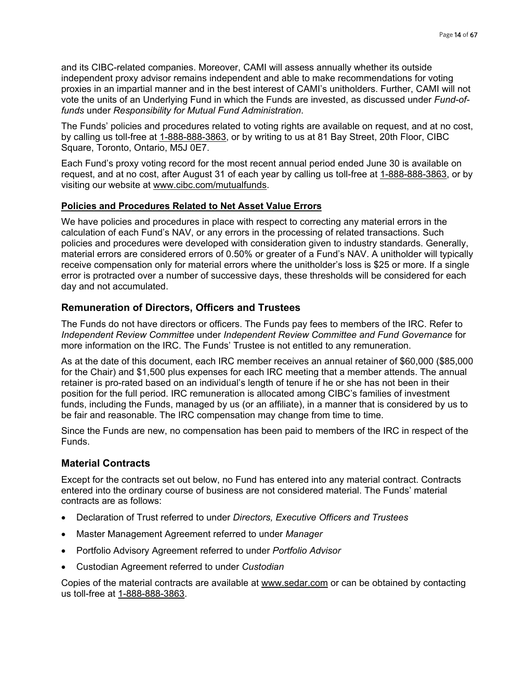and its CIBC-related companies. Moreover, CAMI will assess annually whether its outside independent proxy advisor remains independent and able to make recommendations for voting proxies in an impartial manner and in the best interest of CAMI's unitholders. Further, CAMI will not vote the units of an Underlying Fund in which the Funds are invested, as discussed under *Fund-offunds* under *Responsibility for Mutual Fund Administration*.

The Funds' policies and procedures related to voting rights are available on request, and at no cost, by calling us toll-free at [1-888-888-3863,](tel:1-888-888-3863) or by writing to us at 81 Bay Street, 20th Floor, CIBC Square, Toronto, Ontario, M5J 0E7.

Each Fund's proxy voting record for the most recent annual period ended June 30 is available on request, and at no cost, after August 31 of each year by calling us toll-free at [1-888-888-3863,](tel:1-888-888-3863) or by visiting our website at [www.cibc.com/mutualfunds.](http://www.cibc.com/mutualfunds)

# **Policies and Procedures Related to Net Asset Value Errors**

We have policies and procedures in place with respect to correcting any material errors in the calculation of each Fund's NAV, or any errors in the processing of related transactions. Such policies and procedures were developed with consideration given to industry standards. Generally, material errors are considered errors of 0.50% or greater of a Fund's NAV. A unitholder will typically receive compensation only for material errors where the unitholder's loss is \$25 or more. If a single error is protracted over a number of successive days, these thresholds will be considered for each day and not accumulated.

# **Remuneration of Directors, Officers and Trustees**

The Funds do not have directors or officers. The Funds pay fees to members of the IRC. Refer to *Independent Review Committee* under *Independent Review Committee and Fund Governance* for more information on the IRC. The Funds' Trustee is not entitled to any remuneration.

As at the date of this document, each IRC member receives an annual retainer of \$60,000 (\$85,000 for the Chair) and \$1,500 plus expenses for each IRC meeting that a member attends. The annual retainer is pro-rated based on an individual's length of tenure if he or she has not been in their position for the full period. IRC remuneration is allocated among CIBC's families of investment funds, including the Funds, managed by us (or an affiliate), in a manner that is considered by us to be fair and reasonable. The IRC compensation may change from time to time.

Since the Funds are new, no compensation has been paid to members of the IRC in respect of the Funds.

# **Material Contracts**

Except for the contracts set out below, no Fund has entered into any material contract. Contracts entered into the ordinary course of business are not considered material. The Funds' material contracts are as follows:

- Declaration of Trust referred to under *Directors, Executive Officers and Trustees*
- Master Management Agreement referred to under *Manager*
- Portfolio Advisory Agreement referred to under *Portfolio Advisor*
- Custodian Agreement referred to under *Custodian*

Copies of the material contracts are available at [www.sedar.com](file://tocs2001/wthmips_ds/CAM%20Regulatory/Point%20of%20Sale/_2010-/_2022/20220204_EMD_PIMCO_P_PRO1320NR/1_SP%20AIF/SP/www.sedar.com) or can be obtained by contacting us toll-free at [1-888-888-3863.](tel:1-888-888-3863)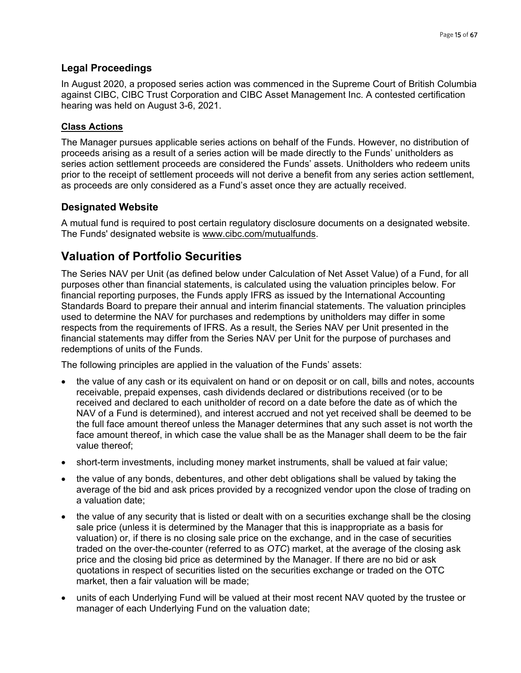# **Legal Proceedings**

In August 2020, a proposed series action was commenced in the Supreme Court of British Columbia against CIBC, CIBC Trust Corporation and CIBC Asset Management Inc. A contested certification hearing was held on August 3-6, 2021.

## **Class Actions**

The Manager pursues applicable series actions on behalf of the Funds. However, no distribution of proceeds arising as a result of a series action will be made directly to the Funds' unitholders as series action settlement proceeds are considered the Funds' assets. Unitholders who redeem units prior to the receipt of settlement proceeds will not derive a benefit from any series action settlement, as proceeds are only considered as a Fund's asset once they are actually received.

# **Designated Website**

A mutual fund is required to post certain regulatory disclosure documents on a designated website. The Funds' designated website is [www.cibc.com/mutualfunds.](http://www.cibc.com/mutualfunds)

# <span id="page-14-0"></span>**Valuation of Portfolio Securities**

The Series NAV per Unit (as defined below under Calculation of Net Asset Value) of a Fund, for all purposes other than financial statements, is calculated using the valuation principles below. For financial reporting purposes, the Funds apply IFRS as issued by the International Accounting Standards Board to prepare their annual and interim financial statements. The valuation principles used to determine the NAV for purchases and redemptions by unitholders may differ in some respects from the requirements of IFRS. As a result, the Series NAV per Unit presented in the financial statements may differ from the Series NAV per Unit for the purpose of purchases and redemptions of units of the Funds.

The following principles are applied in the valuation of the Funds' assets:

- the value of any cash or its equivalent on hand or on deposit or on call, bills and notes, accounts receivable, prepaid expenses, cash dividends declared or distributions received (or to be received and declared to each unitholder of record on a date before the date as of which the NAV of a Fund is determined), and interest accrued and not yet received shall be deemed to be the full face amount thereof unless the Manager determines that any such asset is not worth the face amount thereof, in which case the value shall be as the Manager shall deem to be the fair value thereof;
- short-term investments, including money market instruments, shall be valued at fair value;
- the value of any bonds, debentures, and other debt obligations shall be valued by taking the average of the bid and ask prices provided by a recognized vendor upon the close of trading on a valuation date;
- the value of any security that is listed or dealt with on a securities exchange shall be the closing sale price (unless it is determined by the Manager that this is inappropriate as a basis for valuation) or, if there is no closing sale price on the exchange, and in the case of securities traded on the over-the-counter (referred to as *OTC*) market, at the average of the closing ask price and the closing bid price as determined by the Manager. If there are no bid or ask quotations in respect of securities listed on the securities exchange or traded on the OTC market, then a fair valuation will be made;
- units of each Underlying Fund will be valued at their most recent NAV quoted by the trustee or manager of each Underlying Fund on the valuation date;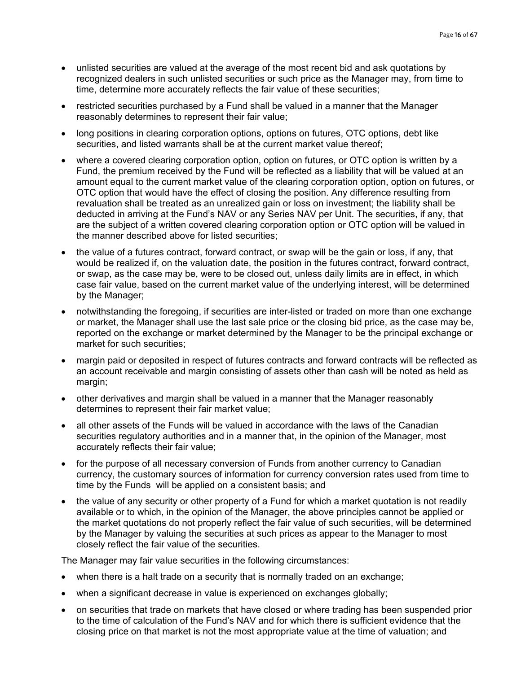- unlisted securities are valued at the average of the most recent bid and ask quotations by recognized dealers in such unlisted securities or such price as the Manager may, from time to time, determine more accurately reflects the fair value of these securities;
- restricted securities purchased by a Fund shall be valued in a manner that the Manager reasonably determines to represent their fair value;
- long positions in clearing corporation options, options on futures, OTC options, debt like securities, and listed warrants shall be at the current market value thereof;
- where a covered clearing corporation option, option on futures, or OTC option is written by a Fund, the premium received by the Fund will be reflected as a liability that will be valued at an amount equal to the current market value of the clearing corporation option, option on futures, or OTC option that would have the effect of closing the position. Any difference resulting from revaluation shall be treated as an unrealized gain or loss on investment; the liability shall be deducted in arriving at the Fund's NAV or any Series NAV per Unit. The securities, if any, that are the subject of a written covered clearing corporation option or OTC option will be valued in the manner described above for listed securities;
- the value of a futures contract, forward contract, or swap will be the gain or loss, if any, that would be realized if, on the valuation date, the position in the futures contract, forward contract, or swap, as the case may be, were to be closed out, unless daily limits are in effect, in which case fair value, based on the current market value of the underlying interest, will be determined by the Manager;
- notwithstanding the foregoing, if securities are inter-listed or traded on more than one exchange or market, the Manager shall use the last sale price or the closing bid price, as the case may be, reported on the exchange or market determined by the Manager to be the principal exchange or market for such securities;
- margin paid or deposited in respect of futures contracts and forward contracts will be reflected as an account receivable and margin consisting of assets other than cash will be noted as held as margin;
- other derivatives and margin shall be valued in a manner that the Manager reasonably determines to represent their fair market value;
- all other assets of the Funds will be valued in accordance with the laws of the Canadian securities regulatory authorities and in a manner that, in the opinion of the Manager, most accurately reflects their fair value;
- for the purpose of all necessary conversion of Funds from another currency to Canadian currency, the customary sources of information for currency conversion rates used from time to time by the Funds will be applied on a consistent basis; and
- the value of any security or other property of a Fund for which a market quotation is not readily available or to which, in the opinion of the Manager, the above principles cannot be applied or the market quotations do not properly reflect the fair value of such securities, will be determined by the Manager by valuing the securities at such prices as appear to the Manager to most closely reflect the fair value of the securities.

The Manager may fair value securities in the following circumstances:

- when there is a halt trade on a security that is normally traded on an exchange;
- when a significant decrease in value is experienced on exchanges globally;
- on securities that trade on markets that have closed or where trading has been suspended prior to the time of calculation of the Fund's NAV and for which there is sufficient evidence that the closing price on that market is not the most appropriate value at the time of valuation; and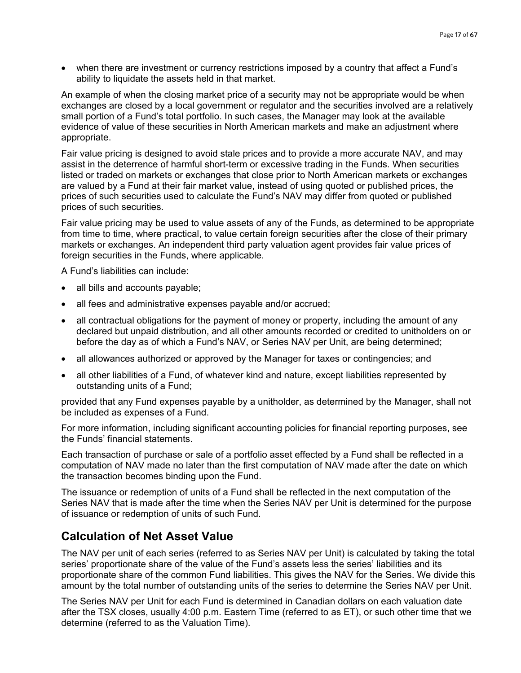• when there are investment or currency restrictions imposed by a country that affect a Fund's ability to liquidate the assets held in that market.

An example of when the closing market price of a security may not be appropriate would be when exchanges are closed by a local government or regulator and the securities involved are a relatively small portion of a Fund's total portfolio. In such cases, the Manager may look at the available evidence of value of these securities in North American markets and make an adjustment where appropriate.

Fair value pricing is designed to avoid stale prices and to provide a more accurate NAV, and may assist in the deterrence of harmful short-term or excessive trading in the Funds. When securities listed or traded on markets or exchanges that close prior to North American markets or exchanges are valued by a Fund at their fair market value, instead of using quoted or published prices, the prices of such securities used to calculate the Fund's NAV may differ from quoted or published prices of such securities.

Fair value pricing may be used to value assets of any of the Funds, as determined to be appropriate from time to time, where practical, to value certain foreign securities after the close of their primary markets or exchanges. An independent third party valuation agent provides fair value prices of foreign securities in the Funds, where applicable.

A Fund's liabilities can include:

- all bills and accounts payable;
- all fees and administrative expenses payable and/or accrued;
- all contractual obligations for the payment of money or property, including the amount of any declared but unpaid distribution, and all other amounts recorded or credited to unitholders on or before the day as of which a Fund's NAV, or Series NAV per Unit, are being determined;
- all allowances authorized or approved by the Manager for taxes or contingencies; and
- all other liabilities of a Fund, of whatever kind and nature, except liabilities represented by outstanding units of a Fund;

provided that any Fund expenses payable by a unitholder, as determined by the Manager, shall not be included as expenses of a Fund.

For more information, including significant accounting policies for financial reporting purposes, see the Funds' financial statements.

Each transaction of purchase or sale of a portfolio asset effected by a Fund shall be reflected in a computation of NAV made no later than the first computation of NAV made after the date on which the transaction becomes binding upon the Fund.

The issuance or redemption of units of a Fund shall be reflected in the next computation of the Series NAV that is made after the time when the Series NAV per Unit is determined for the purpose of issuance or redemption of units of such Fund.

# <span id="page-16-0"></span>**Calculation of Net Asset Value**

The NAV per unit of each series (referred to as Series NAV per Unit) is calculated by taking the total series' proportionate share of the value of the Fund's assets less the series' liabilities and its proportionate share of the common Fund liabilities. This gives the NAV for the Series. We divide this amount by the total number of outstanding units of the series to determine the Series NAV per Unit.

The Series NAV per Unit for each Fund is determined in Canadian dollars on each valuation date after the TSX closes, usually 4:00 p.m. Eastern Time (referred to as ET), or such other time that we determine (referred to as the Valuation Time).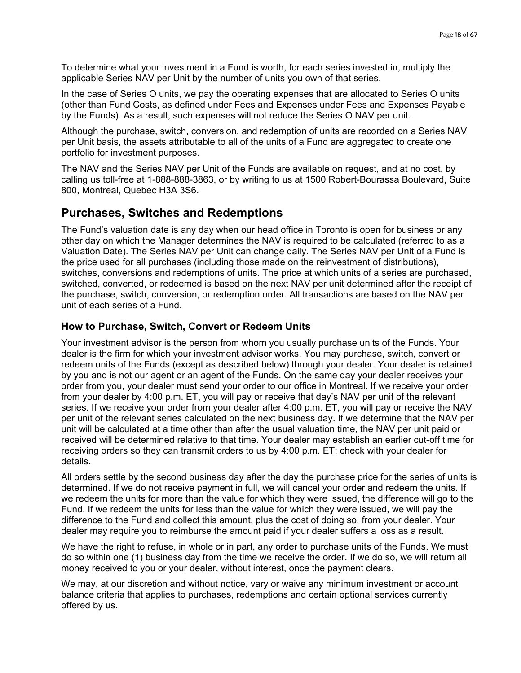To determine what your investment in a Fund is worth, for each series invested in, multiply the applicable Series NAV per Unit by the number of units you own of that series.

In the case of Series O units, we pay the operating expenses that are allocated to Series O units (other than Fund Costs, as defined under Fees and Expenses under Fees and Expenses Payable by the Funds). As a result, such expenses will not reduce the Series O NAV per unit.

Although the purchase, switch, conversion, and redemption of units are recorded on a Series NAV per Unit basis, the assets attributable to all of the units of a Fund are aggregated to create one portfolio for investment purposes.

The NAV and the Series NAV per Unit of the Funds are available on request, and at no cost, by calling us toll-free at [1-888-888-3863,](tel:1-888-888-3863) or by writing to us at 1500 Robert-Bourassa Boulevard, Suite 800, Montreal, Quebec H3A 3S6.

# <span id="page-17-0"></span>**Purchases, Switches and Redemptions**

The Fund's valuation date is any day when our head office in Toronto is open for business or any other day on which the Manager determines the NAV is required to be calculated (referred to as a Valuation Date). The Series NAV per Unit can change daily. The Series NAV per Unit of a Fund is the price used for all purchases (including those made on the reinvestment of distributions), switches, conversions and redemptions of units. The price at which units of a series are purchased, switched, converted, or redeemed is based on the next NAV per unit determined after the receipt of the purchase, switch, conversion, or redemption order. All transactions are based on the NAV per unit of each series of a Fund.

### **How to Purchase, Switch, Convert or Redeem Units**

Your investment advisor is the person from whom you usually purchase units of the Funds. Your dealer is the firm for which your investment advisor works. You may purchase, switch, convert or redeem units of the Funds (except as described below) through your dealer. Your dealer is retained by you and is not our agent or an agent of the Funds. On the same day your dealer receives your order from you, your dealer must send your order to our office in Montreal. If we receive your order from your dealer by 4:00 p.m. ET, you will pay or receive that day's NAV per unit of the relevant series. If we receive your order from your dealer after 4:00 p.m. ET, you will pay or receive the NAV per unit of the relevant series calculated on the next business day. If we determine that the NAV per unit will be calculated at a time other than after the usual valuation time, the NAV per unit paid or received will be determined relative to that time. Your dealer may establish an earlier cut-off time for receiving orders so they can transmit orders to us by 4:00 p.m. ET; check with your dealer for details.

All orders settle by the second business day after the day the purchase price for the series of units is determined. If we do not receive payment in full, we will cancel your order and redeem the units. If we redeem the units for more than the value for which they were issued, the difference will go to the Fund. If we redeem the units for less than the value for which they were issued, we will pay the difference to the Fund and collect this amount, plus the cost of doing so, from your dealer. Your dealer may require you to reimburse the amount paid if your dealer suffers a loss as a result.

We have the right to refuse, in whole or in part, any order to purchase units of the Funds. We must do so within one (1) business day from the time we receive the order. If we do so, we will return all money received to you or your dealer, without interest, once the payment clears.

We may, at our discretion and without notice, vary or waive any minimum investment or account balance criteria that applies to purchases, redemptions and certain optional services currently offered by us.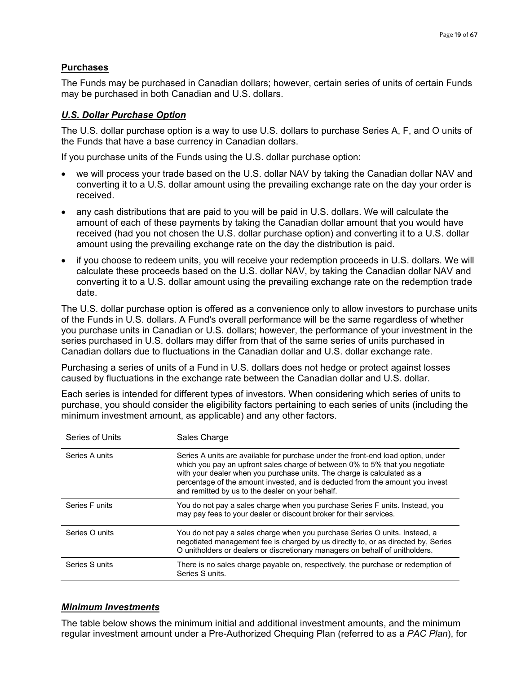# **Purchases**

The Funds may be purchased in Canadian dollars; however, certain series of units of certain Funds may be purchased in both Canadian and U.S. dollars.

# *U.S. Dollar Purchase Option*

The U.S. dollar purchase option is a way to use U.S. dollars to purchase Series A, F, and O units of the Funds that have a base currency in Canadian dollars.

If you purchase units of the Funds using the U.S. dollar purchase option:

- we will process your trade based on the U.S. dollar NAV by taking the Canadian dollar NAV and converting it to a U.S. dollar amount using the prevailing exchange rate on the day your order is received.
- any cash distributions that are paid to you will be paid in U.S. dollars. We will calculate the amount of each of these payments by taking the Canadian dollar amount that you would have received (had you not chosen the U.S. dollar purchase option) and converting it to a U.S. dollar amount using the prevailing exchange rate on the day the distribution is paid.
- if you choose to redeem units, you will receive your redemption proceeds in U.S. dollars. We will calculate these proceeds based on the U.S. dollar NAV, by taking the Canadian dollar NAV and converting it to a U.S. dollar amount using the prevailing exchange rate on the redemption trade date.

The U.S. dollar purchase option is offered as a convenience only to allow investors to purchase units of the Funds in U.S. dollars. A Fund's overall performance will be the same regardless of whether you purchase units in Canadian or U.S. dollars; however, the performance of your investment in the series purchased in U.S. dollars may differ from that of the same series of units purchased in Canadian dollars due to fluctuations in the Canadian dollar and U.S. dollar exchange rate.

Purchasing a series of units of a Fund in U.S. dollars does not hedge or protect against losses caused by fluctuations in the exchange rate between the Canadian dollar and U.S. dollar.

Each series is intended for different types of investors. When considering which series of units to purchase, you should consider the eligibility factors pertaining to each series of units (including the minimum investment amount, as applicable) and any other factors.

| Series of Units | Sales Charge                                                                                                                                                                                                                                                                                                                                                                     |
|-----------------|----------------------------------------------------------------------------------------------------------------------------------------------------------------------------------------------------------------------------------------------------------------------------------------------------------------------------------------------------------------------------------|
| Series A units  | Series A units are available for purchase under the front-end load option, under<br>which you pay an upfront sales charge of between 0% to 5% that you negotiate<br>with your dealer when you purchase units. The charge is calculated as a<br>percentage of the amount invested, and is deducted from the amount you invest<br>and remitted by us to the dealer on your behalf. |
| Series F units  | You do not pay a sales charge when you purchase Series F units. Instead, you<br>may pay fees to your dealer or discount broker for their services.                                                                                                                                                                                                                               |
| Series O units  | You do not pay a sales charge when you purchase Series O units. Instead, a<br>negotiated management fee is charged by us directly to, or as directed by, Series<br>O unitholders or dealers or discretionary managers on behalf of unitholders.                                                                                                                                  |
| Series S units  | There is no sales charge payable on, respectively, the purchase or redemption of<br>Series S units.                                                                                                                                                                                                                                                                              |

## *Minimum Investments*

The table below shows the minimum initial and additional investment amounts, and the minimum regular investment amount under a Pre-Authorized Chequing Plan (referred to as a *PAC Plan*), for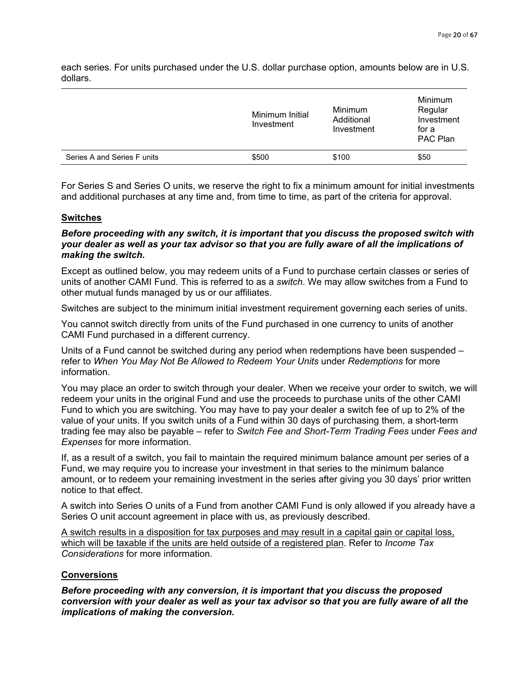each series. For units purchased under the U.S. dollar purchase option, amounts below are in U.S. dollars.

|                             | Minimum Initial<br>Investment | Minimum<br>Additional<br>Investment | Minimum<br>Regular<br>Investment<br>for a<br><b>PAC Plan</b> |
|-----------------------------|-------------------------------|-------------------------------------|--------------------------------------------------------------|
| Series A and Series F units | \$500                         | \$100                               | \$50                                                         |

For Series S and Series O units, we reserve the right to fix a minimum amount for initial investments and additional purchases at any time and, from time to time, as part of the criteria for approval.

#### **Switches**

*Before proceeding with any switch, it is important that you discuss the proposed switch with your dealer as well as your tax advisor so that you are fully aware of all the implications of making the switch.*

Except as outlined below, you may redeem units of a Fund to purchase certain classes or series of units of another CAMI Fund. This is referred to as a *switch*. We may allow switches from a Fund to other mutual funds managed by us or our affiliates.

Switches are subject to the minimum initial investment requirement governing each series of units.

You cannot switch directly from units of the Fund purchased in one currency to units of another CAMI Fund purchased in a different currency.

Units of a Fund cannot be switched during any period when redemptions have been suspended – refer to *When You May Not Be Allowed to Redeem Your Units* under *Redemptions* for more information.

You may place an order to switch through your dealer. When we receive your order to switch, we will redeem your units in the original Fund and use the proceeds to purchase units of the other CAMI Fund to which you are switching. You may have to pay your dealer a switch fee of up to 2% of the value of your units. If you switch units of a Fund within 30 days of purchasing them, a short-term trading fee may also be payable – refer to *Switch Fee and Short-Term Trading Fees* under *Fees and Expenses* for more information.

If, as a result of a switch, you fail to maintain the required minimum balance amount per series of a Fund, we may require you to increase your investment in that series to the minimum balance amount, or to redeem your remaining investment in the series after giving you 30 days' prior written notice to that effect.

A switch into Series O units of a Fund from another CAMI Fund is only allowed if you already have a Series O unit account agreement in place with us, as previously described.

A switch results in a disposition for tax purposes and may result in a capital gain or capital loss, which will be taxable if the units are held outside of a registered plan. Refer to *Income Tax Considerations* for more information.

#### **Conversions**

*Before proceeding with any conversion, it is important that you discuss the proposed conversion with your dealer as well as your tax advisor so that you are fully aware of all the implications of making the conversion.*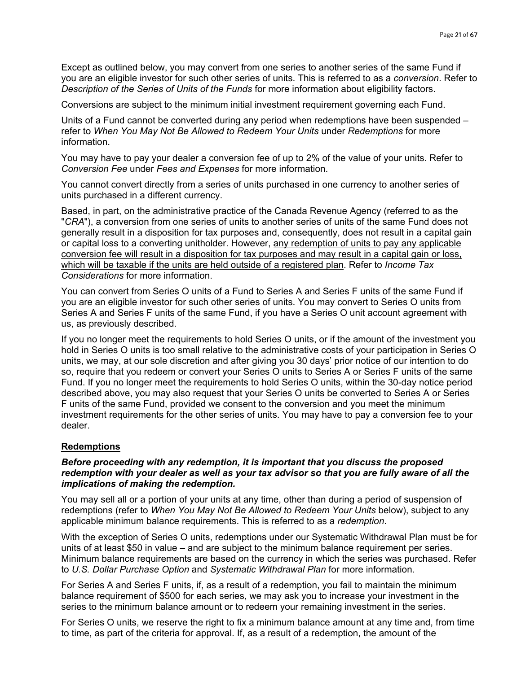Except as outlined below, you may convert from one series to another series of the same Fund if you are an eligible investor for such other series of units. This is referred to as a *conversion*. Refer to *Description of the Series of Units of the Funds* for more information about eligibility factors.

Conversions are subject to the minimum initial investment requirement governing each Fund.

Units of a Fund cannot be converted during any period when redemptions have been suspended – refer to *When You May Not Be Allowed to Redeem Your Units* under *Redemptions* for more information.

You may have to pay your dealer a conversion fee of up to 2% of the value of your units. Refer to *Conversion Fee* under *Fees and Expenses* for more information.

You cannot convert directly from a series of units purchased in one currency to another series of units purchased in a different currency.

Based, in part, on the administrative practice of the Canada Revenue Agency (referred to as the "*CRA*"), a conversion from one series of units to another series of units of the same Fund does not generally result in a disposition for tax purposes and, consequently, does not result in a capital gain or capital loss to a converting unitholder. However, any redemption of units to pay any applicable conversion fee will result in a disposition for tax purposes and may result in a capital gain or loss, which will be taxable if the units are held outside of a registered plan. Refer to *Income Tax Considerations* for more information.

You can convert from Series O units of a Fund to Series A and Series F units of the same Fund if you are an eligible investor for such other series of units. You may convert to Series O units from Series A and Series F units of the same Fund, if you have a Series O unit account agreement with us, as previously described.

If you no longer meet the requirements to hold Series O units, or if the amount of the investment you hold in Series O units is too small relative to the administrative costs of your participation in Series O units, we may, at our sole discretion and after giving you 30 days' prior notice of our intention to do so, require that you redeem or convert your Series O units to Series A or Series F units of the same Fund. If you no longer meet the requirements to hold Series O units, within the 30-day notice period described above, you may also request that your Series O units be converted to Series A or Series F units of the same Fund, provided we consent to the conversion and you meet the minimum investment requirements for the other series of units. You may have to pay a conversion fee to your dealer.

#### **Redemptions**

#### *Before proceeding with any redemption, it is important that you discuss the proposed redemption with your dealer as well as your tax advisor so that you are fully aware of all the implications of making the redemption.*

You may sell all or a portion of your units at any time, other than during a period of suspension of redemptions (refer to *When You May Not Be Allowed to Redeem Your Units* below), subject to any applicable minimum balance requirements. This is referred to as a *redemption*.

With the exception of Series O units, redemptions under our Systematic Withdrawal Plan must be for units of at least \$50 in value – and are subject to the minimum balance requirement per series. Minimum balance requirements are based on the currency in which the series was purchased. Refer to *U.S. Dollar Purchase Option* and *Systematic Withdrawal Plan* for more information.

For Series A and Series F units, if, as a result of a redemption, you fail to maintain the minimum balance requirement of \$500 for each series, we may ask you to increase your investment in the series to the minimum balance amount or to redeem your remaining investment in the series.

For Series O units, we reserve the right to fix a minimum balance amount at any time and, from time to time, as part of the criteria for approval. If, as a result of a redemption, the amount of the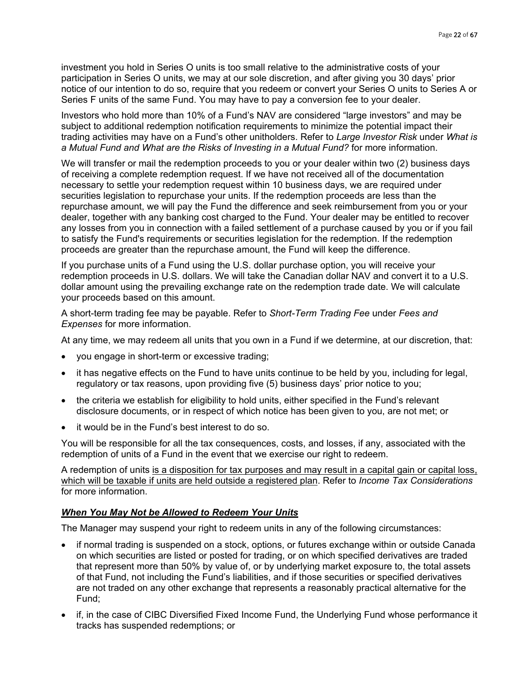investment you hold in Series O units is too small relative to the administrative costs of your participation in Series O units, we may at our sole discretion, and after giving you 30 days' prior notice of our intention to do so, require that you redeem or convert your Series O units to Series A or Series F units of the same Fund. You may have to pay a conversion fee to your dealer.

Investors who hold more than 10% of a Fund's NAV are considered "large investors" and may be subject to additional redemption notification requirements to minimize the potential impact their trading activities may have on a Fund's other unitholders. Refer to *Large Investor Risk* under *What is a Mutual Fund and What are the Risks of Investing in a Mutual Fund?* for more information.

We will transfer or mail the redemption proceeds to you or your dealer within two (2) business days of receiving a complete redemption request. If we have not received all of the documentation necessary to settle your redemption request within 10 business days, we are required under securities legislation to repurchase your units. If the redemption proceeds are less than the repurchase amount, we will pay the Fund the difference and seek reimbursement from you or your dealer, together with any banking cost charged to the Fund. Your dealer may be entitled to recover any losses from you in connection with a failed settlement of a purchase caused by you or if you fail to satisfy the Fund's requirements or securities legislation for the redemption. If the redemption proceeds are greater than the repurchase amount, the Fund will keep the difference.

If you purchase units of a Fund using the U.S. dollar purchase option, you will receive your redemption proceeds in U.S. dollars. We will take the Canadian dollar NAV and convert it to a U.S. dollar amount using the prevailing exchange rate on the redemption trade date. We will calculate your proceeds based on this amount.

A short-term trading fee may be payable. Refer to *Short-Term Trading Fee* under *Fees and Expenses* for more information.

At any time, we may redeem all units that you own in a Fund if we determine, at our discretion, that:

- you engage in short-term or excessive trading;
- it has negative effects on the Fund to have units continue to be held by you, including for legal, regulatory or tax reasons, upon providing five (5) business days' prior notice to you;
- the criteria we establish for eligibility to hold units, either specified in the Fund's relevant disclosure documents, or in respect of which notice has been given to you, are not met; or
- it would be in the Fund's best interest to do so.

You will be responsible for all the tax consequences, costs, and losses, if any, associated with the redemption of units of a Fund in the event that we exercise our right to redeem.

A redemption of units is a disposition for tax purposes and may result in a capital gain or capital loss, which will be taxable if units are held outside a registered plan. Refer to *Income Tax Considerations*  for more information.

#### *When You May Not be Allowed to Redeem Your Units*

The Manager may suspend your right to redeem units in any of the following circumstances:

- if normal trading is suspended on a stock, options, or futures exchange within or outside Canada on which securities are listed or posted for trading, or on which specified derivatives are traded that represent more than 50% by value of, or by underlying market exposure to, the total assets of that Fund, not including the Fund's liabilities, and if those securities or specified derivatives are not traded on any other exchange that represents a reasonably practical alternative for the Fund;
- if, in the case of CIBC Diversified Fixed Income Fund, the Underlying Fund whose performance it tracks has suspended redemptions; or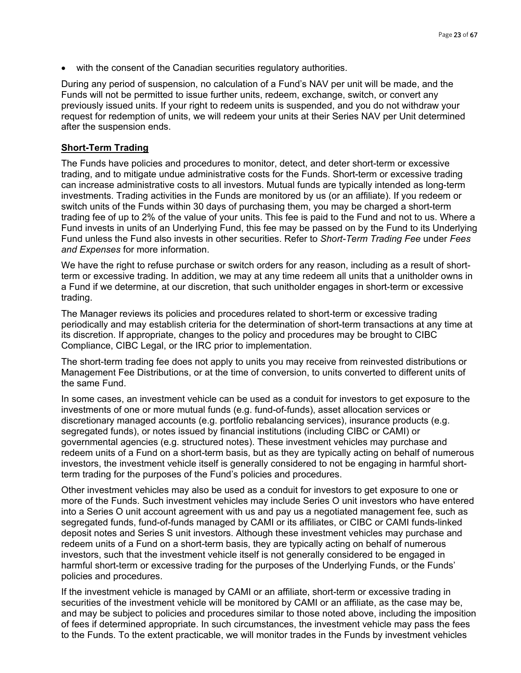• with the consent of the Canadian securities regulatory authorities.

During any period of suspension, no calculation of a Fund's NAV per unit will be made, and the Funds will not be permitted to issue further units, redeem, exchange, switch, or convert any previously issued units. If your right to redeem units is suspended, and you do not withdraw your request for redemption of units, we will redeem your units at their Series NAV per Unit determined after the suspension ends.

#### **Short-Term Trading**

The Funds have policies and procedures to monitor, detect, and deter short-term or excessive trading, and to mitigate undue administrative costs for the Funds. Short-term or excessive trading can increase administrative costs to all investors. Mutual funds are typically intended as long-term investments. Trading activities in the Funds are monitored by us (or an affiliate). If you redeem or switch units of the Funds within 30 days of purchasing them, you may be charged a short-term trading fee of up to 2% of the value of your units. This fee is paid to the Fund and not to us. Where a Fund invests in units of an Underlying Fund, this fee may be passed on by the Fund to its Underlying Fund unless the Fund also invests in other securities. Refer to *Short-Term Trading Fee* under *Fees and Expenses* for more information.

We have the right to refuse purchase or switch orders for any reason, including as a result of shortterm or excessive trading. In addition, we may at any time redeem all units that a unitholder owns in a Fund if we determine, at our discretion, that such unitholder engages in short-term or excessive trading.

The Manager reviews its policies and procedures related to short-term or excessive trading periodically and may establish criteria for the determination of short-term transactions at any time at its discretion. If appropriate, changes to the policy and procedures may be brought to CIBC Compliance, CIBC Legal, or the IRC prior to implementation.

The short-term trading fee does not apply to units you may receive from reinvested distributions or Management Fee Distributions, or at the time of conversion, to units converted to different units of the same Fund.

In some cases, an investment vehicle can be used as a conduit for investors to get exposure to the investments of one or more mutual funds (e.g. fund-of-funds), asset allocation services or discretionary managed accounts (e.g. portfolio rebalancing services), insurance products (e.g. segregated funds), or notes issued by financial institutions (including CIBC or CAMI) or governmental agencies (e.g. structured notes). These investment vehicles may purchase and redeem units of a Fund on a short-term basis, but as they are typically acting on behalf of numerous investors, the investment vehicle itself is generally considered to not be engaging in harmful shortterm trading for the purposes of the Fund's policies and procedures.

Other investment vehicles may also be used as a conduit for investors to get exposure to one or more of the Funds. Such investment vehicles may include Series O unit investors who have entered into a Series O unit account agreement with us and pay us a negotiated management fee, such as segregated funds, fund-of-funds managed by CAMI or its affiliates, or CIBC or CAMI funds-linked deposit notes and Series S unit investors. Although these investment vehicles may purchase and redeem units of a Fund on a short-term basis, they are typically acting on behalf of numerous investors, such that the investment vehicle itself is not generally considered to be engaged in harmful short-term or excessive trading for the purposes of the Underlying Funds, or the Funds' policies and procedures.

If the investment vehicle is managed by CAMI or an affiliate, short-term or excessive trading in securities of the investment vehicle will be monitored by CAMI or an affiliate, as the case may be, and may be subject to policies and procedures similar to those noted above, including the imposition of fees if determined appropriate. In such circumstances, the investment vehicle may pass the fees to the Funds. To the extent practicable, we will monitor trades in the Funds by investment vehicles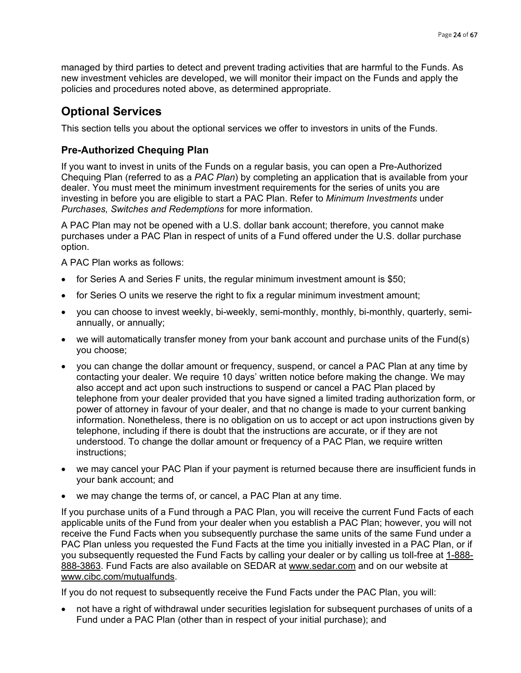managed by third parties to detect and prevent trading activities that are harmful to the Funds. As new investment vehicles are developed, we will monitor their impact on the Funds and apply the policies and procedures noted above, as determined appropriate.

# <span id="page-23-0"></span>**Optional Services**

This section tells you about the optional services we offer to investors in units of the Funds.

# **Pre-Authorized Chequing Plan**

If you want to invest in units of the Funds on a regular basis, you can open a Pre-Authorized Chequing Plan (referred to as a *PAC Plan*) by completing an application that is available from your dealer. You must meet the minimum investment requirements for the series of units you are investing in before you are eligible to start a PAC Plan. Refer to *Minimum Investments* under *Purchases, Switches and Redemptions* for more information.

A PAC Plan may not be opened with a U.S. dollar bank account; therefore, you cannot make purchases under a PAC Plan in respect of units of a Fund offered under the U.S. dollar purchase option.

A PAC Plan works as follows:

- for Series A and Series F units, the regular minimum investment amount is \$50;
- for Series O units we reserve the right to fix a regular minimum investment amount;
- you can choose to invest weekly, bi-weekly, semi-monthly, monthly, bi-monthly, quarterly, semiannually, or annually;
- we will automatically transfer money from your bank account and purchase units of the Fund(s) you choose;
- you can change the dollar amount or frequency, suspend, or cancel a PAC Plan at any time by contacting your dealer. We require 10 days' written notice before making the change. We may also accept and act upon such instructions to suspend or cancel a PAC Plan placed by telephone from your dealer provided that you have signed a limited trading authorization form, or power of attorney in favour of your dealer, and that no change is made to your current banking information. Nonetheless, there is no obligation on us to accept or act upon instructions given by telephone, including if there is doubt that the instructions are accurate, or if they are not understood. To change the dollar amount or frequency of a PAC Plan, we require written instructions;
- we may cancel your PAC Plan if your payment is returned because there are insufficient funds in your bank account; and
- we may change the terms of, or cancel, a PAC Plan at any time.

If you purchase units of a Fund through a PAC Plan, you will receive the current Fund Facts of each applicable units of the Fund from your dealer when you establish a PAC Plan; however, you will not receive the Fund Facts when you subsequently purchase the same units of the same Fund under a PAC Plan unless you requested the Fund Facts at the time you initially invested in a PAC Plan, or if you subsequently requested the Fund Facts by calling your dealer or by calling us toll-free at [1-888-](tel:18888883863) [888-3863.](tel:18888883863) Fund Facts are also available on SEDAR at [www.sedar.com](file://tocs2001/wthmips_ds/CAM%20Regulatory/Point%20of%20Sale/_2010-/_2022/20220204_EMD_PIMCO_P_PRO1320NR/1_SP%20AIF/SP/www.sedar.com) and on our website at [www.cibc.com/mutualfunds.](http://www.cibc.com/mutualfunds)

If you do not request to subsequently receive the Fund Facts under the PAC Plan, you will:

• not have a right of withdrawal under securities legislation for subsequent purchases of units of a Fund under a PAC Plan (other than in respect of your initial purchase); and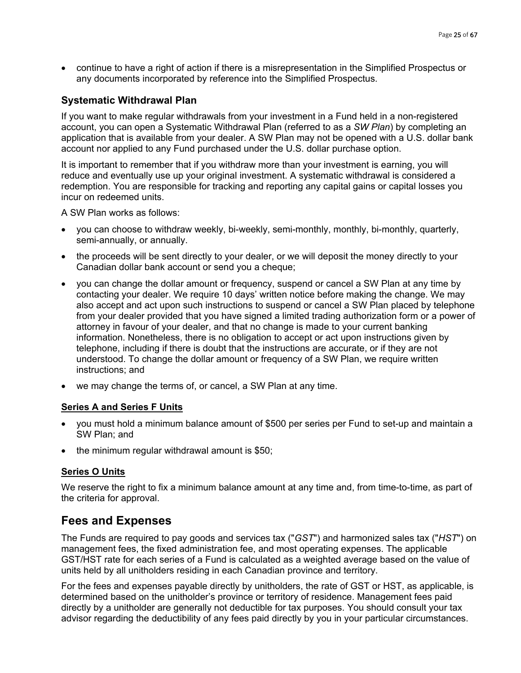• continue to have a right of action if there is a misrepresentation in the Simplified Prospectus or any documents incorporated by reference into the Simplified Prospectus.

# **Systematic Withdrawal Plan**

If you want to make regular withdrawals from your investment in a Fund held in a non-registered account, you can open a Systematic Withdrawal Plan (referred to as a *SW Plan*) by completing an application that is available from your dealer. A SW Plan may not be opened with a U.S. dollar bank account nor applied to any Fund purchased under the U.S. dollar purchase option.

It is important to remember that if you withdraw more than your investment is earning, you will reduce and eventually use up your original investment. A systematic withdrawal is considered a redemption. You are responsible for tracking and reporting any capital gains or capital losses you incur on redeemed units.

A SW Plan works as follows:

- you can choose to withdraw weekly, bi-weekly, semi-monthly, monthly, bi-monthly, quarterly, semi-annually, or annually.
- the proceeds will be sent directly to your dealer, or we will deposit the money directly to your Canadian dollar bank account or send you a cheque;
- you can change the dollar amount or frequency, suspend or cancel a SW Plan at any time by contacting your dealer. We require 10 days' written notice before making the change. We may also accept and act upon such instructions to suspend or cancel a SW Plan placed by telephone from your dealer provided that you have signed a limited trading authorization form or a power of attorney in favour of your dealer, and that no change is made to your current banking information. Nonetheless, there is no obligation to accept or act upon instructions given by telephone, including if there is doubt that the instructions are accurate, or if they are not understood. To change the dollar amount or frequency of a SW Plan, we require written instructions; and
- we may change the terms of, or cancel, a SW Plan at any time.

#### **Series A and Series F Units**

- you must hold a minimum balance amount of \$500 per series per Fund to set-up and maintain a SW Plan; and
- the minimum regular withdrawal amount is \$50;

#### **Series O Units**

We reserve the right to fix a minimum balance amount at any time and, from time-to-time, as part of the criteria for approval.

# <span id="page-24-0"></span>**Fees and Expenses**

The Funds are required to pay goods and services tax ("*GST*") and harmonized sales tax ("*HST*") on management fees, the fixed administration fee, and most operating expenses. The applicable GST/HST rate for each series of a Fund is calculated as a weighted average based on the value of units held by all unitholders residing in each Canadian province and territory.

For the fees and expenses payable directly by unitholders, the rate of GST or HST, as applicable, is determined based on the unitholder's province or territory of residence. Management fees paid directly by a unitholder are generally not deductible for tax purposes. You should consult your tax advisor regarding the deductibility of any fees paid directly by you in your particular circumstances.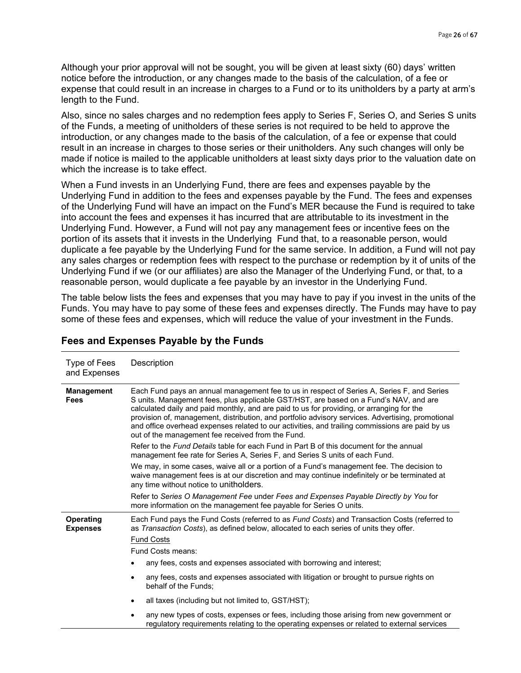Although your prior approval will not be sought, you will be given at least sixty (60) days' written notice before the introduction, or any changes made to the basis of the calculation, of a fee or expense that could result in an increase in charges to a Fund or to its unitholders by a party at arm's length to the Fund.

Also, since no sales charges and no redemption fees apply to Series F, Series O, and Series S units of the Funds, a meeting of unitholders of these series is not required to be held to approve the introduction, or any changes made to the basis of the calculation, of a fee or expense that could result in an increase in charges to those series or their unitholders. Any such changes will only be made if notice is mailed to the applicable unitholders at least sixty days prior to the valuation date on which the increase is to take effect.

When a Fund invests in an Underlying Fund, there are fees and expenses payable by the Underlying Fund in addition to the fees and expenses payable by the Fund. The fees and expenses of the Underlying Fund will have an impact on the Fund's MER because the Fund is required to take into account the fees and expenses it has incurred that are attributable to its investment in the Underlying Fund. However, a Fund will not pay any management fees or incentive fees on the portion of its assets that it invests in the Underlying Fund that, to a reasonable person, would duplicate a fee payable by the Underlying Fund for the same service. In addition, a Fund will not pay any sales charges or redemption fees with respect to the purchase or redemption by it of units of the Underlying Fund if we (or our affiliates) are also the Manager of the Underlying Fund, or that, to a reasonable person, would duplicate a fee payable by an investor in the Underlying Fund.

The table below lists the fees and expenses that you may have to pay if you invest in the units of the Funds. You may have to pay some of these fees and expenses directly. The Funds may have to pay some of these fees and expenses, which will reduce the value of your investment in the Funds.

| Type of Fees<br>and Expenses        | Description                                                                                                                                                                                                                                                                                                                                                                                                                                                                                                                                   |  |
|-------------------------------------|-----------------------------------------------------------------------------------------------------------------------------------------------------------------------------------------------------------------------------------------------------------------------------------------------------------------------------------------------------------------------------------------------------------------------------------------------------------------------------------------------------------------------------------------------|--|
| <b>Management</b><br><b>Fees</b>    | Each Fund pays an annual management fee to us in respect of Series A, Series F, and Series<br>S units. Management fees, plus applicable GST/HST, are based on a Fund's NAV, and are<br>calculated daily and paid monthly, and are paid to us for providing, or arranging for the<br>provision of, management, distribution, and portfolio advisory services. Advertising, promotional<br>and office overhead expenses related to our activities, and trailing commissions are paid by us<br>out of the management fee received from the Fund. |  |
|                                     | Refer to the <i>Fund Details</i> table for each Fund in Part B of this document for the annual<br>management fee rate for Series A, Series F, and Series S units of each Fund.                                                                                                                                                                                                                                                                                                                                                                |  |
|                                     | We may, in some cases, waive all or a portion of a Fund's management fee. The decision to<br>waive management fees is at our discretion and may continue indefinitely or be terminated at<br>any time without notice to unitholders.                                                                                                                                                                                                                                                                                                          |  |
|                                     | Refer to Series O Management Fee under Fees and Expenses Payable Directly by You for<br>more information on the management fee payable for Series O units.                                                                                                                                                                                                                                                                                                                                                                                    |  |
| <b>Operating</b><br><b>Expenses</b> | Each Fund pays the Fund Costs (referred to as Fund Costs) and Transaction Costs (referred to<br>as Transaction Costs), as defined below, allocated to each series of units they offer.                                                                                                                                                                                                                                                                                                                                                        |  |
|                                     | <b>Fund Costs</b><br>Fund Costs means:                                                                                                                                                                                                                                                                                                                                                                                                                                                                                                        |  |
|                                     | any fees, costs and expenses associated with borrowing and interest;                                                                                                                                                                                                                                                                                                                                                                                                                                                                          |  |
|                                     | any fees, costs and expenses associated with litigation or brought to pursue rights on<br>behalf of the Funds;                                                                                                                                                                                                                                                                                                                                                                                                                                |  |
|                                     | all taxes (including but not limited to, GST/HST);<br>$\bullet$                                                                                                                                                                                                                                                                                                                                                                                                                                                                               |  |
|                                     | any new types of costs, expenses or fees, including those arising from new government or<br>regulatory reguirements relating to the operating expenses or related to external services                                                                                                                                                                                                                                                                                                                                                        |  |

# **Fees and Expenses Payable by the Funds**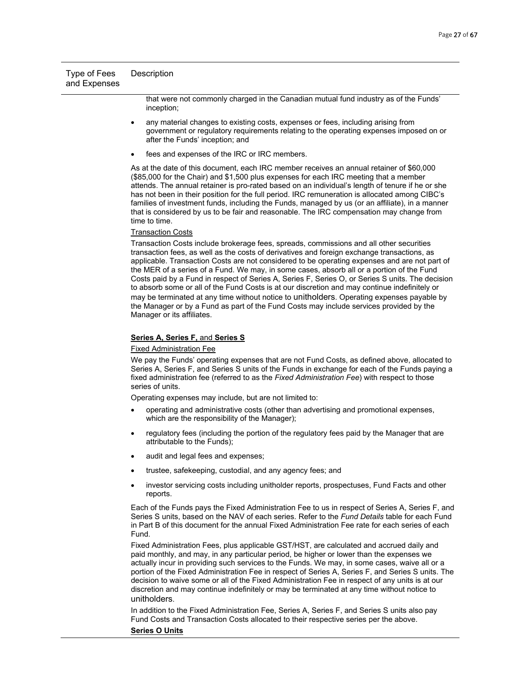| Type of Fees Description<br>and Expenses |  |  |
|------------------------------------------|--|--|
|------------------------------------------|--|--|

that were not commonly charged in the Canadian mutual fund industry as of the Funds' inception;

- any material changes to existing costs, expenses or fees, including arising from government or regulatory requirements relating to the operating expenses imposed on or after the Funds' inception; and
- fees and expenses of the IRC or IRC members.

As at the date of this document, each IRC member receives an annual retainer of \$60,000 (\$85,000 for the Chair) and \$1,500 plus expenses for each IRC meeting that a member attends. The annual retainer is pro-rated based on an individual's length of tenure if he or she has not been in their position for the full period. IRC remuneration is allocated among CIBC's families of investment funds, including the Funds, managed by us (or an affiliate), in a manner that is considered by us to be fair and reasonable. The IRC compensation may change from time to time.

#### Transaction Costs

Transaction Costs include brokerage fees, spreads, commissions and all other securities transaction fees, as well as the costs of derivatives and foreign exchange transactions, as applicable. Transaction Costs are not considered to be operating expenses and are not part of the MER of a series of a Fund. We may, in some cases, absorb all or a portion of the Fund Costs paid by a Fund in respect of Series A, Series F, Series O, or Series S units. The decision to absorb some or all of the Fund Costs is at our discretion and may continue indefinitely or may be terminated at any time without notice to unitholders. Operating expenses payable by the Manager or by a Fund as part of the Fund Costs may include services provided by the Manager or its affiliates.

#### **Series A, Series F,** and **Series S**

#### Fixed Administration Fee

We pay the Funds' operating expenses that are not Fund Costs, as defined above, allocated to Series A, Series F, and Series S units of the Funds in exchange for each of the Funds paying a fixed administration fee (referred to as the *Fixed Administration Fee*) with respect to those series of units.

Operating expenses may include, but are not limited to:

- operating and administrative costs (other than advertising and promotional expenses, which are the responsibility of the Manager);
- regulatory fees (including the portion of the regulatory fees paid by the Manager that are attributable to the Funds);
- audit and legal fees and expenses;
- trustee, safekeeping, custodial, and any agency fees; and
- investor servicing costs including unitholder reports, prospectuses, Fund Facts and other reports.

Each of the Funds pays the Fixed Administration Fee to us in respect of Series A, Series F, and Series S units, based on the NAV of each series. Refer to the *Fund Details* table for each Fund in Part B of this document for the annual Fixed Administration Fee rate for each series of each Fund.

Fixed Administration Fees, plus applicable GST/HST, are calculated and accrued daily and paid monthly, and may, in any particular period, be higher or lower than the expenses we actually incur in providing such services to the Funds. We may, in some cases, waive all or a portion of the Fixed Administration Fee in respect of Series A, Series F, and Series S units. The decision to waive some or all of the Fixed Administration Fee in respect of any units is at our discretion and may continue indefinitely or may be terminated at any time without notice to unitholders.

In addition to the Fixed Administration Fee, Series A, Series F, and Series S units also pay Fund Costs and Transaction Costs allocated to their respective series per the above.

#### **Series O Units**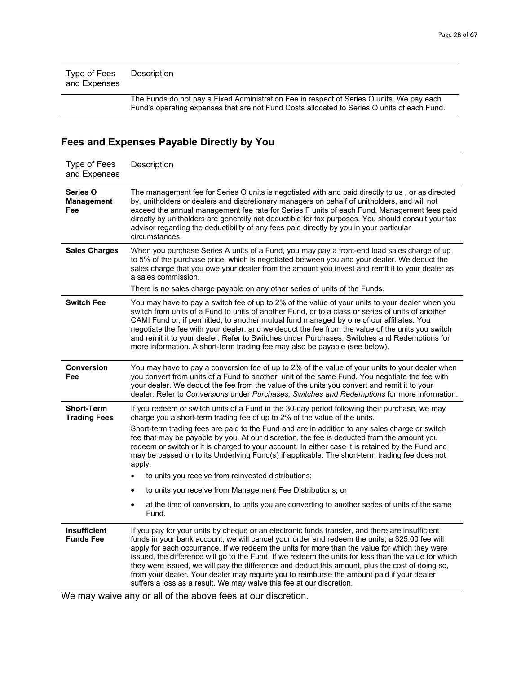| Type of Fees Description<br>and Expenses |                                                                                      |
|------------------------------------------|--------------------------------------------------------------------------------------|
|                                          | The Funds dependence Fund Administration For independent (Administration Microsofth) |

The Funds do not pay a Fixed Administration Fee in respect of Series O units. We pay each Fund's operating expenses that are not Fund Costs allocated to Series O units of each Fund.

# **Fees and Expenses Payable Directly by You**

| Type of Fees<br>and Expenses             | Description                                                                                                                                                                                                                                                                                                                                                                                                                                                                                                                                                                                                                                                                        |
|------------------------------------------|------------------------------------------------------------------------------------------------------------------------------------------------------------------------------------------------------------------------------------------------------------------------------------------------------------------------------------------------------------------------------------------------------------------------------------------------------------------------------------------------------------------------------------------------------------------------------------------------------------------------------------------------------------------------------------|
| Series O<br>Management<br>Fee            | The management fee for Series O units is negotiated with and paid directly to us, or as directed<br>by, unitholders or dealers and discretionary managers on behalf of unitholders, and will not<br>exceed the annual management fee rate for Series F units of each Fund. Management fees paid<br>directly by unitholders are generally not deductible for tax purposes. You should consult your tax<br>advisor regarding the deductibility of any fees paid directly by you in your particular<br>circumstances.                                                                                                                                                                 |
| <b>Sales Charges</b>                     | When you purchase Series A units of a Fund, you may pay a front-end load sales charge of up<br>to 5% of the purchase price, which is negotiated between you and your dealer. We deduct the<br>sales charge that you owe your dealer from the amount you invest and remit it to your dealer as<br>a sales commission.                                                                                                                                                                                                                                                                                                                                                               |
|                                          | There is no sales charge payable on any other series of units of the Funds.                                                                                                                                                                                                                                                                                                                                                                                                                                                                                                                                                                                                        |
| <b>Switch Fee</b>                        | You may have to pay a switch fee of up to 2% of the value of your units to your dealer when you<br>switch from units of a Fund to units of another Fund, or to a class or series of units of another<br>CAMI Fund or, if permitted, to another mutual fund managed by one of our affiliates. You<br>negotiate the fee with your dealer, and we deduct the fee from the value of the units you switch<br>and remit it to your dealer. Refer to Switches under Purchases, Switches and Redemptions for<br>more information. A short-term trading fee may also be payable (see below).                                                                                                |
| <b>Conversion</b><br>Fee                 | You may have to pay a conversion fee of up to 2% of the value of your units to your dealer when<br>you convert from units of a Fund to another unit of the same Fund. You negotiate the fee with<br>your dealer. We deduct the fee from the value of the units you convert and remit it to your<br>dealer. Refer to Conversions under Purchases, Switches and Redemptions for more information.                                                                                                                                                                                                                                                                                    |
| <b>Short-Term</b><br><b>Trading Fees</b> | If you redeem or switch units of a Fund in the 30-day period following their purchase, we may<br>charge you a short-term trading fee of up to 2% of the value of the units.                                                                                                                                                                                                                                                                                                                                                                                                                                                                                                        |
|                                          | Short-term trading fees are paid to the Fund and are in addition to any sales charge or switch<br>fee that may be payable by you. At our discretion, the fee is deducted from the amount you<br>redeem or switch or it is charged to your account. In either case it is retained by the Fund and<br>may be passed on to its Underlying Fund(s) if applicable. The short-term trading fee does not<br>apply:                                                                                                                                                                                                                                                                        |
|                                          | to units you receive from reinvested distributions;<br>$\bullet$                                                                                                                                                                                                                                                                                                                                                                                                                                                                                                                                                                                                                   |
|                                          | to units you receive from Management Fee Distributions; or<br>$\bullet$                                                                                                                                                                                                                                                                                                                                                                                                                                                                                                                                                                                                            |
|                                          | at the time of conversion, to units you are converting to another series of units of the same<br>$\bullet$<br>Fund.                                                                                                                                                                                                                                                                                                                                                                                                                                                                                                                                                                |
| <b>Insufficient</b><br><b>Funds Fee</b>  | If you pay for your units by cheque or an electronic funds transfer, and there are insufficient<br>funds in your bank account, we will cancel your order and redeem the units; a \$25.00 fee will<br>apply for each occurrence. If we redeem the units for more than the value for which they were<br>issued, the difference will go to the Fund. If we redeem the units for less than the value for which<br>they were issued, we will pay the difference and deduct this amount, plus the cost of doing so,<br>from your dealer. Your dealer may require you to reimburse the amount paid if your dealer<br>suffers a loss as a result. We may waive this fee at our discretion. |

We may waive any or all of the above fees at our discretion.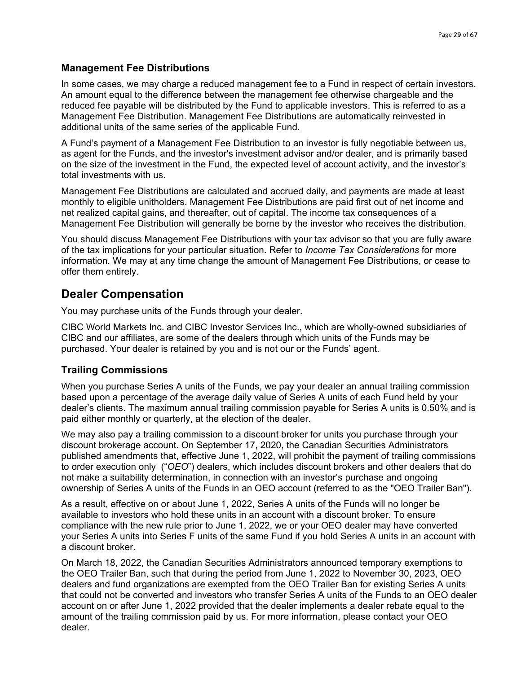# **Management Fee Distributions**

In some cases, we may charge a reduced management fee to a Fund in respect of certain investors. An amount equal to the difference between the management fee otherwise chargeable and the reduced fee payable will be distributed by the Fund to applicable investors. This is referred to as a Management Fee Distribution. Management Fee Distributions are automatically reinvested in additional units of the same series of the applicable Fund.

A Fund's payment of a Management Fee Distribution to an investor is fully negotiable between us, as agent for the Funds, and the investor's investment advisor and/or dealer, and is primarily based on the size of the investment in the Fund, the expected level of account activity, and the investor's total investments with us.

Management Fee Distributions are calculated and accrued daily, and payments are made at least monthly to eligible unitholders. Management Fee Distributions are paid first out of net income and net realized capital gains, and thereafter, out of capital. The income tax consequences of a Management Fee Distribution will generally be borne by the investor who receives the distribution.

You should discuss Management Fee Distributions with your tax advisor so that you are fully aware of the tax implications for your particular situation. Refer to *Income Tax Considerations* for more information. We may at any time change the amount of Management Fee Distributions, or cease to offer them entirely.

# <span id="page-28-0"></span>**Dealer Compensation**

You may purchase units of the Funds through your dealer.

CIBC World Markets Inc. and CIBC Investor Services Inc., which are wholly-owned subsidiaries of CIBC and our affiliates, are some of the dealers through which units of the Funds may be purchased. Your dealer is retained by you and is not our or the Funds' agent.

# **Trailing Commissions**

When you purchase Series A units of the Funds, we pay your dealer an annual trailing commission based upon a percentage of the average daily value of Series A units of each Fund held by your dealer's clients. The maximum annual trailing commission payable for Series A units is 0.50% and is paid either monthly or quarterly, at the election of the dealer.

We may also pay a trailing commission to a discount broker for units you purchase through your discount brokerage account. On September 17, 2020, the Canadian Securities Administrators published amendments that, effective June 1, 2022, will prohibit the payment of trailing commissions to order execution only ("*OEO*") dealers, which includes discount brokers and other dealers that do not make a suitability determination, in connection with an investor's purchase and ongoing ownership of Series A units of the Funds in an OEO account (referred to as the "OEO Trailer Ban").

As a result, effective on or about June 1, 2022, Series A units of the Funds will no longer be available to investors who hold these units in an account with a discount broker. To ensure compliance with the new rule prior to June 1, 2022, we or your OEO dealer may have converted your Series A units into Series F units of the same Fund if you hold Series A units in an account with a discount broker.

On March 18, 2022, the Canadian Securities Administrators announced temporary exemptions to the OEO Trailer Ban, such that during the period from June 1, 2022 to November 30, 2023, OEO dealers and fund organizations are exempted from the OEO Trailer Ban for existing Series A units that could not be converted and investors who transfer Series A units of the Funds to an OEO dealer account on or after June 1, 2022 provided that the dealer implements a dealer rebate equal to the amount of the trailing commission paid by us. For more information, please contact your OEO dealer.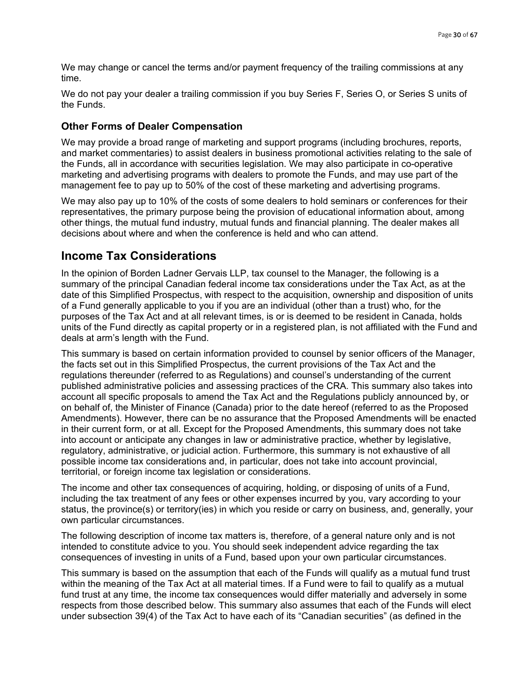We may change or cancel the terms and/or payment frequency of the trailing commissions at any time.

We do not pay your dealer a trailing commission if you buy Series F, Series O, or Series S units of the Funds.

### **Other Forms of Dealer Compensation**

We may provide a broad range of marketing and support programs (including brochures, reports, and market commentaries) to assist dealers in business promotional activities relating to the sale of the Funds, all in accordance with securities legislation. We may also participate in co-operative marketing and advertising programs with dealers to promote the Funds, and may use part of the management fee to pay up to 50% of the cost of these marketing and advertising programs.

We may also pay up to 10% of the costs of some dealers to hold seminars or conferences for their representatives, the primary purpose being the provision of educational information about, among other things, the mutual fund industry, mutual funds and financial planning. The dealer makes all decisions about where and when the conference is held and who can attend.

# <span id="page-29-0"></span>**Income Tax Considerations**

In the opinion of Borden Ladner Gervais LLP, tax counsel to the Manager, the following is a summary of the principal Canadian federal income tax considerations under the Tax Act, as at the date of this Simplified Prospectus, with respect to the acquisition, ownership and disposition of units of a Fund generally applicable to you if you are an individual (other than a trust) who, for the purposes of the Tax Act and at all relevant times, is or is deemed to be resident in Canada, holds units of the Fund directly as capital property or in a registered plan, is not affiliated with the Fund and deals at arm's length with the Fund.

This summary is based on certain information provided to counsel by senior officers of the Manager, the facts set out in this Simplified Prospectus, the current provisions of the Tax Act and the regulations thereunder (referred to as Regulations) and counsel's understanding of the current published administrative policies and assessing practices of the CRA. This summary also takes into account all specific proposals to amend the Tax Act and the Regulations publicly announced by, or on behalf of, the Minister of Finance (Canada) prior to the date hereof (referred to as the Proposed Amendments). However, there can be no assurance that the Proposed Amendments will be enacted in their current form, or at all. Except for the Proposed Amendments, this summary does not take into account or anticipate any changes in law or administrative practice, whether by legislative, regulatory, administrative, or judicial action. Furthermore, this summary is not exhaustive of all possible income tax considerations and, in particular, does not take into account provincial, territorial, or foreign income tax legislation or considerations.

The income and other tax consequences of acquiring, holding, or disposing of units of a Fund, including the tax treatment of any fees or other expenses incurred by you, vary according to your status, the province(s) or territory(ies) in which you reside or carry on business, and, generally, your own particular circumstances.

The following description of income tax matters is, therefore, of a general nature only and is not intended to constitute advice to you. You should seek independent advice regarding the tax consequences of investing in units of a Fund, based upon your own particular circumstances.

This summary is based on the assumption that each of the Funds will qualify as a mutual fund trust within the meaning of the Tax Act at all material times. If a Fund were to fail to qualify as a mutual fund trust at any time, the income tax consequences would differ materially and adversely in some respects from those described below. This summary also assumes that each of the Funds will elect under subsection 39(4) of the Tax Act to have each of its "Canadian securities" (as defined in the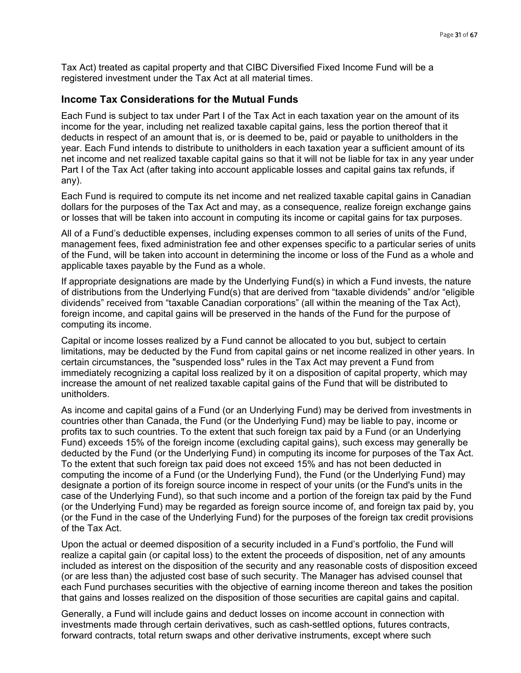Tax Act) treated as capital property and that CIBC Diversified Fixed Income Fund will be a registered investment under the Tax Act at all material times.

### **Income Tax Considerations for the Mutual Funds**

Each Fund is subject to tax under Part I of the Tax Act in each taxation year on the amount of its income for the year, including net realized taxable capital gains, less the portion thereof that it deducts in respect of an amount that is, or is deemed to be, paid or payable to unitholders in the year. Each Fund intends to distribute to unitholders in each taxation year a sufficient amount of its net income and net realized taxable capital gains so that it will not be liable for tax in any year under Part I of the Tax Act (after taking into account applicable losses and capital gains tax refunds, if any).

Each Fund is required to compute its net income and net realized taxable capital gains in Canadian dollars for the purposes of the Tax Act and may, as a consequence, realize foreign exchange gains or losses that will be taken into account in computing its income or capital gains for tax purposes.

All of a Fund's deductible expenses, including expenses common to all series of units of the Fund, management fees, fixed administration fee and other expenses specific to a particular series of units of the Fund, will be taken into account in determining the income or loss of the Fund as a whole and applicable taxes payable by the Fund as a whole.

If appropriate designations are made by the Underlying Fund(s) in which a Fund invests, the nature of distributions from the Underlying Fund(s) that are derived from "taxable dividends" and/or "eligible dividends" received from "taxable Canadian corporations" (all within the meaning of the Tax Act), foreign income, and capital gains will be preserved in the hands of the Fund for the purpose of computing its income.

Capital or income losses realized by a Fund cannot be allocated to you but, subject to certain limitations, may be deducted by the Fund from capital gains or net income realized in other years. In certain circumstances, the "suspended loss" rules in the Tax Act may prevent a Fund from immediately recognizing a capital loss realized by it on a disposition of capital property, which may increase the amount of net realized taxable capital gains of the Fund that will be distributed to unitholders.

As income and capital gains of a Fund (or an Underlying Fund) may be derived from investments in countries other than Canada, the Fund (or the Underlying Fund) may be liable to pay, income or profits tax to such countries. To the extent that such foreign tax paid by a Fund (or an Underlying Fund) exceeds 15% of the foreign income (excluding capital gains), such excess may generally be deducted by the Fund (or the Underlying Fund) in computing its income for purposes of the Tax Act. To the extent that such foreign tax paid does not exceed 15% and has not been deducted in computing the income of a Fund (or the Underlying Fund), the Fund (or the Underlying Fund) may designate a portion of its foreign source income in respect of your units (or the Fund's units in the case of the Underlying Fund), so that such income and a portion of the foreign tax paid by the Fund (or the Underlying Fund) may be regarded as foreign source income of, and foreign tax paid by, you (or the Fund in the case of the Underlying Fund) for the purposes of the foreign tax credit provisions of the Tax Act.

Upon the actual or deemed disposition of a security included in a Fund's portfolio, the Fund will realize a capital gain (or capital loss) to the extent the proceeds of disposition, net of any amounts included as interest on the disposition of the security and any reasonable costs of disposition exceed (or are less than) the adjusted cost base of such security. The Manager has advised counsel that each Fund purchases securities with the objective of earning income thereon and takes the position that gains and losses realized on the disposition of those securities are capital gains and capital.

Generally, a Fund will include gains and deduct losses on income account in connection with investments made through certain derivatives, such as cash-settled options, futures contracts, forward contracts, total return swaps and other derivative instruments, except where such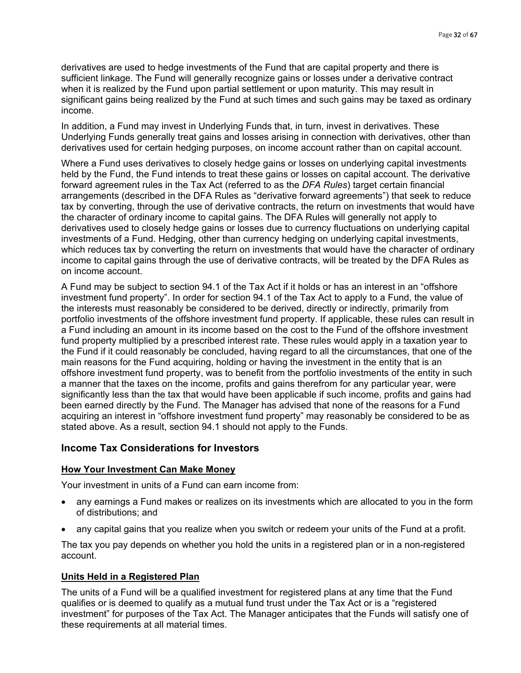derivatives are used to hedge investments of the Fund that are capital property and there is sufficient linkage. The Fund will generally recognize gains or losses under a derivative contract when it is realized by the Fund upon partial settlement or upon maturity. This may result in significant gains being realized by the Fund at such times and such gains may be taxed as ordinary income.

In addition, a Fund may invest in Underlying Funds that, in turn, invest in derivatives. These Underlying Funds generally treat gains and losses arising in connection with derivatives, other than derivatives used for certain hedging purposes, on income account rather than on capital account.

Where a Fund uses derivatives to closely hedge gains or losses on underlying capital investments held by the Fund, the Fund intends to treat these gains or losses on capital account. The derivative forward agreement rules in the Tax Act (referred to as the *DFA Rules*) target certain financial arrangements (described in the DFA Rules as "derivative forward agreements") that seek to reduce tax by converting, through the use of derivative contracts, the return on investments that would have the character of ordinary income to capital gains. The DFA Rules will generally not apply to derivatives used to closely hedge gains or losses due to currency fluctuations on underlying capital investments of a Fund. Hedging, other than currency hedging on underlying capital investments, which reduces tax by converting the return on investments that would have the character of ordinary income to capital gains through the use of derivative contracts, will be treated by the DFA Rules as on income account.

A Fund may be subject to section 94.1 of the Tax Act if it holds or has an interest in an "offshore investment fund property". In order for section 94.1 of the Tax Act to apply to a Fund, the value of the interests must reasonably be considered to be derived, directly or indirectly, primarily from portfolio investments of the offshore investment fund property. If applicable, these rules can result in a Fund including an amount in its income based on the cost to the Fund of the offshore investment fund property multiplied by a prescribed interest rate. These rules would apply in a taxation year to the Fund if it could reasonably be concluded, having regard to all the circumstances, that one of the main reasons for the Fund acquiring, holding or having the investment in the entity that is an offshore investment fund property, was to benefit from the portfolio investments of the entity in such a manner that the taxes on the income, profits and gains therefrom for any particular year, were significantly less than the tax that would have been applicable if such income, profits and gains had been earned directly by the Fund. The Manager has advised that none of the reasons for a Fund acquiring an interest in "offshore investment fund property" may reasonably be considered to be as stated above. As a result, section 94.1 should not apply to the Funds.

## **Income Tax Considerations for Investors**

#### **How Your Investment Can Make Money**

Your investment in units of a Fund can earn income from:

- any earnings a Fund makes or realizes on its investments which are allocated to you in the form of distributions; and
- any capital gains that you realize when you switch or redeem your units of the Fund at a profit.

The tax you pay depends on whether you hold the units in a registered plan or in a non-registered account.

### **Units Held in a Registered Plan**

The units of a Fund will be a qualified investment for registered plans at any time that the Fund qualifies or is deemed to qualify as a mutual fund trust under the Tax Act or is a "registered investment" for purposes of the Tax Act. The Manager anticipates that the Funds will satisfy one of these requirements at all material times.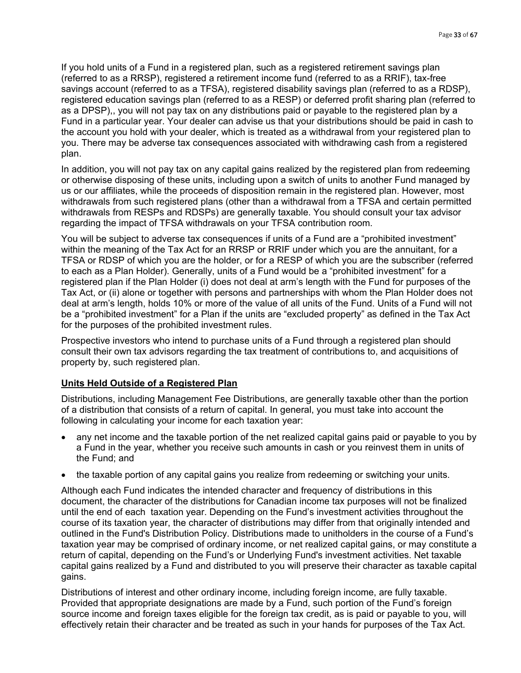If you hold units of a Fund in a registered plan, such as a registered retirement savings plan (referred to as a RRSP), registered a retirement income fund (referred to as a RRIF), tax-free savings account (referred to as a TFSA), registered disability savings plan (referred to as a RDSP), registered education savings plan (referred to as a RESP) or deferred profit sharing plan (referred to as a DPSP),, you will not pay tax on any distributions paid or payable to the registered plan by a Fund in a particular year. Your dealer can advise us that your distributions should be paid in cash to the account you hold with your dealer, which is treated as a withdrawal from your registered plan to you. There may be adverse tax consequences associated with withdrawing cash from a registered plan.

In addition, you will not pay tax on any capital gains realized by the registered plan from redeeming or otherwise disposing of these units, including upon a switch of units to another Fund managed by us or our affiliates, while the proceeds of disposition remain in the registered plan. However, most withdrawals from such registered plans (other than a withdrawal from a TFSA and certain permitted withdrawals from RESPs and RDSPs) are generally taxable. You should consult your tax advisor regarding the impact of TFSA withdrawals on your TFSA contribution room.

You will be subject to adverse tax consequences if units of a Fund are a "prohibited investment" within the meaning of the Tax Act for an RRSP or RRIF under which you are the annuitant, for a TFSA or RDSP of which you are the holder, or for a RESP of which you are the subscriber (referred to each as a Plan Holder). Generally, units of a Fund would be a "prohibited investment" for a registered plan if the Plan Holder (i) does not deal at arm's length with the Fund for purposes of the Tax Act, or (ii) alone or together with persons and partnerships with whom the Plan Holder does not deal at arm's length, holds 10% or more of the value of all units of the Fund. Units of a Fund will not be a "prohibited investment" for a Plan if the units are "excluded property" as defined in the Tax Act for the purposes of the prohibited investment rules.

Prospective investors who intend to purchase units of a Fund through a registered plan should consult their own tax advisors regarding the tax treatment of contributions to, and acquisitions of property by, such registered plan.

## **Units Held Outside of a Registered Plan**

Distributions, including Management Fee Distributions, are generally taxable other than the portion of a distribution that consists of a return of capital. In general, you must take into account the following in calculating your income for each taxation year:

- any net income and the taxable portion of the net realized capital gains paid or payable to you by a Fund in the year, whether you receive such amounts in cash or you reinvest them in units of the Fund; and
- the taxable portion of any capital gains you realize from redeeming or switching your units.

Although each Fund indicates the intended character and frequency of distributions in this document, the character of the distributions for Canadian income tax purposes will not be finalized until the end of each taxation year. Depending on the Fund's investment activities throughout the course of its taxation year, the character of distributions may differ from that originally intended and outlined in the Fund's Distribution Policy. Distributions made to unitholders in the course of a Fund's taxation year may be comprised of ordinary income, or net realized capital gains, or may constitute a return of capital, depending on the Fund's or Underlying Fund's investment activities. Net taxable capital gains realized by a Fund and distributed to you will preserve their character as taxable capital gains.

Distributions of interest and other ordinary income, including foreign income, are fully taxable. Provided that appropriate designations are made by a Fund, such portion of the Fund's foreign source income and foreign taxes eligible for the foreign tax credit, as is paid or payable to you, will effectively retain their character and be treated as such in your hands for purposes of the Tax Act.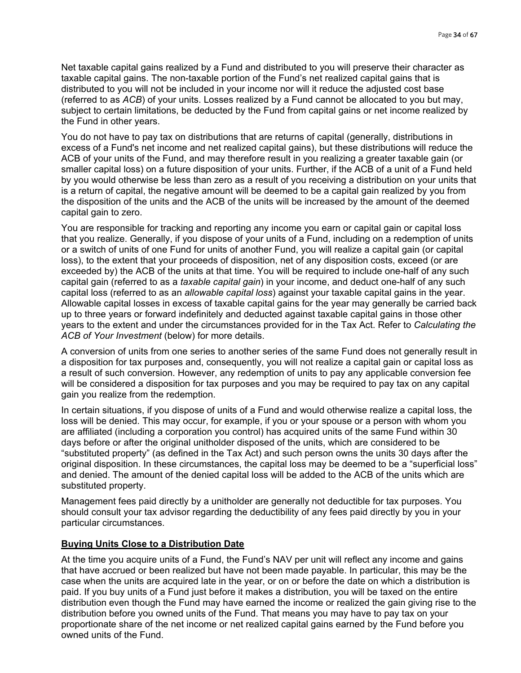Net taxable capital gains realized by a Fund and distributed to you will preserve their character as taxable capital gains. The non-taxable portion of the Fund's net realized capital gains that is distributed to you will not be included in your income nor will it reduce the adjusted cost base (referred to as *ACB*) of your units. Losses realized by a Fund cannot be allocated to you but may, subject to certain limitations, be deducted by the Fund from capital gains or net income realized by the Fund in other years.

You do not have to pay tax on distributions that are returns of capital (generally, distributions in excess of a Fund's net income and net realized capital gains), but these distributions will reduce the ACB of your units of the Fund, and may therefore result in you realizing a greater taxable gain (or smaller capital loss) on a future disposition of your units. Further, if the ACB of a unit of a Fund held by you would otherwise be less than zero as a result of you receiving a distribution on your units that is a return of capital, the negative amount will be deemed to be a capital gain realized by you from the disposition of the units and the ACB of the units will be increased by the amount of the deemed capital gain to zero.

You are responsible for tracking and reporting any income you earn or capital gain or capital loss that you realize. Generally, if you dispose of your units of a Fund, including on a redemption of units or a switch of units of one Fund for units of another Fund, you will realize a capital gain (or capital loss), to the extent that your proceeds of disposition, net of any disposition costs, exceed (or are exceeded by) the ACB of the units at that time. You will be required to include one-half of any such capital gain (referred to as a *taxable capital gain*) in your income, and deduct one-half of any such capital loss (referred to as an *allowable capital loss*) against your taxable capital gains in the year. Allowable capital losses in excess of taxable capital gains for the year may generally be carried back up to three years or forward indefinitely and deducted against taxable capital gains in those other years to the extent and under the circumstances provided for in the Tax Act. Refer to *Calculating the ACB of Your Investment* (below) for more details.

A conversion of units from one series to another series of the same Fund does not generally result in a disposition for tax purposes and, consequently, you will not realize a capital gain or capital loss as a result of such conversion. However, any redemption of units to pay any applicable conversion fee will be considered a disposition for tax purposes and you may be required to pay tax on any capital gain you realize from the redemption.

In certain situations, if you dispose of units of a Fund and would otherwise realize a capital loss, the loss will be denied. This may occur, for example, if you or your spouse or a person with whom you are affiliated (including a corporation you control) has acquired units of the same Fund within 30 days before or after the original unitholder disposed of the units, which are considered to be "substituted property" (as defined in the Tax Act) and such person owns the units 30 days after the original disposition. In these circumstances, the capital loss may be deemed to be a "superficial loss" and denied. The amount of the denied capital loss will be added to the ACB of the units which are substituted property.

Management fees paid directly by a unitholder are generally not deductible for tax purposes. You should consult your tax advisor regarding the deductibility of any fees paid directly by you in your particular circumstances.

#### **Buying Units Close to a Distribution Date**

At the time you acquire units of a Fund, the Fund's NAV per unit will reflect any income and gains that have accrued or been realized but have not been made payable. In particular, this may be the case when the units are acquired late in the year, or on or before the date on which a distribution is paid. If you buy units of a Fund just before it makes a distribution, you will be taxed on the entire distribution even though the Fund may have earned the income or realized the gain giving rise to the distribution before you owned units of the Fund. That means you may have to pay tax on your proportionate share of the net income or net realized capital gains earned by the Fund before you owned units of the Fund.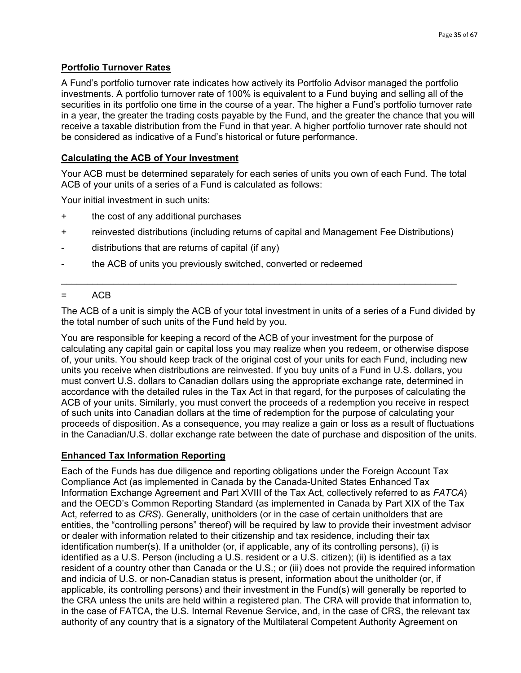## **Portfolio Turnover Rates**

A Fund's portfolio turnover rate indicates how actively its Portfolio Advisor managed the portfolio investments. A portfolio turnover rate of 100% is equivalent to a Fund buying and selling all of the securities in its portfolio one time in the course of a year. The higher a Fund's portfolio turnover rate in a year, the greater the trading costs payable by the Fund, and the greater the chance that you will receive a taxable distribution from the Fund in that year. A higher portfolio turnover rate should not be considered as indicative of a Fund's historical or future performance.

## **Calculating the ACB of Your Investment**

Your ACB must be determined separately for each series of units you own of each Fund. The total ACB of your units of a series of a Fund is calculated as follows:

Your initial investment in such units:

- + the cost of any additional purchases
- + reinvested distributions (including returns of capital and Management Fee Distributions)

 $\mathcal{L}_\mathcal{L} = \{ \mathcal{L}_\mathcal{L} = \{ \mathcal{L}_\mathcal{L} = \{ \mathcal{L}_\mathcal{L} = \{ \mathcal{L}_\mathcal{L} = \{ \mathcal{L}_\mathcal{L} = \{ \mathcal{L}_\mathcal{L} = \{ \mathcal{L}_\mathcal{L} = \{ \mathcal{L}_\mathcal{L} = \{ \mathcal{L}_\mathcal{L} = \{ \mathcal{L}_\mathcal{L} = \{ \mathcal{L}_\mathcal{L} = \{ \mathcal{L}_\mathcal{L} = \{ \mathcal{L}_\mathcal{L} = \{ \mathcal{L}_\mathcal{$ 

- distributions that are returns of capital (if any)
- the ACB of units you previously switched, converted or redeemed

### = ACB

The ACB of a unit is simply the ACB of your total investment in units of a series of a Fund divided by the total number of such units of the Fund held by you.

You are responsible for keeping a record of the ACB of your investment for the purpose of calculating any capital gain or capital loss you may realize when you redeem, or otherwise dispose of, your units. You should keep track of the original cost of your units for each Fund, including new units you receive when distributions are reinvested. If you buy units of a Fund in U.S. dollars, you must convert U.S. dollars to Canadian dollars using the appropriate exchange rate, determined in accordance with the detailed rules in the Tax Act in that regard, for the purposes of calculating the ACB of your units. Similarly, you must convert the proceeds of a redemption you receive in respect of such units into Canadian dollars at the time of redemption for the purpose of calculating your proceeds of disposition. As a consequence, you may realize a gain or loss as a result of fluctuations in the Canadian/U.S. dollar exchange rate between the date of purchase and disposition of the units.

## **Enhanced Tax Information Reporting**

Each of the Funds has due diligence and reporting obligations under the Foreign Account Tax Compliance Act (as implemented in Canada by the Canada-United States Enhanced Tax Information Exchange Agreement and Part XVIII of the Tax Act, collectively referred to as *FATCA*) and the OECD's Common Reporting Standard (as implemented in Canada by Part XIX of the Tax Act, referred to as *CRS*). Generally, unitholders (or in the case of certain unitholders that are entities, the "controlling persons" thereof) will be required by law to provide their investment advisor or dealer with information related to their citizenship and tax residence, including their tax identification number(s). If a unitholder (or, if applicable, any of its controlling persons), (i) is identified as a U.S. Person (including a U.S. resident or a U.S. citizen); (ii) is identified as a tax resident of a country other than Canada or the U.S.; or (iii) does not provide the required information and indicia of U.S. or non-Canadian status is present, information about the unitholder (or, if applicable, its controlling persons) and their investment in the Fund(s) will generally be reported to the CRA unless the units are held within a registered plan. The CRA will provide that information to, in the case of FATCA, the U.S. Internal Revenue Service, and, in the case of CRS, the relevant tax authority of any country that is a signatory of the Multilateral Competent Authority Agreement on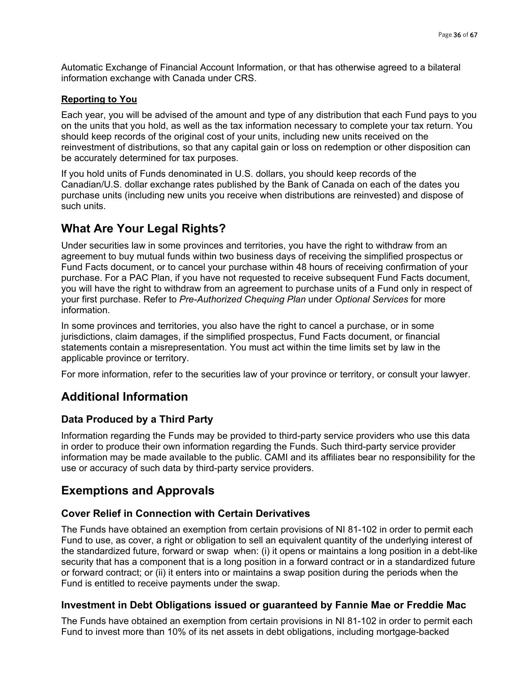Automatic Exchange of Financial Account Information, or that has otherwise agreed to a bilateral information exchange with Canada under CRS.

### **Reporting to You**

Each year, you will be advised of the amount and type of any distribution that each Fund pays to you on the units that you hold, as well as the tax information necessary to complete your tax return. You should keep records of the original cost of your units, including new units received on the reinvestment of distributions, so that any capital gain or loss on redemption or other disposition can be accurately determined for tax purposes.

If you hold units of Funds denominated in U.S. dollars, you should keep records of the Canadian/U.S. dollar exchange rates published by the Bank of Canada on each of the dates you purchase units (including new units you receive when distributions are reinvested) and dispose of such units.

# <span id="page-35-0"></span>**What Are Your Legal Rights?**

Under securities law in some provinces and territories, you have the right to withdraw from an agreement to buy mutual funds within two business days of receiving the simplified prospectus or Fund Facts document, or to cancel your purchase within 48 hours of receiving confirmation of your purchase. For a PAC Plan, if you have not requested to receive subsequent Fund Facts document, you will have the right to withdraw from an agreement to purchase units of a Fund only in respect of your first purchase. Refer to *Pre-Authorized Chequing Plan* under *Optional Services* for more information.

In some provinces and territories, you also have the right to cancel a purchase, or in some jurisdictions, claim damages, if the simplified prospectus, Fund Facts document, or financial statements contain a misrepresentation. You must act within the time limits set by law in the applicable province or territory.

For more information, refer to the securities law of your province or territory, or consult your lawyer.

# <span id="page-35-1"></span>**Additional Information**

# **Data Produced by a Third Party**

Information regarding the Funds may be provided to third-party service providers who use this data in order to produce their own information regarding the Funds. Such third-party service provider information may be made available to the public. CAMI and its affiliates bear no responsibility for the use or accuracy of such data by third-party service providers.

# <span id="page-35-2"></span>**Exemptions and Approvals**

# **Cover Relief in Connection with Certain Derivatives**

The Funds have obtained an exemption from certain provisions of NI 81-102 in order to permit each Fund to use, as cover, a right or obligation to sell an equivalent quantity of the underlying interest of the standardized future, forward or swap when: (i) it opens or maintains a long position in a debt-like security that has a component that is a long position in a forward contract or in a standardized future or forward contract; or (ii) it enters into or maintains a swap position during the periods when the Fund is entitled to receive payments under the swap.

# **Investment in Debt Obligations issued or guaranteed by Fannie Mae or Freddie Mac**

The Funds have obtained an exemption from certain provisions in NI 81-102 in order to permit each Fund to invest more than 10% of its net assets in debt obligations, including mortgage-backed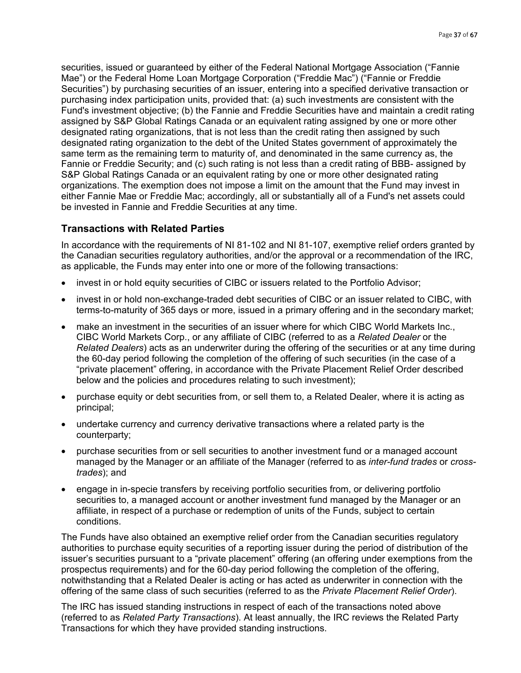securities, issued or guaranteed by either of the Federal National Mortgage Association ("Fannie Mae") or the Federal Home Loan Mortgage Corporation ("Freddie Mac") ("Fannie or Freddie Securities") by purchasing securities of an issuer, entering into a specified derivative transaction or purchasing index participation units, provided that: (a) such investments are consistent with the Fund's investment objective; (b) the Fannie and Freddie Securities have and maintain a credit rating assigned by S&P Global Ratings Canada or an equivalent rating assigned by one or more other designated rating organizations, that is not less than the credit rating then assigned by such designated rating organization to the debt of the United States government of approximately the same term as the remaining term to maturity of, and denominated in the same currency as, the Fannie or Freddie Security; and (c) such rating is not less than a credit rating of BBB- assigned by S&P Global Ratings Canada or an equivalent rating by one or more other designated rating organizations. The exemption does not impose a limit on the amount that the Fund may invest in either Fannie Mae or Freddie Mac; accordingly, all or substantially all of a Fund's net assets could be invested in Fannie and Freddie Securities at any time.

## **Transactions with Related Parties**

In accordance with the requirements of NI 81-102 and NI 81-107, exemptive relief orders granted by the Canadian securities regulatory authorities, and/or the approval or a recommendation of the IRC, as applicable, the Funds may enter into one or more of the following transactions:

- invest in or hold equity securities of CIBC or issuers related to the Portfolio Advisor;
- invest in or hold non-exchange-traded debt securities of CIBC or an issuer related to CIBC, with terms-to-maturity of 365 days or more, issued in a primary offering and in the secondary market;
- make an investment in the securities of an issuer where for which CIBC World Markets Inc., CIBC World Markets Corp., or any affiliate of CIBC (referred to as a *Related Dealer* or the *Related Dealers*) acts as an underwriter during the offering of the securities or at any time during the 60-day period following the completion of the offering of such securities (in the case of a "private placement" offering, in accordance with the Private Placement Relief Order described below and the policies and procedures relating to such investment);
- purchase equity or debt securities from, or sell them to, a Related Dealer, where it is acting as principal;
- undertake currency and currency derivative transactions where a related party is the counterparty;
- purchase securities from or sell securities to another investment fund or a managed account managed by the Manager or an affiliate of the Manager (referred to as *inter-fund trades* or *crosstrades*); and
- engage in in-specie transfers by receiving portfolio securities from, or delivering portfolio securities to, a managed account or another investment fund managed by the Manager or an affiliate, in respect of a purchase or redemption of units of the Funds, subject to certain conditions.

The Funds have also obtained an exemptive relief order from the Canadian securities regulatory authorities to purchase equity securities of a reporting issuer during the period of distribution of the issuer's securities pursuant to a "private placement" offering (an offering under exemptions from the prospectus requirements) and for the 60-day period following the completion of the offering, notwithstanding that a Related Dealer is acting or has acted as underwriter in connection with the offering of the same class of such securities (referred to as the *Private Placement Relief Order*).

The IRC has issued standing instructions in respect of each of the transactions noted above (referred to as *Related Party Transactions*). At least annually, the IRC reviews the Related Party Transactions for which they have provided standing instructions.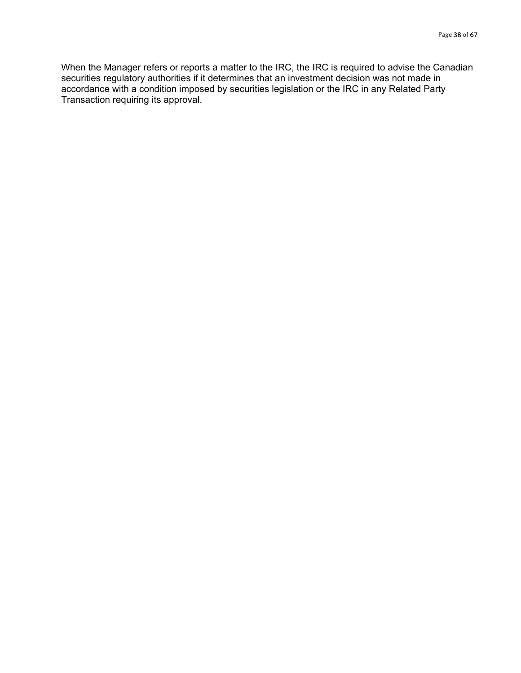When the Manager refers or reports a matter to the IRC, the IRC is required to advise the Canadian securities regulatory authorities if it determines that an investment decision was not made in accordance with a condition imposed by securities legislation or the IRC in any Related Party Transaction requiring its approval.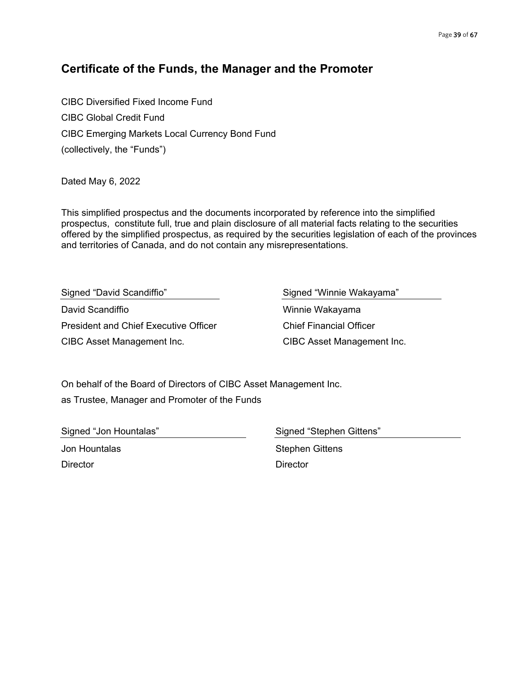# <span id="page-38-0"></span>**Certificate of the Funds, the Manager and the Promoter**

CIBC Diversified Fixed Income Fund CIBC Global Credit Fund CIBC Emerging Markets Local Currency Bond Fund (collectively, the "Funds")

Dated May 6, 2022

This simplified prospectus and the documents incorporated by reference into the simplified prospectus, constitute full, true and plain disclosure of all material facts relating to the securities offered by the simplified prospectus, as required by the securities legislation of each of the provinces and territories of Canada, and do not contain any misrepresentations.

Signed "David Scandiffio" David Scandiffio President and Chief Executive Officer CIBC Asset Management Inc.

Signed "Winnie Wakayama" Winnie Wakayama Chief Financial Officer CIBC Asset Management Inc.

On behalf of the Board of Directors of CIBC Asset Management Inc. as Trustee, Manager and Promoter of the Funds

Signed "Jon Hountalas" Jon Hountalas **Director** 

Signed "Stephen Gittens"

Stephen Gittens **Director**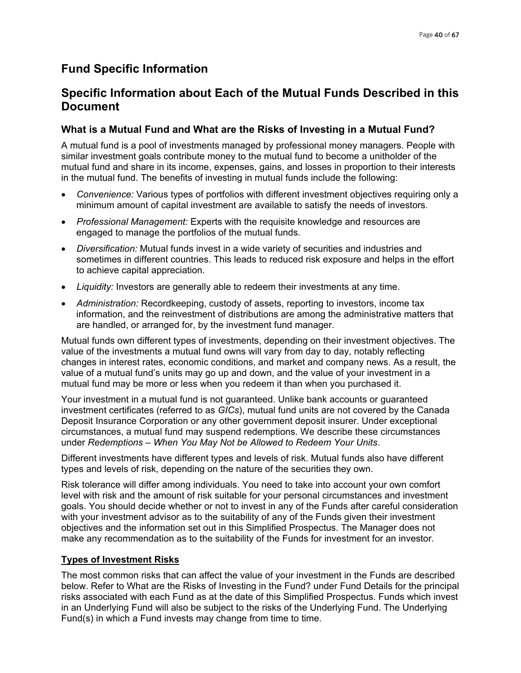# <span id="page-39-0"></span>**Fund Specific Information**

# <span id="page-39-1"></span>**Specific Information about Each of the Mutual Funds Described in this Document**

# **What is a Mutual Fund and What are the Risks of Investing in a Mutual Fund?**

A mutual fund is a pool of investments managed by professional money managers. People with similar investment goals contribute money to the mutual fund to become a unitholder of the mutual fund and share in its income, expenses, gains, and losses in proportion to their interests in the mutual fund. The benefits of investing in mutual funds include the following:

- *Convenience:* Various types of portfolios with different investment objectives requiring only a minimum amount of capital investment are available to satisfy the needs of investors.
- *Professional Management:* Experts with the requisite knowledge and resources are engaged to manage the portfolios of the mutual funds.
- *Diversification:* Mutual funds invest in a wide variety of securities and industries and sometimes in different countries. This leads to reduced risk exposure and helps in the effort to achieve capital appreciation.
- *Liquidity:* Investors are generally able to redeem their investments at any time.
- *Administration:* Recordkeeping, custody of assets, reporting to investors, income tax information, and the reinvestment of distributions are among the administrative matters that are handled, or arranged for, by the investment fund manager.

Mutual funds own different types of investments, depending on their investment objectives. The value of the investments a mutual fund owns will vary from day to day, notably reflecting changes in interest rates, economic conditions, and market and company news. As a result, the value of a mutual fund's units may go up and down, and the value of your investment in a mutual fund may be more or less when you redeem it than when you purchased it.

Your investment in a mutual fund is not guaranteed. Unlike bank accounts or guaranteed investment certificates (referred to as *GICs*), mutual fund units are not covered by the Canada Deposit Insurance Corporation or any other government deposit insurer. Under exceptional circumstances, a mutual fund may suspend redemptions. We describe these circumstances under *Redemptions – When You May Not be Allowed to Redeem Your Units*.

Different investments have different types and levels of risk. Mutual funds also have different types and levels of risk, depending on the nature of the securities they own.

Risk tolerance will differ among individuals. You need to take into account your own comfort level with risk and the amount of risk suitable for your personal circumstances and investment goals. You should decide whether or not to invest in any of the Funds after careful consideration with your investment advisor as to the suitability of any of the Funds given their investment objectives and the information set out in this Simplified Prospectus. The Manager does not make any recommendation as to the suitability of the Funds for investment for an investor.

# **Types of Investment Risks**

The most common risks that can affect the value of your investment in the Funds are described below. Refer to What are the Risks of Investing in the Fund? under Fund Details for the principal risks associated with each Fund as at the date of this Simplified Prospectus. Funds which invest in an Underlying Fund will also be subject to the risks of the Underlying Fund. The Underlying Fund(s) in which a Fund invests may change from time to time.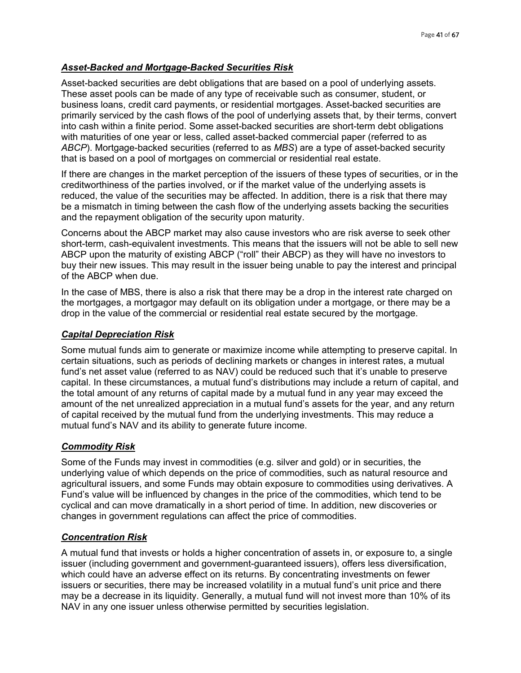# *Asset-Backed and Mortgage-Backed Securities Risk*

Asset-backed securities are debt obligations that are based on a pool of underlying assets. These asset pools can be made of any type of receivable such as consumer, student, or business loans, credit card payments, or residential mortgages. Asset-backed securities are primarily serviced by the cash flows of the pool of underlying assets that, by their terms, convert into cash within a finite period. Some asset-backed securities are short-term debt obligations with maturities of one year or less, called asset-backed commercial paper (referred to as *ABCP*). Mortgage-backed securities (referred to as *MBS*) are a type of asset-backed security that is based on a pool of mortgages on commercial or residential real estate.

If there are changes in the market perception of the issuers of these types of securities, or in the creditworthiness of the parties involved, or if the market value of the underlying assets is reduced, the value of the securities may be affected. In addition, there is a risk that there may be a mismatch in timing between the cash flow of the underlying assets backing the securities and the repayment obligation of the security upon maturity.

Concerns about the ABCP market may also cause investors who are risk averse to seek other short-term, cash-equivalent investments. This means that the issuers will not be able to sell new ABCP upon the maturity of existing ABCP ("roll" their ABCP) as they will have no investors to buy their new issues. This may result in the issuer being unable to pay the interest and principal of the ABCP when due.

In the case of MBS, there is also a risk that there may be a drop in the interest rate charged on the mortgages, a mortgagor may default on its obligation under a mortgage, or there may be a drop in the value of the commercial or residential real estate secured by the mortgage.

## *Capital Depreciation Risk*

Some mutual funds aim to generate or maximize income while attempting to preserve capital. In certain situations, such as periods of declining markets or changes in interest rates, a mutual fund's net asset value (referred to as NAV) could be reduced such that it's unable to preserve capital. In these circumstances, a mutual fund's distributions may include a return of capital, and the total amount of any returns of capital made by a mutual fund in any year may exceed the amount of the net unrealized appreciation in a mutual fund's assets for the year, and any return of capital received by the mutual fund from the underlying investments. This may reduce a mutual fund's NAV and its ability to generate future income.

## *Commodity Risk*

Some of the Funds may invest in commodities (e.g. silver and gold) or in securities, the underlying value of which depends on the price of commodities, such as natural resource and agricultural issuers, and some Funds may obtain exposure to commodities using derivatives. A Fund's value will be influenced by changes in the price of the commodities, which tend to be cyclical and can move dramatically in a short period of time. In addition, new discoveries or changes in government regulations can affect the price of commodities.

## *Concentration Risk*

A mutual fund that invests or holds a higher concentration of assets in, or exposure to, a single issuer (including government and government-guaranteed issuers), offers less diversification, which could have an adverse effect on its returns. By concentrating investments on fewer issuers or securities, there may be increased volatility in a mutual fund's unit price and there may be a decrease in its liquidity. Generally, a mutual fund will not invest more than 10% of its NAV in any one issuer unless otherwise permitted by securities legislation.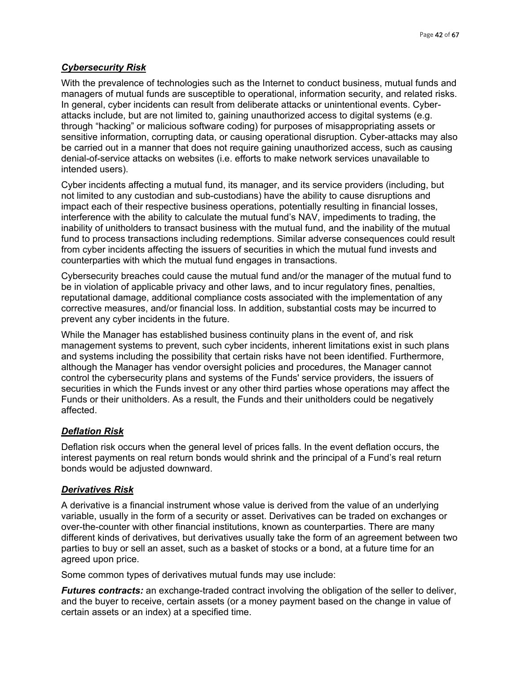### *Cybersecurity Risk*

With the prevalence of technologies such as the Internet to conduct business, mutual funds and managers of mutual funds are susceptible to operational, information security, and related risks. In general, cyber incidents can result from deliberate attacks or unintentional events. Cyberattacks include, but are not limited to, gaining unauthorized access to digital systems (e.g. through "hacking" or malicious software coding) for purposes of misappropriating assets or sensitive information, corrupting data, or causing operational disruption. Cyber-attacks may also be carried out in a manner that does not require gaining unauthorized access, such as causing denial-of-service attacks on websites (i.e. efforts to make network services unavailable to intended users).

Cyber incidents affecting a mutual fund, its manager, and its service providers (including, but not limited to any custodian and sub-custodians) have the ability to cause disruptions and impact each of their respective business operations, potentially resulting in financial losses, interference with the ability to calculate the mutual fund's NAV, impediments to trading, the inability of unitholders to transact business with the mutual fund, and the inability of the mutual fund to process transactions including redemptions. Similar adverse consequences could result from cyber incidents affecting the issuers of securities in which the mutual fund invests and counterparties with which the mutual fund engages in transactions.

Cybersecurity breaches could cause the mutual fund and/or the manager of the mutual fund to be in violation of applicable privacy and other laws, and to incur regulatory fines, penalties, reputational damage, additional compliance costs associated with the implementation of any corrective measures, and/or financial loss. In addition, substantial costs may be incurred to prevent any cyber incidents in the future.

While the Manager has established business continuity plans in the event of, and risk management systems to prevent, such cyber incidents, inherent limitations exist in such plans and systems including the possibility that certain risks have not been identified. Furthermore, although the Manager has vendor oversight policies and procedures, the Manager cannot control the cybersecurity plans and systems of the Funds' service providers, the issuers of securities in which the Funds invest or any other third parties whose operations may affect the Funds or their unitholders. As a result, the Funds and their unitholders could be negatively affected.

#### *Deflation Risk*

Deflation risk occurs when the general level of prices falls. In the event deflation occurs, the interest payments on real return bonds would shrink and the principal of a Fund's real return bonds would be adjusted downward.

#### *Derivatives Risk*

A derivative is a financial instrument whose value is derived from the value of an underlying variable, usually in the form of a security or asset. Derivatives can be traded on exchanges or over-the-counter with other financial institutions, known as counterparties. There are many different kinds of derivatives, but derivatives usually take the form of an agreement between two parties to buy or sell an asset, such as a basket of stocks or a bond, at a future time for an agreed upon price.

Some common types of derivatives mutual funds may use include:

*Futures contracts:* an exchange-traded contract involving the obligation of the seller to deliver, and the buyer to receive, certain assets (or a money payment based on the change in value of certain assets or an index) at a specified time.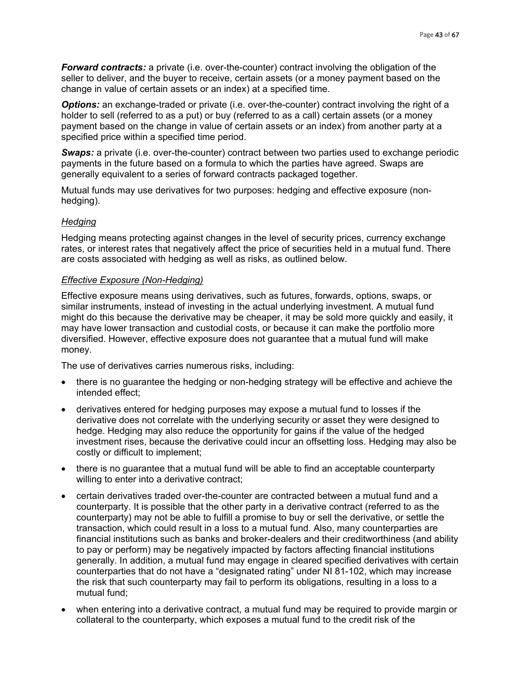*Forward contracts:* a private (i.e. over-the-counter) contract involving the obligation of the seller to deliver, and the buyer to receive, certain assets (or a money payment based on the change in value of certain assets or an index) at a specified time.

**Options:** an exchange-traded or private (i.e. over-the-counter) contract involving the right of a holder to sell (referred to as a put) or buy (referred to as a call) certain assets (or a money payment based on the change in value of certain assets or an index) from another party at a specified price within a specified time period.

*Swaps:* a private (i.e. over-the-counter) contract between two parties used to exchange periodic payments in the future based on a formula to which the parties have agreed. Swaps are generally equivalent to a series of forward contracts packaged together.

Mutual funds may use derivatives for two purposes: hedging and effective exposure (nonhedging).

#### *Hedging*

Hedging means protecting against changes in the level of security prices, currency exchange rates, or interest rates that negatively affect the price of securities held in a mutual fund. There are costs associated with hedging as well as risks, as outlined below.

#### *Effective Exposure (Non-Hedging)*

Effective exposure means using derivatives, such as futures, forwards, options, swaps, or similar instruments, instead of investing in the actual underlying investment. A mutual fund might do this because the derivative may be cheaper, it may be sold more quickly and easily, it may have lower transaction and custodial costs, or because it can make the portfolio more diversified. However, effective exposure does not guarantee that a mutual fund will make money.

The use of derivatives carries numerous risks, including:

- there is no guarantee the hedging or non-hedging strategy will be effective and achieve the intended effect;
- derivatives entered for hedging purposes may expose a mutual fund to losses if the derivative does not correlate with the underlying security or asset they were designed to hedge. Hedging may also reduce the opportunity for gains if the value of the hedged investment rises, because the derivative could incur an offsetting loss. Hedging may also be costly or difficult to implement;
- there is no quarantee that a mutual fund will be able to find an acceptable counterparty willing to enter into a derivative contract;
- certain derivatives traded over-the-counter are contracted between a mutual fund and a counterparty. It is possible that the other party in a derivative contract (referred to as the counterparty) may not be able to fulfill a promise to buy or sell the derivative, or settle the transaction, which could result in a loss to a mutual fund. Also, many counterparties are financial institutions such as banks and broker-dealers and their creditworthiness (and ability to pay or perform) may be negatively impacted by factors affecting financial institutions generally. In addition, a mutual fund may engage in cleared specified derivatives with certain counterparties that do not have a "designated rating" under NI 81-102, which may increase the risk that such counterparty may fail to perform its obligations, resulting in a loss to a mutual fund;
- when entering into a derivative contract, a mutual fund may be required to provide margin or collateral to the counterparty, which exposes a mutual fund to the credit risk of the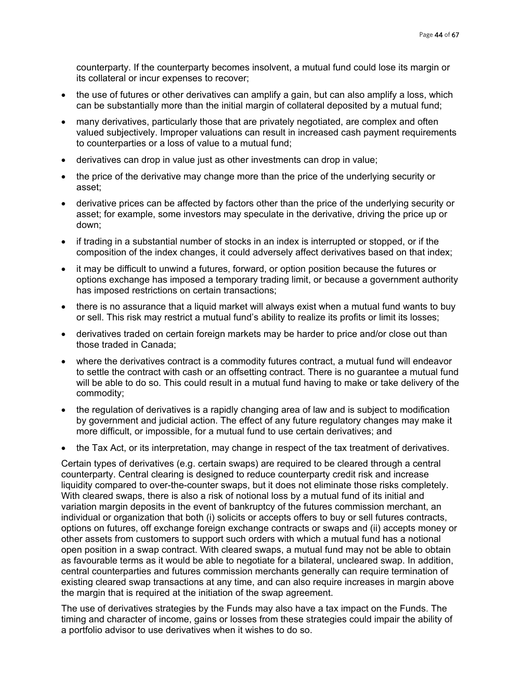counterparty. If the counterparty becomes insolvent, a mutual fund could lose its margin or its collateral or incur expenses to recover;

- the use of futures or other derivatives can amplify a gain, but can also amplify a loss, which can be substantially more than the initial margin of collateral deposited by a mutual fund;
- many derivatives, particularly those that are privately negotiated, are complex and often valued subjectively. Improper valuations can result in increased cash payment requirements to counterparties or a loss of value to a mutual fund;
- derivatives can drop in value just as other investments can drop in value;
- the price of the derivative may change more than the price of the underlying security or asset;
- derivative prices can be affected by factors other than the price of the underlying security or asset; for example, some investors may speculate in the derivative, driving the price up or down;
- if trading in a substantial number of stocks in an index is interrupted or stopped, or if the composition of the index changes, it could adversely affect derivatives based on that index;
- it may be difficult to unwind a futures, forward, or option position because the futures or options exchange has imposed a temporary trading limit, or because a government authority has imposed restrictions on certain transactions;
- there is no assurance that a liquid market will always exist when a mutual fund wants to buy or sell. This risk may restrict a mutual fund's ability to realize its profits or limit its losses;
- derivatives traded on certain foreign markets may be harder to price and/or close out than those traded in Canada;
- where the derivatives contract is a commodity futures contract, a mutual fund will endeavor to settle the contract with cash or an offsetting contract. There is no guarantee a mutual fund will be able to do so. This could result in a mutual fund having to make or take delivery of the commodity;
- the regulation of derivatives is a rapidly changing area of law and is subject to modification by government and judicial action. The effect of any future regulatory changes may make it more difficult, or impossible, for a mutual fund to use certain derivatives; and
- the Tax Act, or its interpretation, may change in respect of the tax treatment of derivatives.

Certain types of derivatives (e.g. certain swaps) are required to be cleared through a central counterparty. Central clearing is designed to reduce counterparty credit risk and increase liquidity compared to over-the-counter swaps, but it does not eliminate those risks completely. With cleared swaps, there is also a risk of notional loss by a mutual fund of its initial and variation margin deposits in the event of bankruptcy of the futures commission merchant, an individual or organization that both (i) solicits or accepts offers to buy or sell futures contracts, options on futures, off exchange foreign exchange contracts or swaps and (ii) accepts money or other assets from customers to support such orders with which a mutual fund has a notional open position in a swap contract. With cleared swaps, a mutual fund may not be able to obtain as favourable terms as it would be able to negotiate for a bilateral, uncleared swap. In addition, central counterparties and futures commission merchants generally can require termination of existing cleared swap transactions at any time, and can also require increases in margin above the margin that is required at the initiation of the swap agreement.

The use of derivatives strategies by the Funds may also have a tax impact on the Funds. The timing and character of income, gains or losses from these strategies could impair the ability of a portfolio advisor to use derivatives when it wishes to do so.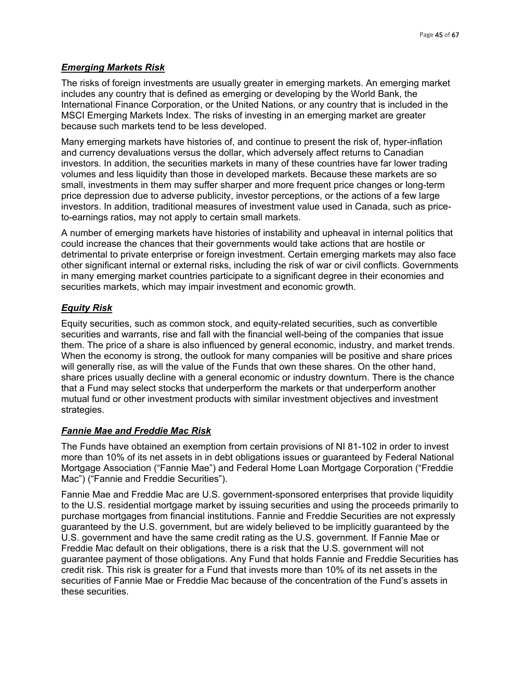### *Emerging Markets Risk*

The risks of foreign investments are usually greater in emerging markets. An emerging market includes any country that is defined as emerging or developing by the World Bank, the International Finance Corporation, or the United Nations, or any country that is included in the MSCI Emerging Markets Index. The risks of investing in an emerging market are greater because such markets tend to be less developed.

Many emerging markets have histories of, and continue to present the risk of, hyper-inflation and currency devaluations versus the dollar, which adversely affect returns to Canadian investors. In addition, the securities markets in many of these countries have far lower trading volumes and less liquidity than those in developed markets. Because these markets are so small, investments in them may suffer sharper and more frequent price changes or long-term price depression due to adverse publicity, investor perceptions, or the actions of a few large investors. In addition, traditional measures of investment value used in Canada, such as priceto-earnings ratios, may not apply to certain small markets.

A number of emerging markets have histories of instability and upheaval in internal politics that could increase the chances that their governments would take actions that are hostile or detrimental to private enterprise or foreign investment. Certain emerging markets may also face other significant internal or external risks, including the risk of war or civil conflicts. Governments in many emerging market countries participate to a significant degree in their economies and securities markets, which may impair investment and economic growth.

# *Equity Risk*

Equity securities, such as common stock, and equity-related securities, such as convertible securities and warrants, rise and fall with the financial well-being of the companies that issue them. The price of a share is also influenced by general economic, industry, and market trends. When the economy is strong, the outlook for many companies will be positive and share prices will generally rise, as will the value of the Funds that own these shares. On the other hand, share prices usually decline with a general economic or industry downturn. There is the chance that a Fund may select stocks that underperform the markets or that underperform another mutual fund or other investment products with similar investment objectives and investment strategies.

## *Fannie Mae and Freddie Mac Risk*

The Funds have obtained an exemption from certain provisions of NI 81-102 in order to invest more than 10% of its net assets in in debt obligations issues or guaranteed by Federal National Mortgage Association ("Fannie Mae") and Federal Home Loan Mortgage Corporation ("Freddie Mac") ("Fannie and Freddie Securities").

Fannie Mae and Freddie Mac are U.S. government-sponsored enterprises that provide liquidity to the U.S. residential mortgage market by issuing securities and using the proceeds primarily to purchase mortgages from financial institutions. Fannie and Freddie Securities are not expressly guaranteed by the U.S. government, but are widely believed to be implicitly guaranteed by the U.S. government and have the same credit rating as the U.S. government. If Fannie Mae or Freddie Mac default on their obligations, there is a risk that the U.S. government will not guarantee payment of those obligations. Any Fund that holds Fannie and Freddie Securities has credit risk. This risk is greater for a Fund that invests more than 10% of its net assets in the securities of Fannie Mae or Freddie Mac because of the concentration of the Fund's assets in these securities.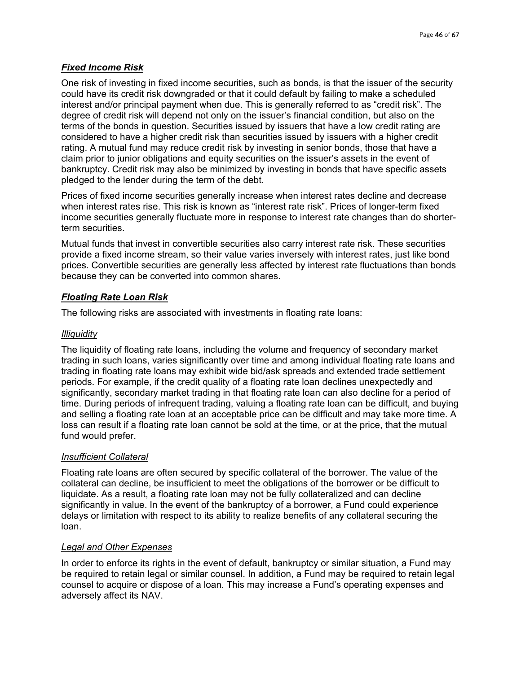### *Fixed Income Risk*

One risk of investing in fixed income securities, such as bonds, is that the issuer of the security could have its credit risk downgraded or that it could default by failing to make a scheduled interest and/or principal payment when due. This is generally referred to as "credit risk". The degree of credit risk will depend not only on the issuer's financial condition, but also on the terms of the bonds in question. Securities issued by issuers that have a low credit rating are considered to have a higher credit risk than securities issued by issuers with a higher credit rating. A mutual fund may reduce credit risk by investing in senior bonds, those that have a claim prior to junior obligations and equity securities on the issuer's assets in the event of bankruptcy. Credit risk may also be minimized by investing in bonds that have specific assets pledged to the lender during the term of the debt.

Prices of fixed income securities generally increase when interest rates decline and decrease when interest rates rise. This risk is known as "interest rate risk". Prices of longer-term fixed income securities generally fluctuate more in response to interest rate changes than do shorterterm securities.

Mutual funds that invest in convertible securities also carry interest rate risk. These securities provide a fixed income stream, so their value varies inversely with interest rates, just like bond prices. Convertible securities are generally less affected by interest rate fluctuations than bonds because they can be converted into common shares.

### *Floating Rate Loan Risk*

The following risks are associated with investments in floating rate loans:

#### *Illiquidity*

The liquidity of floating rate loans, including the volume and frequency of secondary market trading in such loans, varies significantly over time and among individual floating rate loans and trading in floating rate loans may exhibit wide bid/ask spreads and extended trade settlement periods. For example, if the credit quality of a floating rate loan declines unexpectedly and significantly, secondary market trading in that floating rate loan can also decline for a period of time. During periods of infrequent trading, valuing a floating rate loan can be difficult, and buying and selling a floating rate loan at an acceptable price can be difficult and may take more time. A loss can result if a floating rate loan cannot be sold at the time, or at the price, that the mutual fund would prefer.

#### *Insufficient Collateral*

Floating rate loans are often secured by specific collateral of the borrower. The value of the collateral can decline, be insufficient to meet the obligations of the borrower or be difficult to liquidate. As a result, a floating rate loan may not be fully collateralized and can decline significantly in value. In the event of the bankruptcy of a borrower, a Fund could experience delays or limitation with respect to its ability to realize benefits of any collateral securing the loan.

#### *Legal and Other Expenses*

In order to enforce its rights in the event of default, bankruptcy or similar situation, a Fund may be required to retain legal or similar counsel. In addition, a Fund may be required to retain legal counsel to acquire or dispose of a loan. This may increase a Fund's operating expenses and adversely affect its NAV.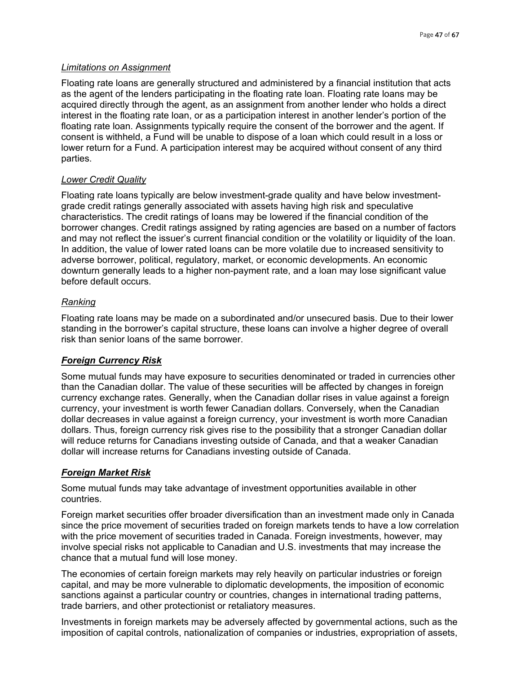#### *Limitations on Assignment*

Floating rate loans are generally structured and administered by a financial institution that acts as the agent of the lenders participating in the floating rate loan. Floating rate loans may be acquired directly through the agent, as an assignment from another lender who holds a direct interest in the floating rate loan, or as a participation interest in another lender's portion of the floating rate loan. Assignments typically require the consent of the borrower and the agent. If consent is withheld, a Fund will be unable to dispose of a loan which could result in a loss or lower return for a Fund. A participation interest may be acquired without consent of any third parties.

#### *Lower Credit Quality*

Floating rate loans typically are below investment-grade quality and have below investmentgrade credit ratings generally associated with assets having high risk and speculative characteristics. The credit ratings of loans may be lowered if the financial condition of the borrower changes. Credit ratings assigned by rating agencies are based on a number of factors and may not reflect the issuer's current financial condition or the volatility or liquidity of the loan. In addition, the value of lower rated loans can be more volatile due to increased sensitivity to adverse borrower, political, regulatory, market, or economic developments. An economic downturn generally leads to a higher non-payment rate, and a loan may lose significant value before default occurs.

#### *Ranking*

Floating rate loans may be made on a subordinated and/or unsecured basis. Due to their lower standing in the borrower's capital structure, these loans can involve a higher degree of overall risk than senior loans of the same borrower.

#### *Foreign Currency Risk*

Some mutual funds may have exposure to securities denominated or traded in currencies other than the Canadian dollar. The value of these securities will be affected by changes in foreign currency exchange rates. Generally, when the Canadian dollar rises in value against a foreign currency, your investment is worth fewer Canadian dollars. Conversely, when the Canadian dollar decreases in value against a foreign currency, your investment is worth more Canadian dollars. Thus, foreign currency risk gives rise to the possibility that a stronger Canadian dollar will reduce returns for Canadians investing outside of Canada, and that a weaker Canadian dollar will increase returns for Canadians investing outside of Canada.

## *Foreign Market Risk*

Some mutual funds may take advantage of investment opportunities available in other countries.

Foreign market securities offer broader diversification than an investment made only in Canada since the price movement of securities traded on foreign markets tends to have a low correlation with the price movement of securities traded in Canada. Foreign investments, however, may involve special risks not applicable to Canadian and U.S. investments that may increase the chance that a mutual fund will lose money.

The economies of certain foreign markets may rely heavily on particular industries or foreign capital, and may be more vulnerable to diplomatic developments, the imposition of economic sanctions against a particular country or countries, changes in international trading patterns, trade barriers, and other protectionist or retaliatory measures.

Investments in foreign markets may be adversely affected by governmental actions, such as the imposition of capital controls, nationalization of companies or industries, expropriation of assets,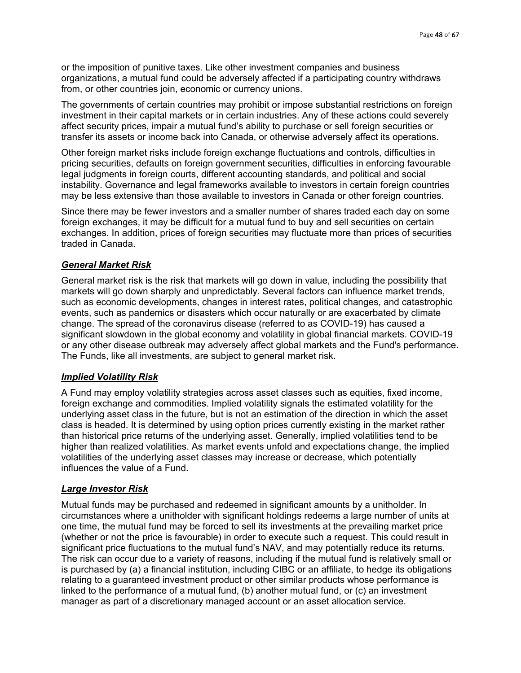or the imposition of punitive taxes. Like other investment companies and business organizations, a mutual fund could be adversely affected if a participating country withdraws from, or other countries join, economic or currency unions.

The governments of certain countries may prohibit or impose substantial restrictions on foreign investment in their capital markets or in certain industries. Any of these actions could severely affect security prices, impair a mutual fund's ability to purchase or sell foreign securities or transfer its assets or income back into Canada, or otherwise adversely affect its operations.

Other foreign market risks include foreign exchange fluctuations and controls, difficulties in pricing securities, defaults on foreign government securities, difficulties in enforcing favourable legal judgments in foreign courts, different accounting standards, and political and social instability. Governance and legal frameworks available to investors in certain foreign countries may be less extensive than those available to investors in Canada or other foreign countries.

Since there may be fewer investors and a smaller number of shares traded each day on some foreign exchanges, it may be difficult for a mutual fund to buy and sell securities on certain exchanges. In addition, prices of foreign securities may fluctuate more than prices of securities traded in Canada.

#### *General Market Risk*

General market risk is the risk that markets will go down in value, including the possibility that markets will go down sharply and unpredictably. Several factors can influence market trends, such as economic developments, changes in interest rates, political changes, and catastrophic events, such as pandemics or disasters which occur naturally or are exacerbated by climate change. The spread of the coronavirus disease (referred to as COVID-19) has caused a significant slowdown in the global economy and volatility in global financial markets. COVID-19 or any other disease outbreak may adversely affect global markets and the Fund's performance. The Funds, like all investments, are subject to general market risk.

#### *Implied Volatility Risk*

A Fund may employ volatility strategies across asset classes such as equities, fixed income, foreign exchange and commodities. Implied volatility signals the estimated volatility for the underlying asset class in the future, but is not an estimation of the direction in which the asset class is headed. It is determined by using option prices currently existing in the market rather than historical price returns of the underlying asset. Generally, implied volatilities tend to be higher than realized volatilities. As market events unfold and expectations change, the implied volatilities of the underlying asset classes may increase or decrease, which potentially influences the value of a Fund.

#### *Large Investor Risk*

Mutual funds may be purchased and redeemed in significant amounts by a unitholder. In circumstances where a unitholder with significant holdings redeems a large number of units at one time, the mutual fund may be forced to sell its investments at the prevailing market price (whether or not the price is favourable) in order to execute such a request. This could result in significant price fluctuations to the mutual fund's NAV, and may potentially reduce its returns. The risk can occur due to a variety of reasons, including if the mutual fund is relatively small or is purchased by (a) a financial institution, including CIBC or an affiliate, to hedge its obligations relating to a guaranteed investment product or other similar products whose performance is linked to the performance of a mutual fund, (b) another mutual fund, or (c) an investment manager as part of a discretionary managed account or an asset allocation service.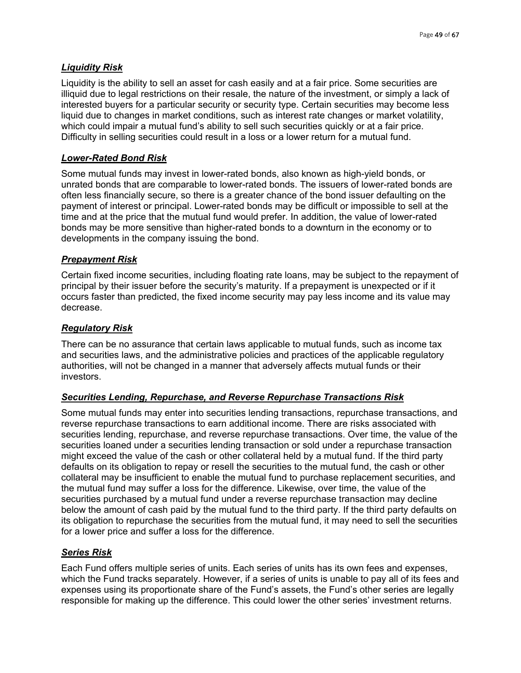# *Liquidity Risk*

Liquidity is the ability to sell an asset for cash easily and at a fair price. Some securities are illiquid due to legal restrictions on their resale, the nature of the investment, or simply a lack of interested buyers for a particular security or security type. Certain securities may become less liquid due to changes in market conditions, such as interest rate changes or market volatility, which could impair a mutual fund's ability to sell such securities quickly or at a fair price. Difficulty in selling securities could result in a loss or a lower return for a mutual fund.

# *Lower-Rated Bond Risk*

Some mutual funds may invest in lower-rated bonds, also known as high-yield bonds, or unrated bonds that are comparable to lower-rated bonds. The issuers of lower-rated bonds are often less financially secure, so there is a greater chance of the bond issuer defaulting on the payment of interest or principal. Lower-rated bonds may be difficult or impossible to sell at the time and at the price that the mutual fund would prefer. In addition, the value of lower-rated bonds may be more sensitive than higher-rated bonds to a downturn in the economy or to developments in the company issuing the bond.

# *Prepayment Risk*

Certain fixed income securities, including floating rate loans, may be subject to the repayment of principal by their issuer before the security's maturity. If a prepayment is unexpected or if it occurs faster than predicted, the fixed income security may pay less income and its value may decrease.

# *Regulatory Risk*

There can be no assurance that certain laws applicable to mutual funds, such as income tax and securities laws, and the administrative policies and practices of the applicable regulatory authorities, will not be changed in a manner that adversely affects mutual funds or their investors.

## *Securities Lending, Repurchase, and Reverse Repurchase Transactions Risk*

Some mutual funds may enter into securities lending transactions, repurchase transactions, and reverse repurchase transactions to earn additional income. There are risks associated with securities lending, repurchase, and reverse repurchase transactions. Over time, the value of the securities loaned under a securities lending transaction or sold under a repurchase transaction might exceed the value of the cash or other collateral held by a mutual fund. If the third party defaults on its obligation to repay or resell the securities to the mutual fund, the cash or other collateral may be insufficient to enable the mutual fund to purchase replacement securities, and the mutual fund may suffer a loss for the difference. Likewise, over time, the value of the securities purchased by a mutual fund under a reverse repurchase transaction may decline below the amount of cash paid by the mutual fund to the third party. If the third party defaults on its obligation to repurchase the securities from the mutual fund, it may need to sell the securities for a lower price and suffer a loss for the difference.

## *Series Risk*

Each Fund offers multiple series of units. Each series of units has its own fees and expenses, which the Fund tracks separately. However, if a series of units is unable to pay all of its fees and expenses using its proportionate share of the Fund's assets, the Fund's other series are legally responsible for making up the difference. This could lower the other series' investment returns.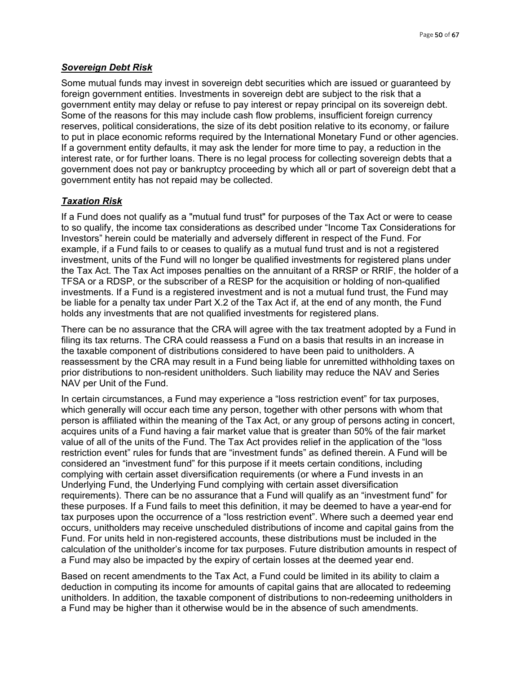### *Sovereign Debt Risk*

Some mutual funds may invest in sovereign debt securities which are issued or guaranteed by foreign government entities. Investments in sovereign debt are subject to the risk that a government entity may delay or refuse to pay interest or repay principal on its sovereign debt. Some of the reasons for this may include cash flow problems, insufficient foreign currency reserves, political considerations, the size of its debt position relative to its economy, or failure to put in place economic reforms required by the International Monetary Fund or other agencies. If a government entity defaults, it may ask the lender for more time to pay, a reduction in the interest rate, or for further loans. There is no legal process for collecting sovereign debts that a government does not pay or bankruptcy proceeding by which all or part of sovereign debt that a government entity has not repaid may be collected.

## *Taxation Risk*

If a Fund does not qualify as a "mutual fund trust" for purposes of the Tax Act or were to cease to so qualify, the income tax considerations as described under "Income Tax Considerations for Investors" herein could be materially and adversely different in respect of the Fund. For example, if a Fund fails to or ceases to qualify as a mutual fund trust and is not a registered investment, units of the Fund will no longer be qualified investments for registered plans under the Tax Act. The Tax Act imposes penalties on the annuitant of a RRSP or RRIF, the holder of a TFSA or a RDSP, or the subscriber of a RESP for the acquisition or holding of non-qualified investments. If a Fund is a registered investment and is not a mutual fund trust, the Fund may be liable for a penalty tax under Part X.2 of the Tax Act if, at the end of any month, the Fund holds any investments that are not qualified investments for registered plans.

There can be no assurance that the CRA will agree with the tax treatment adopted by a Fund in filing its tax returns. The CRA could reassess a Fund on a basis that results in an increase in the taxable component of distributions considered to have been paid to unitholders. A reassessment by the CRA may result in a Fund being liable for unremitted withholding taxes on prior distributions to non-resident unitholders. Such liability may reduce the NAV and Series NAV per Unit of the Fund.

In certain circumstances, a Fund may experience a "loss restriction event" for tax purposes, which generally will occur each time any person, together with other persons with whom that person is affiliated within the meaning of the Tax Act, or any group of persons acting in concert, acquires units of a Fund having a fair market value that is greater than 50% of the fair market value of all of the units of the Fund. The Tax Act provides relief in the application of the "loss restriction event" rules for funds that are "investment funds" as defined therein. A Fund will be considered an "investment fund" for this purpose if it meets certain conditions, including complying with certain asset diversification requirements (or where a Fund invests in an Underlying Fund, the Underlying Fund complying with certain asset diversification requirements). There can be no assurance that a Fund will qualify as an "investment fund" for these purposes. If a Fund fails to meet this definition, it may be deemed to have a year-end for tax purposes upon the occurrence of a "loss restriction event". Where such a deemed year end occurs, unitholders may receive unscheduled distributions of income and capital gains from the Fund. For units held in non-registered accounts, these distributions must be included in the calculation of the unitholder's income for tax purposes. Future distribution amounts in respect of a Fund may also be impacted by the expiry of certain losses at the deemed year end.

Based on recent amendments to the Tax Act, a Fund could be limited in its ability to claim a deduction in computing its income for amounts of capital gains that are allocated to redeeming unitholders. In addition, the taxable component of distributions to non-redeeming unitholders in a Fund may be higher than it otherwise would be in the absence of such amendments.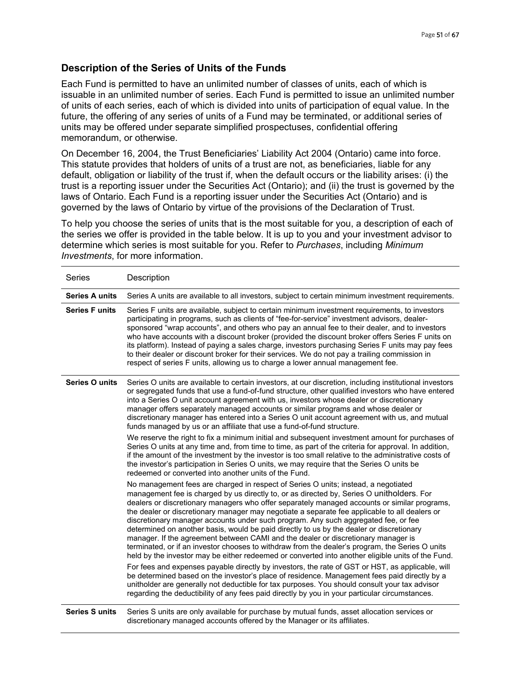### **Description of the Series of Units of the Funds**

Each Fund is permitted to have an unlimited number of classes of units, each of which is issuable in an unlimited number of series. Each Fund is permitted to issue an unlimited number of units of each series, each of which is divided into units of participation of equal value. In the future, the offering of any series of units of a Fund may be terminated, or additional series of units may be offered under separate simplified prospectuses, confidential offering memorandum, or otherwise.

On December 16, 2004, the Trust Beneficiaries' Liability Act 2004 (Ontario) came into force. This statute provides that holders of units of a trust are not, as beneficiaries, liable for any default, obligation or liability of the trust if, when the default occurs or the liability arises: (i) the trust is a reporting issuer under the Securities Act (Ontario); and (ii) the trust is governed by the laws of Ontario. Each Fund is a reporting issuer under the Securities Act (Ontario) and is governed by the laws of Ontario by virtue of the provisions of the Declaration of Trust.

To help you choose the series of units that is the most suitable for you, a description of each of the series we offer is provided in the table below. It is up to you and your investment advisor to determine which series is most suitable for you. Refer to *Purchases*, including *Minimum Investments*, for more information.

| <b>Series</b>         | Description                                                                                                                                                                                                                                                                                                                                                                                                                                                                                                                                                                                                                                                                                                                                                                                                                                                                                                                                                                              |
|-----------------------|------------------------------------------------------------------------------------------------------------------------------------------------------------------------------------------------------------------------------------------------------------------------------------------------------------------------------------------------------------------------------------------------------------------------------------------------------------------------------------------------------------------------------------------------------------------------------------------------------------------------------------------------------------------------------------------------------------------------------------------------------------------------------------------------------------------------------------------------------------------------------------------------------------------------------------------------------------------------------------------|
| <b>Series A units</b> | Series A units are available to all investors, subject to certain minimum investment requirements.                                                                                                                                                                                                                                                                                                                                                                                                                                                                                                                                                                                                                                                                                                                                                                                                                                                                                       |
| <b>Series F units</b> | Series F units are available, subject to certain minimum investment requirements, to investors<br>participating in programs, such as clients of "fee-for-service" investment advisors, dealer-<br>sponsored "wrap accounts", and others who pay an annual fee to their dealer, and to investors<br>who have accounts with a discount broker (provided the discount broker offers Series F units on<br>its platform). Instead of paying a sales charge, investors purchasing Series F units may pay fees<br>to their dealer or discount broker for their services. We do not pay a trailing commission in<br>respect of series F units, allowing us to charge a lower annual management fee.                                                                                                                                                                                                                                                                                              |
| Series O units        | Series O units are available to certain investors, at our discretion, including institutional investors<br>or segregated funds that use a fund-of-fund structure, other qualified investors who have entered<br>into a Series O unit account agreement with us, investors whose dealer or discretionary<br>manager offers separately managed accounts or similar programs and whose dealer or<br>discretionary manager has entered into a Series O unit account agreement with us, and mutual<br>funds managed by us or an affiliate that use a fund-of-fund structure.<br>We reserve the right to fix a minimum initial and subsequent investment amount for purchases of<br>Series O units at any time and, from time to time, as part of the criteria for approval. In addition,<br>if the amount of the investment by the investor is too small relative to the administrative costs of<br>the investor's participation in Series O units, we may require that the Series O units be |
|                       | redeemed or converted into another units of the Fund.<br>No management fees are charged in respect of Series O units; instead, a negotiated<br>management fee is charged by us directly to, or as directed by, Series O unitholders. For<br>dealers or discretionary managers who offer separately managed accounts or similar programs,<br>the dealer or discretionary manager may negotiate a separate fee applicable to all dealers or<br>discretionary manager accounts under such program. Any such aggregated fee, or fee<br>determined on another basis, would be paid directly to us by the dealer or discretionary<br>manager. If the agreement between CAMI and the dealer or discretionary manager is<br>terminated, or if an investor chooses to withdraw from the dealer's program, the Series O units<br>held by the investor may be either redeemed or converted into another eligible units of the Fund.                                                                 |
|                       | For fees and expenses payable directly by investors, the rate of GST or HST, as applicable, will<br>be determined based on the investor's place of residence. Management fees paid directly by a<br>unitholder are generally not deductible for tax purposes. You should consult your tax advisor<br>regarding the deductibility of any fees paid directly by you in your particular circumstances.                                                                                                                                                                                                                                                                                                                                                                                                                                                                                                                                                                                      |
| <b>Series S units</b> | Series S units are only available for purchase by mutual funds, asset allocation services or<br>discretionary managed accounts offered by the Manager or its affiliates.                                                                                                                                                                                                                                                                                                                                                                                                                                                                                                                                                                                                                                                                                                                                                                                                                 |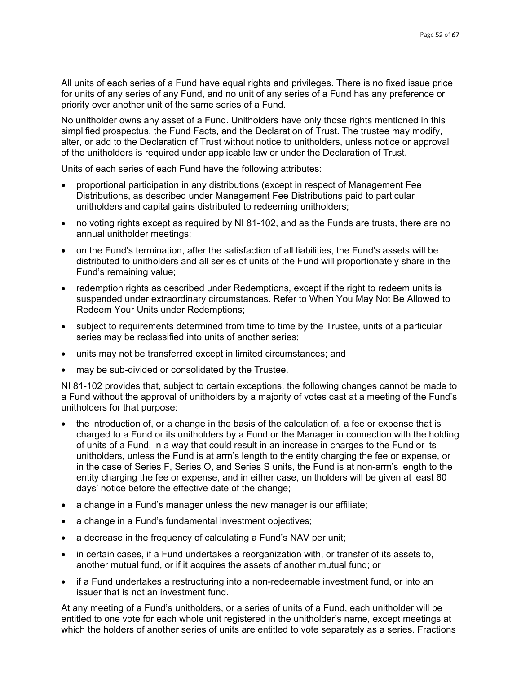All units of each series of a Fund have equal rights and privileges. There is no fixed issue price for units of any series of any Fund, and no unit of any series of a Fund has any preference or priority over another unit of the same series of a Fund.

No unitholder owns any asset of a Fund. Unitholders have only those rights mentioned in this simplified prospectus, the Fund Facts, and the Declaration of Trust. The trustee may modify, alter, or add to the Declaration of Trust without notice to unitholders, unless notice or approval of the unitholders is required under applicable law or under the Declaration of Trust.

Units of each series of each Fund have the following attributes:

- proportional participation in any distributions (except in respect of Management Fee Distributions, as described under Management Fee Distributions paid to particular unitholders and capital gains distributed to redeeming unitholders;
- no voting rights except as required by NI 81-102, and as the Funds are trusts, there are no annual unitholder meetings;
- on the Fund's termination, after the satisfaction of all liabilities, the Fund's assets will be distributed to unitholders and all series of units of the Fund will proportionately share in the Fund's remaining value;
- redemption rights as described under Redemptions, except if the right to redeem units is suspended under extraordinary circumstances. Refer to When You May Not Be Allowed to Redeem Your Units under Redemptions;
- subject to requirements determined from time to time by the Trustee, units of a particular series may be reclassified into units of another series;
- units may not be transferred except in limited circumstances; and
- may be sub-divided or consolidated by the Trustee.

NI 81-102 provides that, subject to certain exceptions, the following changes cannot be made to a Fund without the approval of unitholders by a majority of votes cast at a meeting of the Fund's unitholders for that purpose:

- the introduction of, or a change in the basis of the calculation of, a fee or expense that is charged to a Fund or its unitholders by a Fund or the Manager in connection with the holding of units of a Fund, in a way that could result in an increase in charges to the Fund or its unitholders, unless the Fund is at arm's length to the entity charging the fee or expense, or in the case of Series F, Series O, and Series S units, the Fund is at non-arm's length to the entity charging the fee or expense, and in either case, unitholders will be given at least 60 days' notice before the effective date of the change;
- a change in a Fund's manager unless the new manager is our affiliate;
- a change in a Fund's fundamental investment objectives;
- a decrease in the frequency of calculating a Fund's NAV per unit;
- in certain cases, if a Fund undertakes a reorganization with, or transfer of its assets to, another mutual fund, or if it acquires the assets of another mutual fund; or
- if a Fund undertakes a restructuring into a non-redeemable investment fund, or into an issuer that is not an investment fund.

At any meeting of a Fund's unitholders, or a series of units of a Fund, each unitholder will be entitled to one vote for each whole unit registered in the unitholder's name, except meetings at which the holders of another series of units are entitled to vote separately as a series. Fractions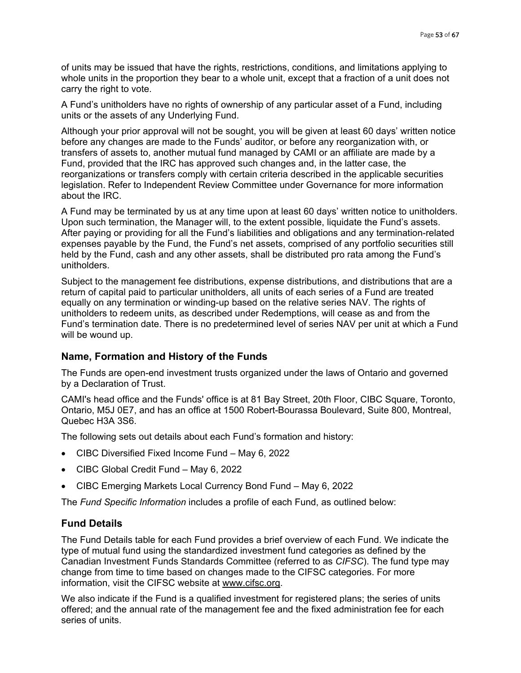of units may be issued that have the rights, restrictions, conditions, and limitations applying to whole units in the proportion they bear to a whole unit, except that a fraction of a unit does not carry the right to vote.

A Fund's unitholders have no rights of ownership of any particular asset of a Fund, including units or the assets of any Underlying Fund.

Although your prior approval will not be sought, you will be given at least 60 days' written notice before any changes are made to the Funds' auditor, or before any reorganization with, or transfers of assets to, another mutual fund managed by CAMI or an affiliate are made by a Fund, provided that the IRC has approved such changes and, in the latter case, the reorganizations or transfers comply with certain criteria described in the applicable securities legislation. Refer to Independent Review Committee under Governance for more information about the IRC.

A Fund may be terminated by us at any time upon at least 60 days' written notice to unitholders. Upon such termination, the Manager will, to the extent possible, liquidate the Fund's assets. After paying or providing for all the Fund's liabilities and obligations and any termination-related expenses payable by the Fund, the Fund's net assets, comprised of any portfolio securities still held by the Fund, cash and any other assets, shall be distributed pro rata among the Fund's unitholders.

Subject to the management fee distributions, expense distributions, and distributions that are a return of capital paid to particular unitholders, all units of each series of a Fund are treated equally on any termination or winding-up based on the relative series NAV. The rights of unitholders to redeem units, as described under Redemptions, will cease as and from the Fund's termination date. There is no predetermined level of series NAV per unit at which a Fund will be wound up.

## **Name, Formation and History of the Funds**

The Funds are open-end investment trusts organized under the laws of Ontario and governed by a Declaration of Trust.

CAMI's head office and the Funds' office is at 81 Bay Street, 20th Floor, CIBC Square, Toronto, Ontario, M5J 0E7, and has an office at 1500 Robert-Bourassa Boulevard, Suite 800, Montreal, Quebec H3A 3S6.

The following sets out details about each Fund's formation and history:

- CIBC Diversified Fixed Income Fund May 6, 2022
- CIBC Global Credit Fund May 6, 2022
- CIBC Emerging Markets Local Currency Bond Fund May 6, 2022

The *Fund Specific Information* includes a profile of each Fund, as outlined below:

### **Fund Details**

The Fund Details table for each Fund provides a brief overview of each Fund. We indicate the type of mutual fund using the standardized investment fund categories as defined by the Canadian Investment Funds Standards Committee (referred to as *CIFSC*). The fund type may change from time to time based on changes made to the CIFSC categories. For more information, visit the CIFSC website at [www.cifsc.org.](file://tocs2001/wthmips_ds/CAM%20Regulatory/Point%20of%20Sale/_2010-/_2022/20220204_EMD_PIMCO_P_PRO1320NR/1_SP%20AIF/SP/www.cifsc.org)

We also indicate if the Fund is a qualified investment for registered plans; the series of units offered; and the annual rate of the management fee and the fixed administration fee for each series of units.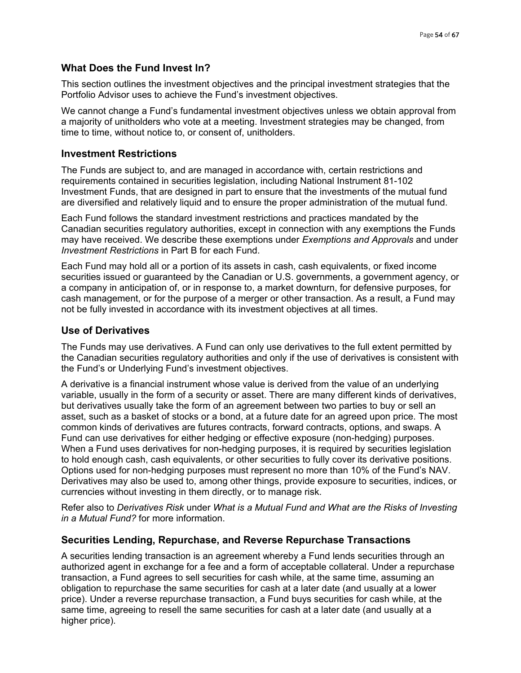# **What Does the Fund Invest In?**

This section outlines the investment objectives and the principal investment strategies that the Portfolio Advisor uses to achieve the Fund's investment objectives.

We cannot change a Fund's fundamental investment objectives unless we obtain approval from a majority of unitholders who vote at a meeting. Investment strategies may be changed, from time to time, without notice to, or consent of, unitholders.

## **Investment Restrictions**

The Funds are subject to, and are managed in accordance with, certain restrictions and requirements contained in securities legislation, including National Instrument 81-102 Investment Funds, that are designed in part to ensure that the investments of the mutual fund are diversified and relatively liquid and to ensure the proper administration of the mutual fund.

Each Fund follows the standard investment restrictions and practices mandated by the Canadian securities regulatory authorities, except in connection with any exemptions the Funds may have received. We describe these exemptions under *Exemptions and Approvals* and under *Investment Restrictions* in Part B for each Fund.

Each Fund may hold all or a portion of its assets in cash, cash equivalents, or fixed income securities issued or guaranteed by the Canadian or U.S. governments, a government agency, or a company in anticipation of, or in response to, a market downturn, for defensive purposes, for cash management, or for the purpose of a merger or other transaction. As a result, a Fund may not be fully invested in accordance with its investment objectives at all times.

### **Use of Derivatives**

The Funds may use derivatives. A Fund can only use derivatives to the full extent permitted by the Canadian securities regulatory authorities and only if the use of derivatives is consistent with the Fund's or Underlying Fund's investment objectives.

A derivative is a financial instrument whose value is derived from the value of an underlying variable, usually in the form of a security or asset. There are many different kinds of derivatives, but derivatives usually take the form of an agreement between two parties to buy or sell an asset, such as a basket of stocks or a bond, at a future date for an agreed upon price. The most common kinds of derivatives are futures contracts, forward contracts, options, and swaps. A Fund can use derivatives for either hedging or effective exposure (non-hedging) purposes. When a Fund uses derivatives for non-hedging purposes, it is required by securities legislation to hold enough cash, cash equivalents, or other securities to fully cover its derivative positions. Options used for non-hedging purposes must represent no more than 10% of the Fund's NAV. Derivatives may also be used to, among other things, provide exposure to securities, indices, or currencies without investing in them directly, or to manage risk.

Refer also to *Derivatives Risk* under *What is a Mutual Fund and What are the Risks of Investing in a Mutual Fund?* for more information.

## **Securities Lending, Repurchase, and Reverse Repurchase Transactions**

A securities lending transaction is an agreement whereby a Fund lends securities through an authorized agent in exchange for a fee and a form of acceptable collateral. Under a repurchase transaction, a Fund agrees to sell securities for cash while, at the same time, assuming an obligation to repurchase the same securities for cash at a later date (and usually at a lower price). Under a reverse repurchase transaction, a Fund buys securities for cash while, at the same time, agreeing to resell the same securities for cash at a later date (and usually at a higher price).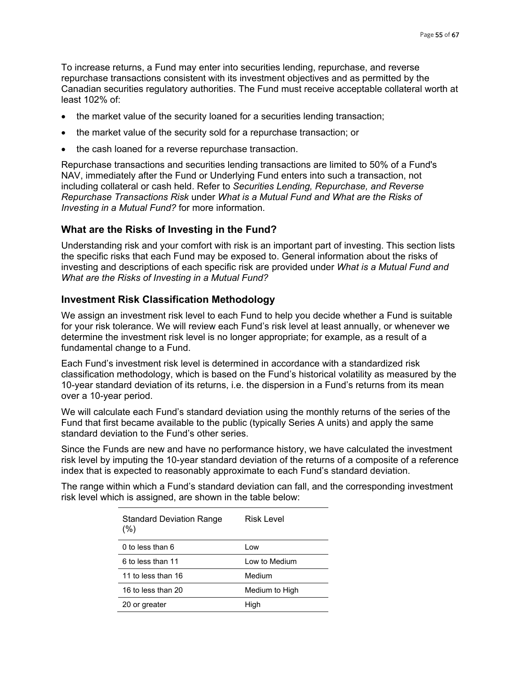To increase returns, a Fund may enter into securities lending, repurchase, and reverse repurchase transactions consistent with its investment objectives and as permitted by the Canadian securities regulatory authorities. The Fund must receive acceptable collateral worth at least 102% of:

- the market value of the security loaned for a securities lending transaction;
- the market value of the security sold for a repurchase transaction; or
- the cash loaned for a reverse repurchase transaction.

Repurchase transactions and securities lending transactions are limited to 50% of a Fund's NAV, immediately after the Fund or Underlying Fund enters into such a transaction, not including collateral or cash held. Refer to *Securities Lending, Repurchase, and Reverse Repurchase Transactions Risk* under *What is a Mutual Fund and What are the Risks of Investing in a Mutual Fund?* for more information.

#### **What are the Risks of Investing in the Fund?**

Understanding risk and your comfort with risk is an important part of investing. This section lists the specific risks that each Fund may be exposed to. General information about the risks of investing and descriptions of each specific risk are provided under *What is a Mutual Fund and What are the Risks of Investing in a Mutual Fund?* 

### **Investment Risk Classification Methodology**

We assign an investment risk level to each Fund to help you decide whether a Fund is suitable for your risk tolerance. We will review each Fund's risk level at least annually, or whenever we determine the investment risk level is no longer appropriate; for example, as a result of a fundamental change to a Fund.

Each Fund's investment risk level is determined in accordance with a standardized risk classification methodology, which is based on the Fund's historical volatility as measured by the 10-year standard deviation of its returns, i.e. the dispersion in a Fund's returns from its mean over a 10-year period.

We will calculate each Fund's standard deviation using the monthly returns of the series of the Fund that first became available to the public (typically Series A units) and apply the same standard deviation to the Fund's other series.

Since the Funds are new and have no performance history, we have calculated the investment risk level by imputing the 10-year standard deviation of the returns of a composite of a reference index that is expected to reasonably approximate to each Fund's standard deviation.

The range within which a Fund's standard deviation can fall, and the corresponding investment risk level which is assigned, are shown in the table below:

| <b>Standard Deviation Range</b><br>(% ) | Risk Level     |  |
|-----------------------------------------|----------------|--|
| 0 to less than $6$                      | Low            |  |
| 6 to less than 11                       | Low to Medium  |  |
| 11 to less than 16                      | Medium         |  |
| 16 to less than 20                      | Medium to High |  |
| 20 or greater                           | High           |  |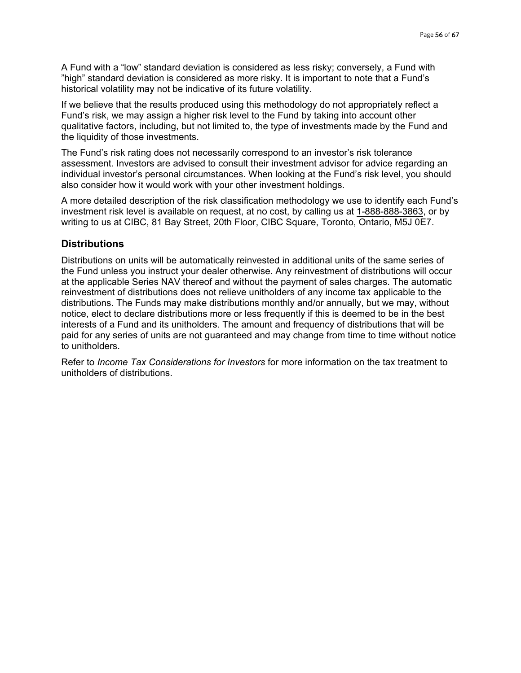A Fund with a "low" standard deviation is considered as less risky; conversely, a Fund with "high" standard deviation is considered as more risky. It is important to note that a Fund's historical volatility may not be indicative of its future volatility.

If we believe that the results produced using this methodology do not appropriately reflect a Fund's risk, we may assign a higher risk level to the Fund by taking into account other qualitative factors, including, but not limited to, the type of investments made by the Fund and the liquidity of those investments.

The Fund's risk rating does not necessarily correspond to an investor's risk tolerance assessment. Investors are advised to consult their investment advisor for advice regarding an individual investor's personal circumstances. When looking at the Fund's risk level, you should also consider how it would work with your other investment holdings.

A more detailed description of the risk classification methodology we use to identify each Fund's investment risk level is available on request, at no cost, by calling us at [1-888-888-3863,](tel:18888883863) or by writing to us at CIBC, 81 Bay Street, 20th Floor, CIBC Square, Toronto, Ontario, M5J 0E7.

## **Distributions**

Distributions on units will be automatically reinvested in additional units of the same series of the Fund unless you instruct your dealer otherwise. Any reinvestment of distributions will occur at the applicable Series NAV thereof and without the payment of sales charges. The automatic reinvestment of distributions does not relieve unitholders of any income tax applicable to the distributions. The Funds may make distributions monthly and/or annually, but we may, without notice, elect to declare distributions more or less frequently if this is deemed to be in the best interests of a Fund and its unitholders. The amount and frequency of distributions that will be paid for any series of units are not guaranteed and may change from time to time without notice to unitholders.

Refer to *Income Tax Considerations for Investors* for more information on the tax treatment to unitholders of distributions.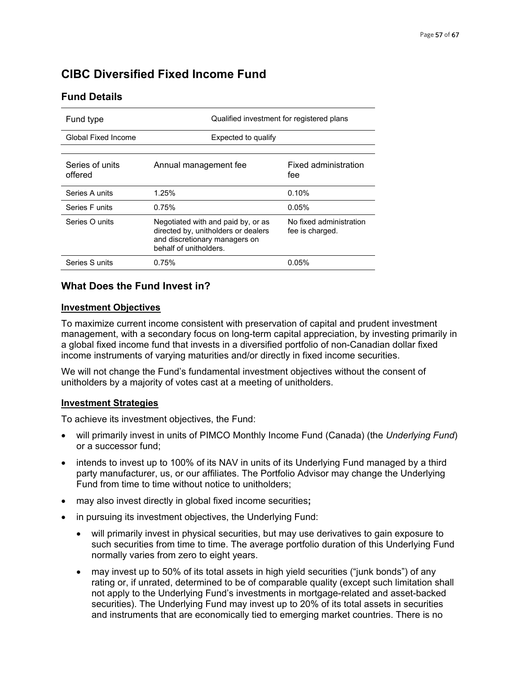# <span id="page-56-0"></span>**CIBC Diversified Fixed Income Fund**

# **Fund Details**

| Fund type                  | Qualified investment for registered plans                                                                                            |                                            |  |
|----------------------------|--------------------------------------------------------------------------------------------------------------------------------------|--------------------------------------------|--|
| Global Fixed Income        | Expected to qualify                                                                                                                  |                                            |  |
| Series of units<br>offered | Annual management fee                                                                                                                | Fixed administration<br>fee                |  |
| Series A units             | 1.25%                                                                                                                                | 0.10%                                      |  |
| Series F units             | 0.75%                                                                                                                                | 0.05%                                      |  |
| Series O units             | Negotiated with and paid by, or as<br>directed by, unitholders or dealers<br>and discretionary managers on<br>behalf of unitholders. | No fixed administration<br>fee is charged. |  |
| Series S units             | 0.75%                                                                                                                                | 0.05%                                      |  |

# **What Does the Fund Invest in?**

## **Investment Objectives**

To maximize current income consistent with preservation of capital and prudent investment management, with a secondary focus on long-term capital appreciation, by investing primarily in a global fixed income fund that invests in a diversified portfolio of non-Canadian dollar fixed income instruments of varying maturities and/or directly in fixed income securities.

We will not change the Fund's fundamental investment objectives without the consent of unitholders by a majority of votes cast at a meeting of unitholders.

#### **Investment Strategies**

To achieve its investment objectives, the Fund:

- will primarily invest in units of PIMCO Monthly Income Fund (Canada) (the *Underlying Fund*) or a successor fund;
- intends to invest up to 100% of its NAV in units of its Underlying Fund managed by a third party manufacturer, us, or our affiliates. The Portfolio Advisor may change the Underlying Fund from time to time without notice to unitholders;
- may also invest directly in global fixed income securities**;**
- in pursuing its investment objectives, the Underlying Fund:
	- will primarily invest in physical securities, but may use derivatives to gain exposure to such securities from time to time. The average portfolio duration of this Underlying Fund normally varies from zero to eight years.
	- may invest up to 50% of its total assets in high yield securities ("junk bonds") of any rating or, if unrated, determined to be of comparable quality (except such limitation shall not apply to the Underlying Fund's investments in mortgage-related and asset-backed securities). The Underlying Fund may invest up to 20% of its total assets in securities and instruments that are economically tied to emerging market countries. There is no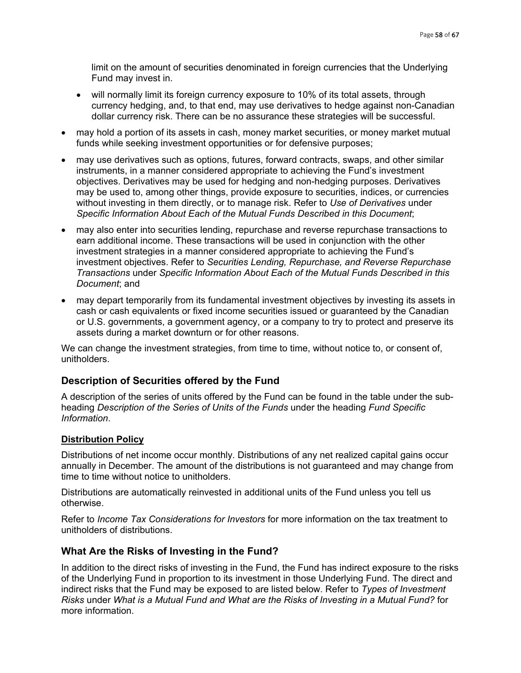limit on the amount of securities denominated in foreign currencies that the Underlying Fund may invest in.

- will normally limit its foreign currency exposure to 10% of its total assets, through currency hedging, and, to that end, may use derivatives to hedge against non-Canadian dollar currency risk. There can be no assurance these strategies will be successful.
- may hold a portion of its assets in cash, money market securities, or money market mutual funds while seeking investment opportunities or for defensive purposes;
- may use derivatives such as options, futures, forward contracts, swaps, and other similar instruments, in a manner considered appropriate to achieving the Fund's investment objectives. Derivatives may be used for hedging and non-hedging purposes. Derivatives may be used to, among other things, provide exposure to securities, indices, or currencies without investing in them directly, or to manage risk. Refer to *Use of Derivatives* under *Specific Information About Each of the Mutual Funds Described in this Document*;
- may also enter into securities lending, repurchase and reverse repurchase transactions to earn additional income. These transactions will be used in conjunction with the other investment strategies in a manner considered appropriate to achieving the Fund's investment objectives. Refer to *Securities Lending, Repurchase, and Reverse Repurchase Transactions* under *Specific Information About Each of the Mutual Funds Described in this Document*; and
- may depart temporarily from its fundamental investment objectives by investing its assets in cash or cash equivalents or fixed income securities issued or guaranteed by the Canadian or U.S. governments, a government agency, or a company to try to protect and preserve its assets during a market downturn or for other reasons.

We can change the investment strategies, from time to time, without notice to, or consent of, unitholders.

# **Description of Securities offered by the Fund**

A description of the series of units offered by the Fund can be found in the table under the subheading *Description of the Series of Units of the Funds* under the heading *Fund Specific Information*.

## **Distribution Policy**

Distributions of net income occur monthly. Distributions of any net realized capital gains occur annually in December. The amount of the distributions is not guaranteed and may change from time to time without notice to unitholders.

Distributions are automatically reinvested in additional units of the Fund unless you tell us otherwise.

Refer to *Income Tax Considerations for Investors* for more information on the tax treatment to unitholders of distributions.

## **What Are the Risks of Investing in the Fund?**

In addition to the direct risks of investing in the Fund, the Fund has indirect exposure to the risks of the Underlying Fund in proportion to its investment in those Underlying Fund. The direct and indirect risks that the Fund may be exposed to are listed below. Refer to *Types of Investment Risks* under *What is a Mutual Fund and What are the Risks of Investing in a Mutual Fund?* for more information.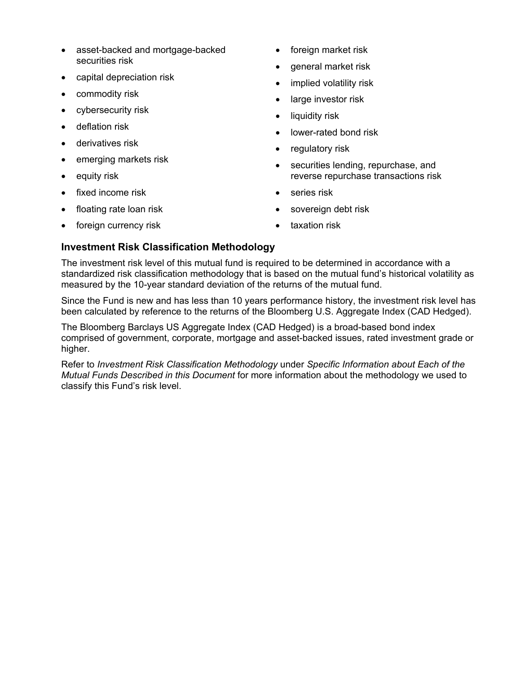- asset-backed and mortgage-backed securities risk
- capital depreciation risk
- commodity risk
- cybersecurity risk
- deflation risk
- derivatives risk
- emerging markets risk
- equity risk
- fixed income risk
- floating rate loan risk
- foreign currency risk
- foreign market risk
- general market risk
- implied volatility risk
- large investor risk
- liquidity risk
- lower-rated bond risk
- regulatory risk
- securities lending, repurchase, and reverse repurchase transactions risk
- series risk
- sovereign debt risk
- taxation risk

# **Investment Risk Classification Methodology**

The investment risk level of this mutual fund is required to be determined in accordance with a standardized risk classification methodology that is based on the mutual fund's historical volatility as measured by the 10-year standard deviation of the returns of the mutual fund.

Since the Fund is new and has less than 10 years performance history, the investment risk level has been calculated by reference to the returns of the Bloomberg U.S. Aggregate Index (CAD Hedged).

The Bloomberg Barclays US Aggregate Index (CAD Hedged) is a broad-based bond index comprised of government, corporate, mortgage and asset-backed issues, rated investment grade or higher.

Refer to *Investment Risk Classification Methodology* under *Specific Information about Each of the Mutual Funds Described in this Document* for more information about the methodology we used to classify this Fund's risk level.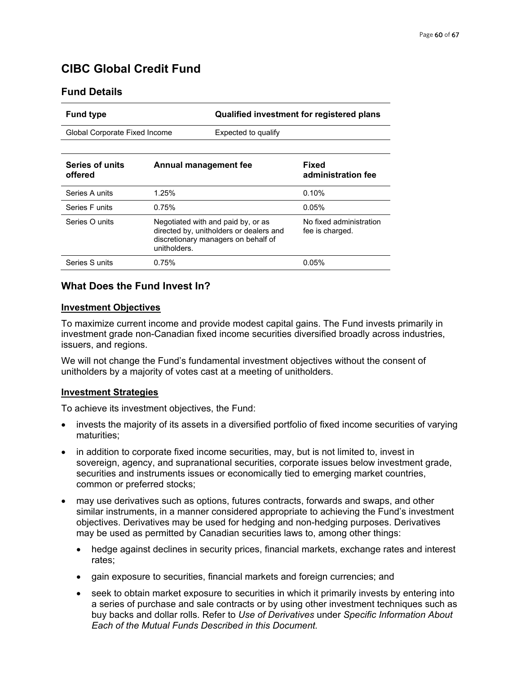# <span id="page-59-0"></span>**CIBC Global Credit Fund**

Global Corporate Fixed Income Expected to qualify

# **Fund Details**

| <b>Fund type</b> | Qualified investment for registered plans |
|------------------|-------------------------------------------|
|                  |                                           |

| Series of units<br>offered | Annual management fee                                                                                                                | <b>Fixed</b><br>administration fee         |
|----------------------------|--------------------------------------------------------------------------------------------------------------------------------------|--------------------------------------------|
| Series A units             | 1.25%                                                                                                                                | 0.10%                                      |
| Series F units             | 0.75%                                                                                                                                | 0.05%                                      |
| Series O units             | Negotiated with and paid by, or as<br>directed by, unitholders or dealers and<br>discretionary managers on behalf of<br>unitholders. | No fixed administration<br>fee is charged. |
| Series S units             | 0.75%                                                                                                                                | 0.05%                                      |

# **What Does the Fund Invest In?**

### **Investment Objectives**

To maximize current income and provide modest capital gains. The Fund invests primarily in investment grade non-Canadian fixed income securities diversified broadly across industries, issuers, and regions.

We will not change the Fund's fundamental investment objectives without the consent of unitholders by a majority of votes cast at a meeting of unitholders.

#### **Investment Strategies**

To achieve its investment objectives, the Fund:

- invests the majority of its assets in a diversified portfolio of fixed income securities of varying maturities;
- in addition to corporate fixed income securities, may, but is not limited to, invest in sovereign, agency, and supranational securities, corporate issues below investment grade, securities and instruments issues or economically tied to emerging market countries, common or preferred stocks;
- may use derivatives such as options, futures contracts, forwards and swaps, and other similar instruments, in a manner considered appropriate to achieving the Fund's investment objectives. Derivatives may be used for hedging and non-hedging purposes. Derivatives may be used as permitted by Canadian securities laws to, among other things:
	- hedge against declines in security prices, financial markets, exchange rates and interest rates;
	- gain exposure to securities, financial markets and foreign currencies; and
	- seek to obtain market exposure to securities in which it primarily invests by entering into a series of purchase and sale contracts or by using other investment techniques such as buy backs and dollar rolls. Refer to *Use of Derivatives* under *Specific Information About Each of the Mutual Funds Described in this Document.*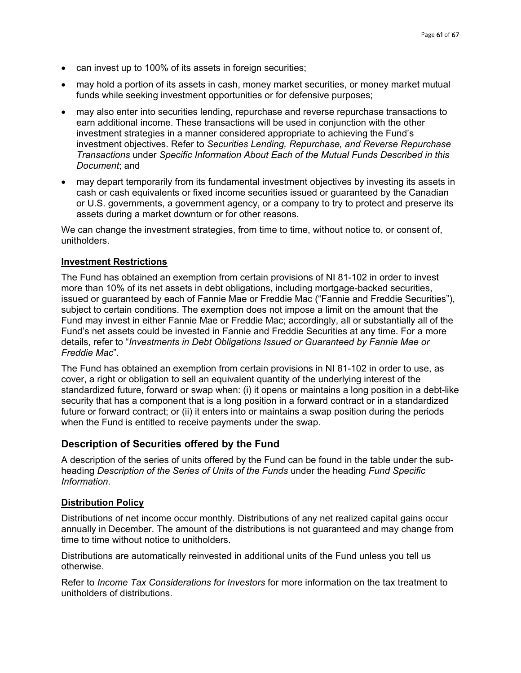- can invest up to 100% of its assets in foreign securities;
- may hold a portion of its assets in cash, money market securities, or money market mutual funds while seeking investment opportunities or for defensive purposes;
- may also enter into securities lending, repurchase and reverse repurchase transactions to earn additional income. These transactions will be used in conjunction with the other investment strategies in a manner considered appropriate to achieving the Fund's investment objectives. Refer to *Securities Lending, Repurchase, and Reverse Repurchase Transactions* under *Specific Information About Each of the Mutual Funds Described in this Document*; and
- may depart temporarily from its fundamental investment objectives by investing its assets in cash or cash equivalents or fixed income securities issued or guaranteed by the Canadian or U.S. governments, a government agency, or a company to try to protect and preserve its assets during a market downturn or for other reasons.

We can change the investment strategies, from time to time, without notice to, or consent of, unitholders.

## **Investment Restrictions**

The Fund has obtained an exemption from certain provisions of NI 81-102 in order to invest more than 10% of its net assets in debt obligations, including mortgage-backed securities, issued or guaranteed by each of Fannie Mae or Freddie Mac ("Fannie and Freddie Securities"), subject to certain conditions. The exemption does not impose a limit on the amount that the Fund may invest in either Fannie Mae or Freddie Mac; accordingly, all or substantially all of the Fund's net assets could be invested in Fannie and Freddie Securities at any time. For a more details, refer to "*Investments in Debt Obligations Issued or Guaranteed by Fannie Mae or Freddie Mac*".

The Fund has obtained an exemption from certain provisions in NI 81-102 in order to use, as cover, a right or obligation to sell an equivalent quantity of the underlying interest of the standardized future, forward or swap when: (i) it opens or maintains a long position in a debt-like security that has a component that is a long position in a forward contract or in a standardized future or forward contract; or (ii) it enters into or maintains a swap position during the periods when the Fund is entitled to receive payments under the swap.

## **Description of Securities offered by the Fund**

A description of the series of units offered by the Fund can be found in the table under the subheading *Description of the Series of Units of the Funds* under the heading *Fund Specific Information*.

## **Distribution Policy**

Distributions of net income occur monthly. Distributions of any net realized capital gains occur annually in December. The amount of the distributions is not guaranteed and may change from time to time without notice to unitholders.

Distributions are automatically reinvested in additional units of the Fund unless you tell us otherwise.

Refer to *Income Tax Considerations for Investors* for more information on the tax treatment to unitholders of distributions.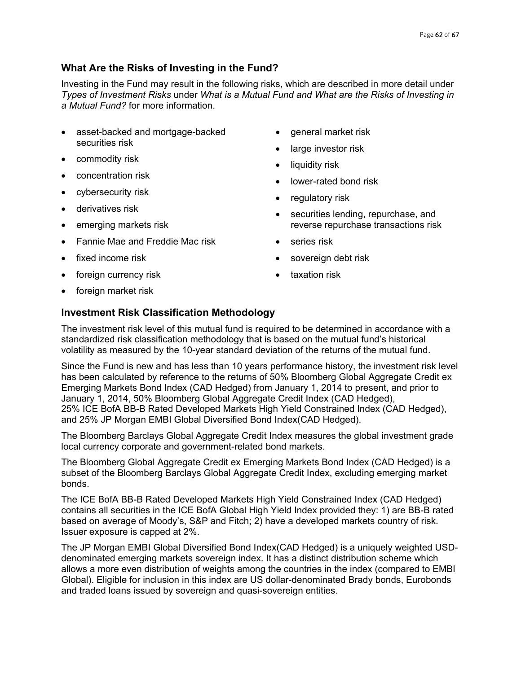# **What Are the Risks of Investing in the Fund?**

Investing in the Fund may result in the following risks, which are described in more detail under *Types of Investment Risks* under *What is a Mutual Fund and What are the Risks of Investing in a Mutual Fund?* for more information.

- asset-backed and mortgage-backed securities risk
- commodity risk
- concentration risk
- cybersecurity risk
- derivatives risk
- emerging markets risk
- Fannie Mae and Freddie Mac risk
- fixed income risk
- foreign currency risk
- general market risk
- large investor risk
- liquidity risk
- lower-rated bond risk
- regulatory risk
- securities lending, repurchase, and reverse repurchase transactions risk
- series risk
- sovereign debt risk
- taxation risk

foreign market risk

# **Investment Risk Classification Methodology**

The investment risk level of this mutual fund is required to be determined in accordance with a standardized risk classification methodology that is based on the mutual fund's historical volatility as measured by the 10-year standard deviation of the returns of the mutual fund.

Since the Fund is new and has less than 10 years performance history, the investment risk level has been calculated by reference to the returns of 50% Bloomberg Global Aggregate Credit ex Emerging Markets Bond Index (CAD Hedged) from January 1, 2014 to present, and prior to January 1, 2014, 50% Bloomberg Global Aggregate Credit Index (CAD Hedged), 25% ICE BofA BB-B Rated Developed Markets High Yield Constrained Index (CAD Hedged), and 25% JP Morgan EMBI Global Diversified Bond Index(CAD Hedged).

The Bloomberg Barclays Global Aggregate Credit Index measures the global investment grade local currency corporate and government-related bond markets.

The Bloomberg Global Aggregate Credit ex Emerging Markets Bond Index (CAD Hedged) is a subset of the Bloomberg Barclays Global Aggregate Credit Index, excluding emerging market bonds.

The ICE BofA BB-B Rated Developed Markets High Yield Constrained Index (CAD Hedged) contains all securities in the ICE BofA Global High Yield Index provided they: 1) are BB-B rated based on average of Moody's, S&P and Fitch; 2) have a developed markets country of risk. Issuer exposure is capped at 2%.

The JP Morgan EMBI Global Diversified Bond Index(CAD Hedged) is a uniquely weighted USDdenominated emerging markets sovereign index. It has a distinct distribution scheme which allows a more even distribution of weights among the countries in the index (compared to EMBI Global). Eligible for inclusion in this index are US dollar-denominated Brady bonds, Eurobonds and traded loans issued by sovereign and quasi-sovereign entities.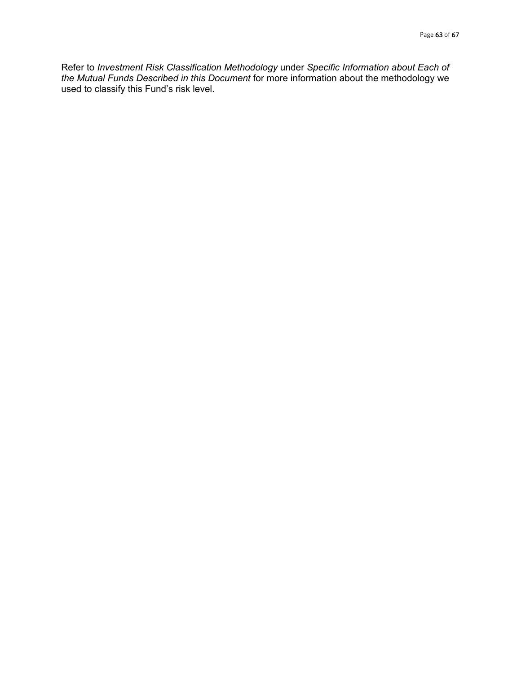Refer to *Investment Risk Classification Methodology* under *Specific Information about Each of the Mutual Funds Described in this Document* for more information about the methodology we used to classify this Fund's risk level.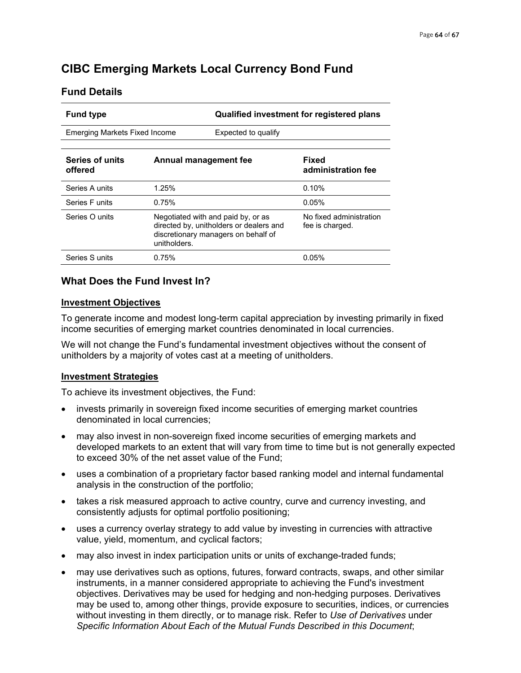# <span id="page-63-0"></span>**CIBC Emerging Markets Local Currency Bond Fund**

# **Fund Details**

| <b>Fund type</b>              |                                                                                                                                      | Qualified investment for registered plans |                                            |
|-------------------------------|--------------------------------------------------------------------------------------------------------------------------------------|-------------------------------------------|--------------------------------------------|
| Emerging Markets Fixed Income |                                                                                                                                      | Expected to qualify                       |                                            |
| Series of units<br>offered    | <b>Annual management fee</b>                                                                                                         |                                           | Fixed<br>administration fee                |
| Series A units                | 1.25%                                                                                                                                |                                           | 0.10%                                      |
| Series F units                | 0.75%                                                                                                                                |                                           | 0.05%                                      |
| Series O units                | Negotiated with and paid by, or as<br>directed by, unitholders or dealers and<br>discretionary managers on behalf of<br>unitholders. |                                           | No fixed administration<br>fee is charged. |
| Series S units                | 0.75%                                                                                                                                |                                           | $0.05\%$                                   |

# **What Does the Fund Invest In?**

#### **Investment Objectives**

To generate income and modest long-term capital appreciation by investing primarily in fixed income securities of emerging market countries denominated in local currencies.

We will not change the Fund's fundamental investment objectives without the consent of unitholders by a majority of votes cast at a meeting of unitholders.

## **Investment Strategies**

To achieve its investment objectives, the Fund:

- invests primarily in sovereign fixed income securities of emerging market countries denominated in local currencies;
- may also invest in non-sovereign fixed income securities of emerging markets and developed markets to an extent that will vary from time to time but is not generally expected to exceed 30% of the net asset value of the Fund;
- uses a combination of a proprietary factor based ranking model and internal fundamental analysis in the construction of the portfolio;
- takes a risk measured approach to active country, curve and currency investing, and consistently adjusts for optimal portfolio positioning;
- uses a currency overlay strategy to add value by investing in currencies with attractive value, yield, momentum, and cyclical factors;
- may also invest in index participation units or units of exchange-traded funds;
- may use derivatives such as options, futures, forward contracts, swaps, and other similar instruments, in a manner considered appropriate to achieving the Fund's investment objectives. Derivatives may be used for hedging and non-hedging purposes. Derivatives may be used to, among other things, provide exposure to securities, indices, or currencies without investing in them directly, or to manage risk. Refer to *Use of Derivatives* under *Specific Information About Each of the Mutual Funds Described in this Document*;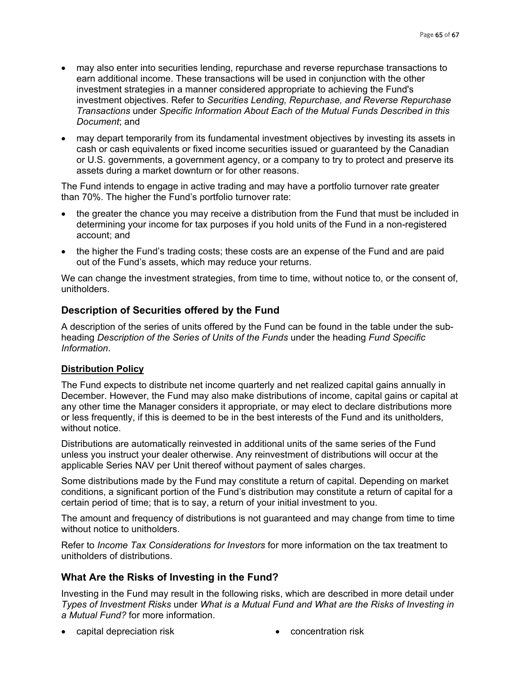- may also enter into securities lending, repurchase and reverse repurchase transactions to earn additional income. These transactions will be used in conjunction with the other investment strategies in a manner considered appropriate to achieving the Fund's investment objectives. Refer to *Securities Lending, Repurchase, and Reverse Repurchase Transactions* under *Specific Information About Each of the Mutual Funds Described in this Document*; and
- may depart temporarily from its fundamental investment objectives by investing its assets in cash or cash equivalents or fixed income securities issued or guaranteed by the Canadian or U.S. governments, a government agency, or a company to try to protect and preserve its assets during a market downturn or for other reasons.

The Fund intends to engage in active trading and may have a portfolio turnover rate greater than 70%. The higher the Fund's portfolio turnover rate:

- the greater the chance you may receive a distribution from the Fund that must be included in determining your income for tax purposes if you hold units of the Fund in a non-registered account; and
- the higher the Fund's trading costs; these costs are an expense of the Fund and are paid out of the Fund's assets, which may reduce your returns.

We can change the investment strategies, from time to time, without notice to, or the consent of, unitholders.

# **Description of Securities offered by the Fund**

A description of the series of units offered by the Fund can be found in the table under the subheading *Description of the Series of Units of the Funds* under the heading *Fund Specific Information*.

## **Distribution Policy**

The Fund expects to distribute net income quarterly and net realized capital gains annually in December. However, the Fund may also make distributions of income, capital gains or capital at any other time the Manager considers it appropriate, or may elect to declare distributions more or less frequently, if this is deemed to be in the best interests of the Fund and its unitholders, without notice.

Distributions are automatically reinvested in additional units of the same series of the Fund unless you instruct your dealer otherwise. Any reinvestment of distributions will occur at the applicable Series NAV per Unit thereof without payment of sales charges.

Some distributions made by the Fund may constitute a return of capital. Depending on market conditions, a significant portion of the Fund's distribution may constitute a return of capital for a certain period of time; that is to say, a return of your initial investment to you.

The amount and frequency of distributions is not guaranteed and may change from time to time without notice to unitholders.

Refer to *Income Tax Considerations for Investors* for more information on the tax treatment to unitholders of distributions.

# **What Are the Risks of Investing in the Fund?**

Investing in the Fund may result in the following risks, which are described in more detail under *Types of Investment Risks* under *What is a Mutual Fund and What are the Risks of Investing in a Mutual Fund?* for more information.

- capital depreciation risk **•** concentration risk
	-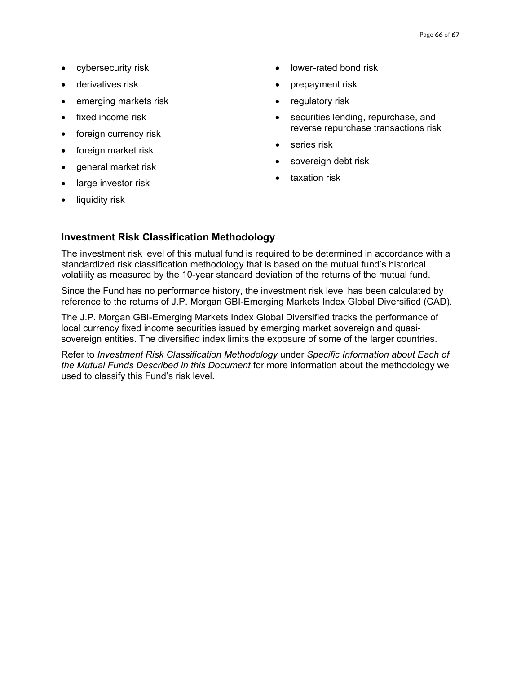- cybersecurity risk
- derivatives risk
- emerging markets risk
- fixed income risk
- foreign currency risk
- foreign market risk
- general market risk
- large investor risk
- liquidity risk
- lower-rated bond risk
- prepayment risk
- regulatory risk
- securities lending, repurchase, and reverse repurchase transactions risk
- series risk
- sovereign debt risk
- taxation risk

# **Investment Risk Classification Methodology**

The investment risk level of this mutual fund is required to be determined in accordance with a standardized risk classification methodology that is based on the mutual fund's historical volatility as measured by the 10-year standard deviation of the returns of the mutual fund.

Since the Fund has no performance history, the investment risk level has been calculated by reference to the returns of J.P. Morgan GBI-Emerging Markets Index Global Diversified (CAD).

The J.P. Morgan GBI-Emerging Markets Index Global Diversified tracks the performance of local currency fixed income securities issued by emerging market sovereign and quasisovereign entities. The diversified index limits the exposure of some of the larger countries.

Refer to *Investment Risk Classification Methodology* under *Specific Information about Each of the Mutual Funds Described in this Document* for more information about the methodology we used to classify this Fund's risk level.